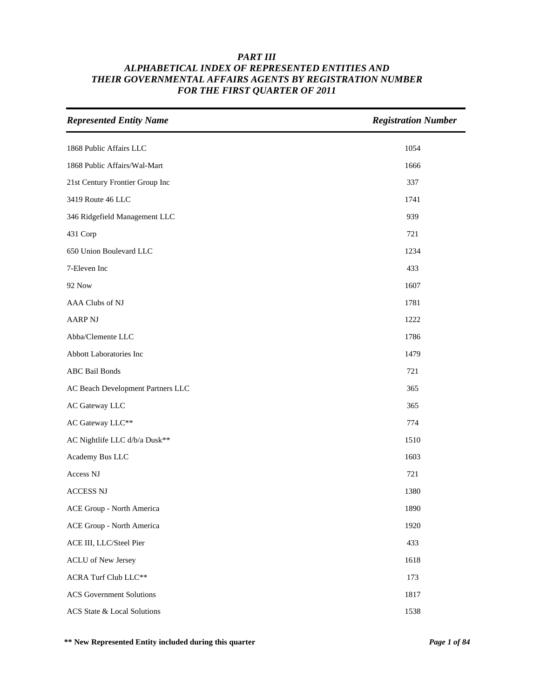| <b>Represented Entity Name</b>    | <b>Registration Number</b> |
|-----------------------------------|----------------------------|
| 1868 Public Affairs LLC           | 1054                       |
| 1868 Public Affairs/Wal-Mart      | 1666                       |
| 21st Century Frontier Group Inc   | 337                        |
| 3419 Route 46 LLC                 | 1741                       |
| 346 Ridgefield Management LLC     | 939                        |
| 431 Corp                          | 721                        |
| 650 Union Boulevard LLC           | 1234                       |
| 7-Eleven Inc                      | 433                        |
| <b>92 Now</b>                     | 1607                       |
| AAA Clubs of NJ                   | 1781                       |
| <b>AARP NJ</b>                    | 1222                       |
| Abba/Clemente LLC                 | 1786                       |
| Abbott Laboratories Inc           | 1479                       |
| <b>ABC</b> Bail Bonds             | 721                        |
| AC Beach Development Partners LLC | 365                        |
| AC Gateway LLC                    | 365                        |
| AC Gateway LLC**                  | 774                        |
| AC Nightlife LLC d/b/a Dusk**     | 1510                       |
| Academy Bus LLC                   | 1603                       |
| Access NJ                         | 721                        |
| <b>ACCESS NJ</b>                  | 1380                       |
| ACE Group - North America         | 1890                       |
| ACE Group - North America         | 1920                       |
| ACE III, LLC/Steel Pier           | 433                        |
| <b>ACLU</b> of New Jersey         | 1618                       |
| <b>ACRA Turf Club LLC**</b>       | 173                        |
| <b>ACS</b> Government Solutions   | 1817                       |
| ACS State & Local Solutions       | 1538                       |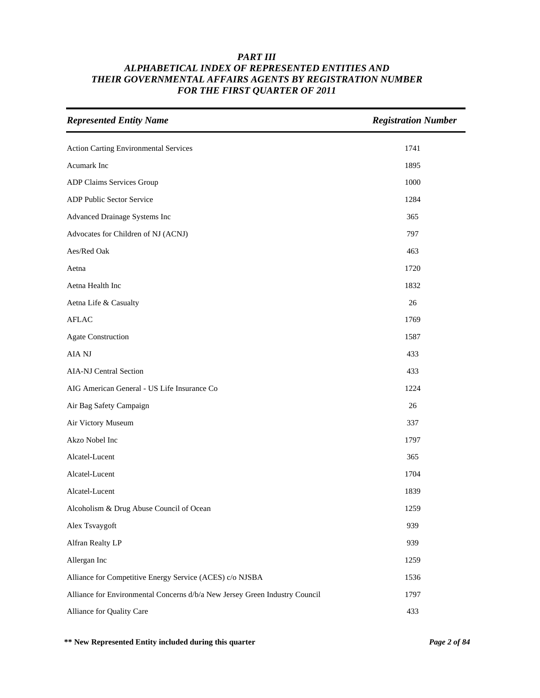| <b>Represented Entity Name</b>                                              | <b>Registration Number</b> |
|-----------------------------------------------------------------------------|----------------------------|
| Action Carting Environmental Services                                       | 1741                       |
| Acumark Inc                                                                 | 1895                       |
| ADP Claims Services Group                                                   | 1000                       |
| ADP Public Sector Service                                                   | 1284                       |
| Advanced Drainage Systems Inc                                               | 365                        |
| Advocates for Children of NJ (ACNJ)                                         | 797                        |
| Aes/Red Oak                                                                 | 463                        |
| Aetna                                                                       | 1720                       |
| Aetna Health Inc                                                            | 1832                       |
| Aetna Life & Casualty                                                       | 26                         |
| <b>AFLAC</b>                                                                | 1769                       |
| <b>Agate Construction</b>                                                   | 1587                       |
| AIA NJ                                                                      | 433                        |
| AIA-NJ Central Section                                                      | 433                        |
| AIG American General - US Life Insurance Co                                 | 1224                       |
| Air Bag Safety Campaign                                                     | 26                         |
| Air Victory Museum                                                          | 337                        |
| Akzo Nobel Inc                                                              | 1797                       |
| Alcatel-Lucent                                                              | 365                        |
| Alcatel-Lucent                                                              | 1704                       |
| Alcatel-Lucent                                                              | 1839                       |
| Alcoholism & Drug Abuse Council of Ocean                                    | 1259                       |
| Alex Tsvaygoft                                                              | 939                        |
| Alfran Realty LP                                                            | 939                        |
| Allergan Inc                                                                | 1259                       |
| Alliance for Competitive Energy Service (ACES) c/o NJSBA                    | 1536                       |
| Alliance for Environmental Concerns d/b/a New Jersey Green Industry Council | 1797                       |
| Alliance for Quality Care                                                   | 433                        |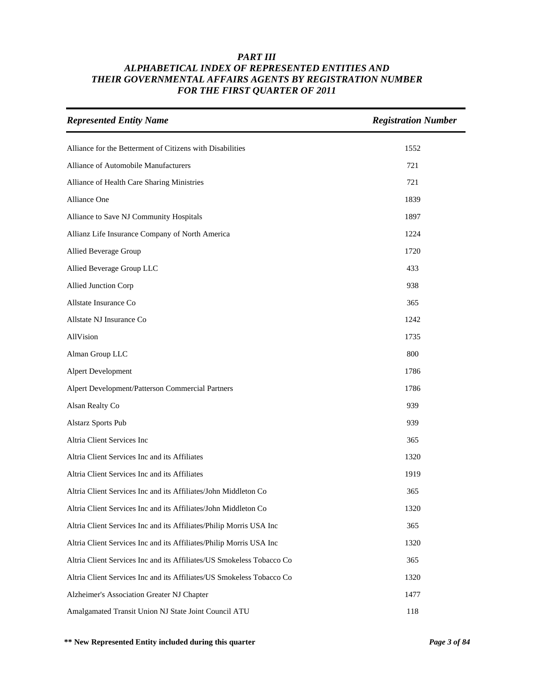| <b>Represented Entity Name</b>                                        | <b>Registration Number</b> |
|-----------------------------------------------------------------------|----------------------------|
| Alliance for the Betterment of Citizens with Disabilities             | 1552                       |
| Alliance of Automobile Manufacturers                                  | 721                        |
| Alliance of Health Care Sharing Ministries                            | 721                        |
| Alliance One                                                          | 1839                       |
| Alliance to Save NJ Community Hospitals                               | 1897                       |
| Allianz Life Insurance Company of North America                       | 1224                       |
| Allied Beverage Group                                                 | 1720                       |
| Allied Beverage Group LLC                                             | 433                        |
| Allied Junction Corp                                                  | 938                        |
| Allstate Insurance Co                                                 | 365                        |
| Allstate NJ Insurance Co                                              | 1242                       |
| AllVision                                                             | 1735                       |
| Alman Group LLC                                                       | 800                        |
| Alpert Development                                                    | 1786                       |
| Alpert Development/Patterson Commercial Partners                      | 1786                       |
| Alsan Realty Co                                                       | 939                        |
| <b>Alstarz Sports Pub</b>                                             | 939                        |
| Altria Client Services Inc                                            | 365                        |
| Altria Client Services Inc and its Affiliates                         | 1320                       |
| Altria Client Services Inc and its Affiliates                         | 1919                       |
| Altria Client Services Inc and its Affiliates/John Middleton Co       | 365                        |
| Altria Client Services Inc and its Affiliates/John Middleton Co       | 1320                       |
| Altria Client Services Inc and its Affiliates/Philip Morris USA Inc   | 365                        |
| Altria Client Services Inc and its Affiliates/Philip Morris USA Inc   | 1320                       |
| Altria Client Services Inc and its Affiliates/US Smokeless Tobacco Co | 365                        |
| Altria Client Services Inc and its Affiliates/US Smokeless Tobacco Co | 1320                       |
| Alzheimer's Association Greater NJ Chapter                            | 1477                       |
| Amalgamated Transit Union NJ State Joint Council ATU                  | 118                        |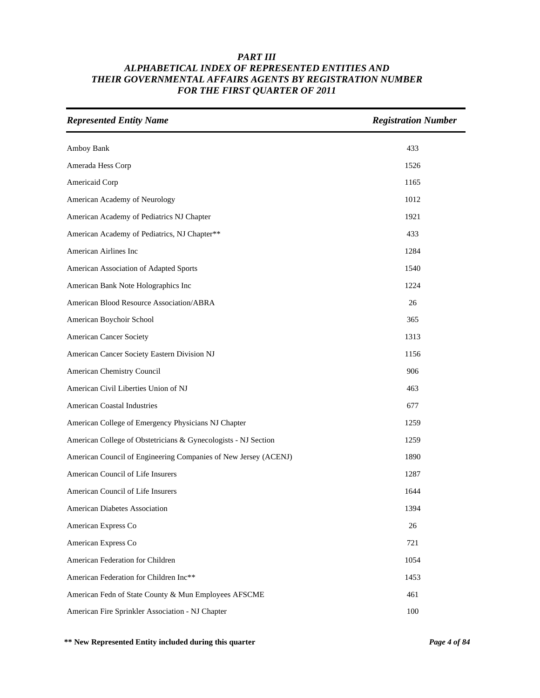| <b>Represented Entity Name</b>                                  | <b>Registration Number</b> |
|-----------------------------------------------------------------|----------------------------|
| Amboy Bank                                                      | 433                        |
| Amerada Hess Corp                                               | 1526                       |
| Americaid Corp                                                  | 1165                       |
| American Academy of Neurology                                   | 1012                       |
| American Academy of Pediatrics NJ Chapter                       | 1921                       |
| American Academy of Pediatrics, NJ Chapter**                    | 433                        |
| American Airlines Inc                                           | 1284                       |
| American Association of Adapted Sports                          | 1540                       |
| American Bank Note Holographics Inc                             | 1224                       |
| American Blood Resource Association/ABRA                        | 26                         |
| American Boychoir School                                        | 365                        |
| <b>American Cancer Society</b>                                  | 1313                       |
| American Cancer Society Eastern Division NJ                     | 1156                       |
| American Chemistry Council                                      | 906                        |
| American Civil Liberties Union of NJ                            | 463                        |
| <b>American Coastal Industries</b>                              | 677                        |
| American College of Emergency Physicians NJ Chapter             | 1259                       |
| American College of Obstetricians & Gynecologists - NJ Section  | 1259                       |
| American Council of Engineering Companies of New Jersey (ACENJ) | 1890                       |
| American Council of Life Insurers                               | 1287                       |
| American Council of Life Insurers                               | 1644                       |
| American Diabetes Association                                   | 1394                       |
| American Express Co                                             | 26                         |
| American Express Co                                             | 721                        |
| American Federation for Children                                | 1054                       |
| American Federation for Children Inc**                          | 1453                       |
| American Fedn of State County & Mun Employees AFSCME            | 461                        |
| American Fire Sprinkler Association - NJ Chapter                | 100                        |

**\*\* New Represented Entity included during this quarter** *Page 4 of 84*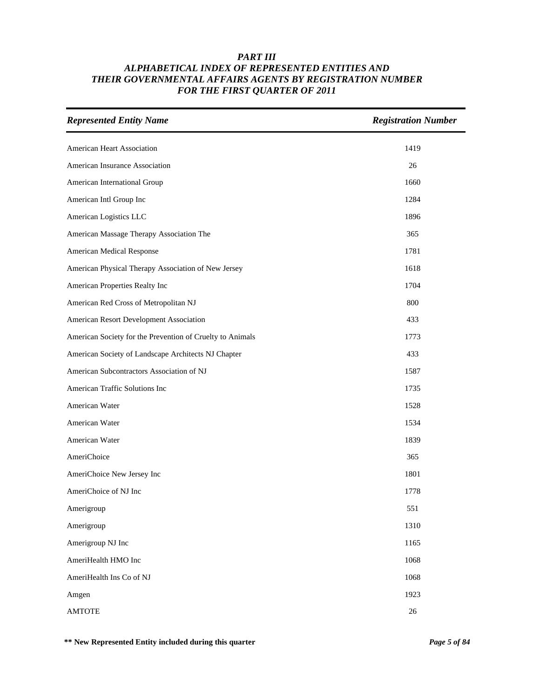| <b>Represented Entity Name</b>                            | <b>Registration Number</b> |
|-----------------------------------------------------------|----------------------------|
| American Heart Association                                | 1419                       |
| American Insurance Association                            | 26                         |
| American International Group                              | 1660                       |
| American Intl Group Inc                                   | 1284                       |
| American Logistics LLC                                    | 1896                       |
| American Massage Therapy Association The                  | 365                        |
| American Medical Response                                 | 1781                       |
| American Physical Therapy Association of New Jersey       | 1618                       |
| American Properties Realty Inc                            | 1704                       |
| American Red Cross of Metropolitan NJ                     | 800                        |
| American Resort Development Association                   | 433                        |
| American Society for the Prevention of Cruelty to Animals | 1773                       |
| American Society of Landscape Architects NJ Chapter       | 433                        |
| American Subcontractors Association of NJ                 | 1587                       |
| American Traffic Solutions Inc                            | 1735                       |
| American Water                                            | 1528                       |
| American Water                                            | 1534                       |
| American Water                                            | 1839                       |
| AmeriChoice                                               | 365                        |
| AmeriChoice New Jersey Inc                                | 1801                       |
| AmeriChoice of NJ Inc                                     | 1778                       |
| Amerigroup                                                | 551                        |
| Amerigroup                                                | 1310                       |
| Amerigroup NJ Inc                                         | 1165                       |
| AmeriHealth HMO Inc                                       | 1068                       |
| AmeriHealth Ins Co of NJ                                  | 1068                       |
| Amgen                                                     | 1923                       |
| <b>AMTOTE</b>                                             | $26\,$                     |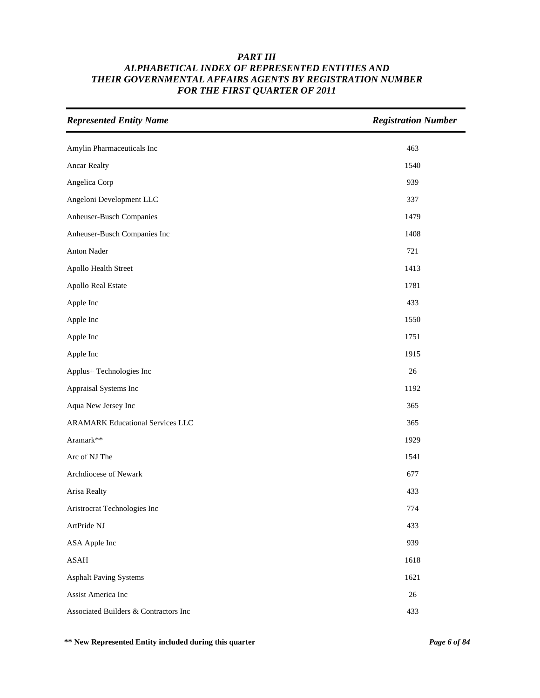| <b>Represented Entity Name</b>          | <b>Registration Number</b> |
|-----------------------------------------|----------------------------|
| Amylin Pharmaceuticals Inc              | 463                        |
| <b>Ancar Realty</b>                     | 1540                       |
| Angelica Corp                           | 939                        |
| Angeloni Development LLC                | 337                        |
| Anheuser-Busch Companies                | 1479                       |
| Anheuser-Busch Companies Inc            | 1408                       |
| Anton Nader                             | 721                        |
| Apollo Health Street                    | 1413                       |
| Apollo Real Estate                      | 1781                       |
| Apple Inc                               | 433                        |
| Apple Inc                               | 1550                       |
| Apple Inc                               | 1751                       |
| Apple Inc                               | 1915                       |
| Applus+ Technologies Inc                | 26                         |
| Appraisal Systems Inc                   | 1192                       |
| Aqua New Jersey Inc                     | 365                        |
| <b>ARAMARK Educational Services LLC</b> | 365                        |
| Aramark**                               | 1929                       |
| Arc of NJ The                           | 1541                       |
| Archdiocese of Newark                   | 677                        |
| Arisa Realty                            | 433                        |
| Aristrocrat Technologies Inc            | 774                        |
| ArtPride NJ                             | 433                        |
| ASA Apple Inc                           | 939                        |
| ASAH                                    | 1618                       |
| <b>Asphalt Paving Systems</b>           | 1621                       |
| Assist America Inc                      | 26                         |
| Associated Builders & Contractors Inc   | 433                        |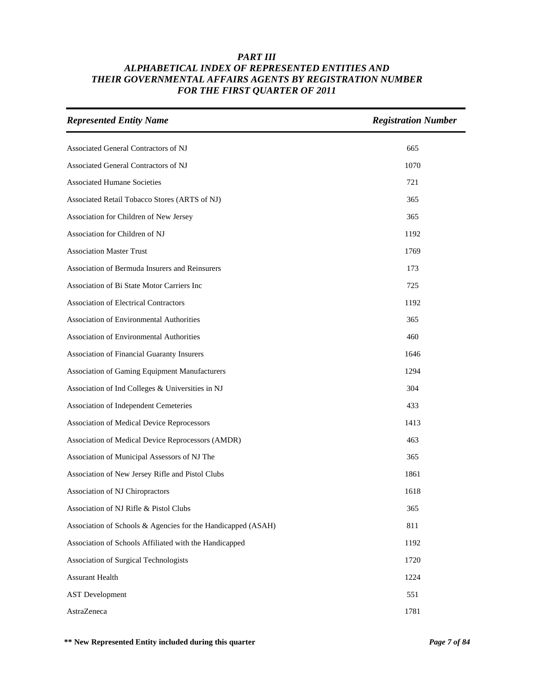| <b>Represented Entity Name</b>                               | <b>Registration Number</b> |
|--------------------------------------------------------------|----------------------------|
| Associated General Contractors of NJ                         | 665                        |
| Associated General Contractors of NJ                         | 1070                       |
| <b>Associated Humane Societies</b>                           | 721                        |
| Associated Retail Tobacco Stores (ARTS of NJ)                | 365                        |
| Association for Children of New Jersey                       | 365                        |
| Association for Children of NJ                               | 1192                       |
| <b>Association Master Trust</b>                              | 1769                       |
| Association of Bermuda Insurers and Reinsurers               | 173                        |
| Association of Bi State Motor Carriers Inc                   | 725                        |
| <b>Association of Electrical Contractors</b>                 | 1192                       |
| <b>Association of Environmental Authorities</b>              | 365                        |
| Association of Environmental Authorities                     | 460                        |
| Association of Financial Guaranty Insurers                   | 1646                       |
| Association of Gaming Equipment Manufacturers                | 1294                       |
| Association of Ind Colleges & Universities in NJ             | 304                        |
| Association of Independent Cemeteries                        | 433                        |
| Association of Medical Device Reprocessors                   | 1413                       |
| Association of Medical Device Reprocessors (AMDR)            | 463                        |
| Association of Municipal Assessors of NJ The                 | 365                        |
| Association of New Jersey Rifle and Pistol Clubs             | 1861                       |
| Association of NJ Chiropractors                              | 1618                       |
| Association of NJ Rifle & Pistol Clubs                       | 365                        |
| Association of Schools & Agencies for the Handicapped (ASAH) | 811                        |
| Association of Schools Affiliated with the Handicapped       | 1192                       |
| Association of Surgical Technologists                        | 1720                       |
| <b>Assurant Health</b>                                       | 1224                       |
| <b>AST</b> Development                                       | 551                        |
| AstraZeneca                                                  | 1781                       |

**\*\* New Represented Entity included during this quarter** *Page 7 of 84*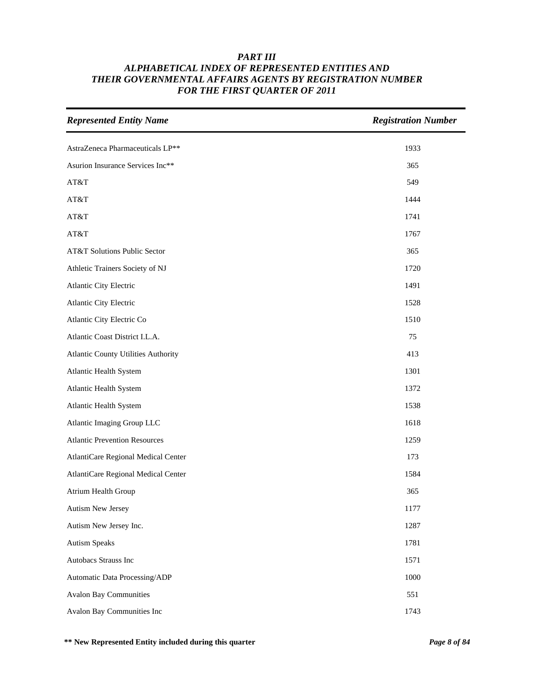| <b>Represented Entity Name</b>       | <b>Registration Number</b> |
|--------------------------------------|----------------------------|
| AstraZeneca Pharmaceuticals LP**     | 1933                       |
| Asurion Insurance Services Inc**     | 365                        |
| AT&T                                 | 549                        |
| AT&T                                 | 1444                       |
| AT&T                                 | 1741                       |
| AT&T                                 | 1767                       |
| AT&T Solutions Public Sector         | 365                        |
| Athletic Trainers Society of NJ      | 1720                       |
| Atlantic City Electric               | 1491                       |
| Atlantic City Electric               | 1528                       |
| Atlantic City Electric Co            | 1510                       |
| Atlantic Coast District I.L.A.       | 75                         |
| Atlantic County Utilities Authority  | 413                        |
| Atlantic Health System               | 1301                       |
| Atlantic Health System               | 1372                       |
| Atlantic Health System               | 1538                       |
| Atlantic Imaging Group LLC           | 1618                       |
| <b>Atlantic Prevention Resources</b> | 1259                       |
| AtlantiCare Regional Medical Center  | 173                        |
| AtlantiCare Regional Medical Center  | 1584                       |
| Atrium Health Group                  | 365                        |
| <b>Autism New Jersey</b>             | 1177                       |
| Autism New Jersey Inc.               | 1287                       |
| <b>Autism Speaks</b>                 | 1781                       |
| Autobacs Strauss Inc                 | 1571                       |
| Automatic Data Processing/ADP        | 1000                       |
| <b>Avalon Bay Communities</b>        | 551                        |
| Avalon Bay Communities Inc           | 1743                       |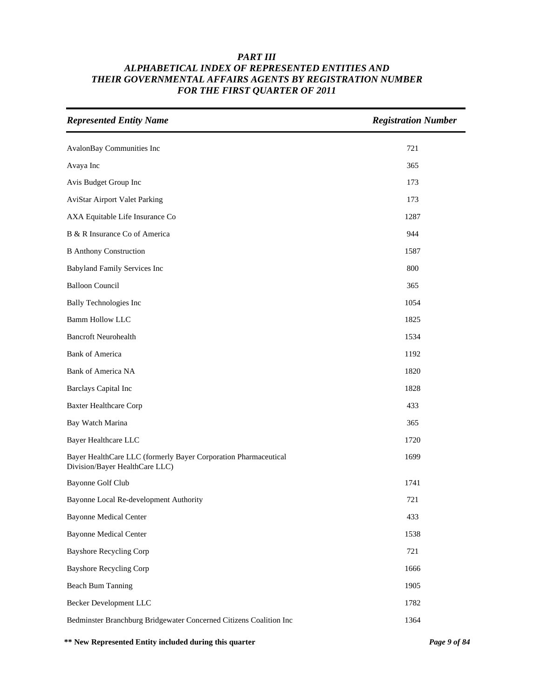| <b>Represented Entity Name</b>                                                                    | <b>Registration Number</b> |
|---------------------------------------------------------------------------------------------------|----------------------------|
| AvalonBay Communities Inc                                                                         | 721                        |
| Avaya Inc                                                                                         | 365                        |
| Avis Budget Group Inc                                                                             | 173                        |
| <b>AviStar Airport Valet Parking</b>                                                              | 173                        |
| AXA Equitable Life Insurance Co                                                                   | 1287                       |
| B & R Insurance Co of America                                                                     | 944                        |
| <b>B</b> Anthony Construction                                                                     | 1587                       |
| Babyland Family Services Inc                                                                      | 800                        |
| <b>Balloon Council</b>                                                                            | 365                        |
| <b>Bally Technologies Inc</b>                                                                     | 1054                       |
| <b>Bamm Hollow LLC</b>                                                                            | 1825                       |
| <b>Bancroft Neurohealth</b>                                                                       | 1534                       |
| <b>Bank of America</b>                                                                            | 1192                       |
| <b>Bank of America NA</b>                                                                         | 1820                       |
| <b>Barclays Capital Inc</b>                                                                       | 1828                       |
| <b>Baxter Healthcare Corp</b>                                                                     | 433                        |
| Bay Watch Marina                                                                                  | 365                        |
| <b>Bayer Healthcare LLC</b>                                                                       | 1720                       |
| Bayer HealthCare LLC (formerly Bayer Corporation Pharmaceutical<br>Division/Bayer HealthCare LLC) | 1699                       |
| Bayonne Golf Club                                                                                 | 1741                       |
| Bayonne Local Re-development Authority                                                            | 721                        |
| <b>Bayonne Medical Center</b>                                                                     | 433                        |
| <b>Bayonne Medical Center</b>                                                                     | 1538                       |
| <b>Bayshore Recycling Corp</b>                                                                    | 721                        |
| <b>Bayshore Recycling Corp</b>                                                                    | 1666                       |
| <b>Beach Bum Tanning</b>                                                                          | 1905                       |
| Becker Development LLC                                                                            | 1782                       |
| Bedminster Branchburg Bridgewater Concerned Citizens Coalition Inc                                | 1364                       |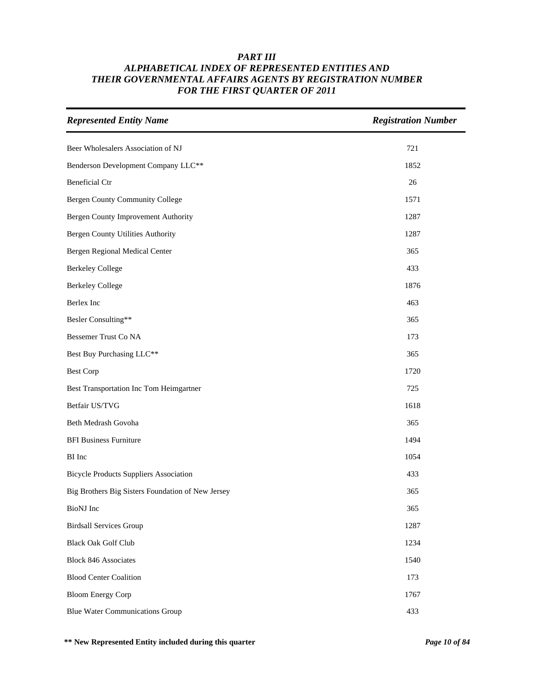| <b>Represented Entity Name</b>                    | <b>Registration Number</b> |
|---------------------------------------------------|----------------------------|
| Beer Wholesalers Association of NJ                | 721                        |
| Benderson Development Company LLC**               | 1852                       |
| <b>Beneficial Ctr</b>                             | 26                         |
| <b>Bergen County Community College</b>            | 1571                       |
| Bergen County Improvement Authority               | 1287                       |
| Bergen County Utilities Authority                 | 1287                       |
| Bergen Regional Medical Center                    | 365                        |
| <b>Berkeley College</b>                           | 433                        |
| <b>Berkeley College</b>                           | 1876                       |
| Berlex Inc                                        | 463                        |
| Besler Consulting**                               | 365                        |
| Bessemer Trust Co NA                              | 173                        |
| Best Buy Purchasing LLC**                         | 365                        |
| <b>Best Corp</b>                                  | 1720                       |
| Best Transportation Inc Tom Heimgartner           | 725                        |
| Betfair US/TVG                                    | 1618                       |
| Beth Medrash Govoha                               | 365                        |
| <b>BFI Business Furniture</b>                     | 1494                       |
| <b>BI</b> Inc                                     | 1054                       |
| <b>Bicycle Products Suppliers Association</b>     | 433                        |
| Big Brothers Big Sisters Foundation of New Jersey | 365                        |
| BioNJ Inc                                         | 365                        |
| <b>Birdsall Services Group</b>                    | 1287                       |
| <b>Black Oak Golf Club</b>                        | 1234                       |
| <b>Block 846 Associates</b>                       | 1540                       |
| <b>Blood Center Coalition</b>                     | 173                        |
| <b>Bloom Energy Corp</b>                          | 1767                       |
| <b>Blue Water Communications Group</b>            | 433                        |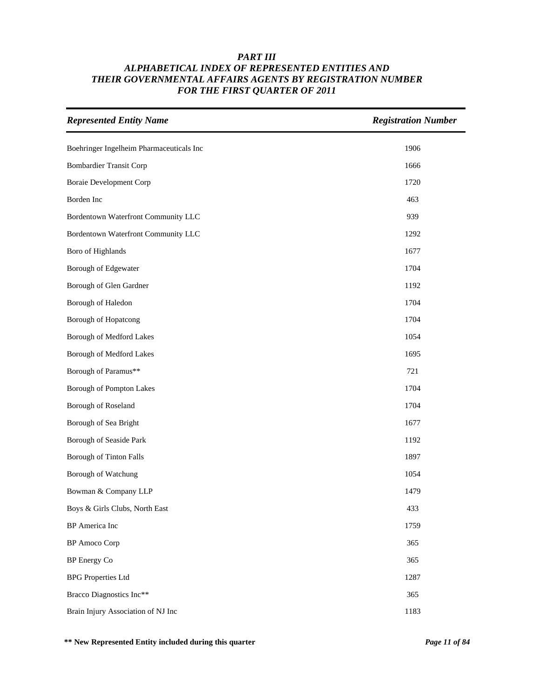| <b>Represented Entity Name</b>           | <b>Registration Number</b> |
|------------------------------------------|----------------------------|
| Boehringer Ingelheim Pharmaceuticals Inc | 1906                       |
| <b>Bombardier Transit Corp</b>           | 1666                       |
| <b>Boraie Development Corp</b>           | 1720                       |
| Borden Inc                               | 463                        |
| Bordentown Waterfront Community LLC      | 939                        |
| Bordentown Waterfront Community LLC      | 1292                       |
| Boro of Highlands                        | 1677                       |
| Borough of Edgewater                     | 1704                       |
| Borough of Glen Gardner                  | 1192                       |
| Borough of Haledon                       | 1704                       |
| Borough of Hopatcong                     | 1704                       |
| Borough of Medford Lakes                 | 1054                       |
| Borough of Medford Lakes                 | 1695                       |
| Borough of Paramus**                     | 721                        |
| Borough of Pompton Lakes                 | 1704                       |
| Borough of Roseland                      | 1704                       |
| Borough of Sea Bright                    | 1677                       |
| Borough of Seaside Park                  | 1192                       |
| Borough of Tinton Falls                  | 1897                       |
| Borough of Watchung                      | 1054                       |
| Bowman & Company LLP                     | 1479                       |
| Boys & Girls Clubs, North East           | 433                        |
| <b>BP</b> America Inc                    | 1759                       |
| <b>BP</b> Amoco Corp                     | 365                        |
| BP Energy Co                             | 365                        |
| <b>BPG</b> Properties Ltd                | 1287                       |
| Bracco Diagnostics Inc**                 | 365                        |
| Brain Injury Association of NJ Inc       | 1183                       |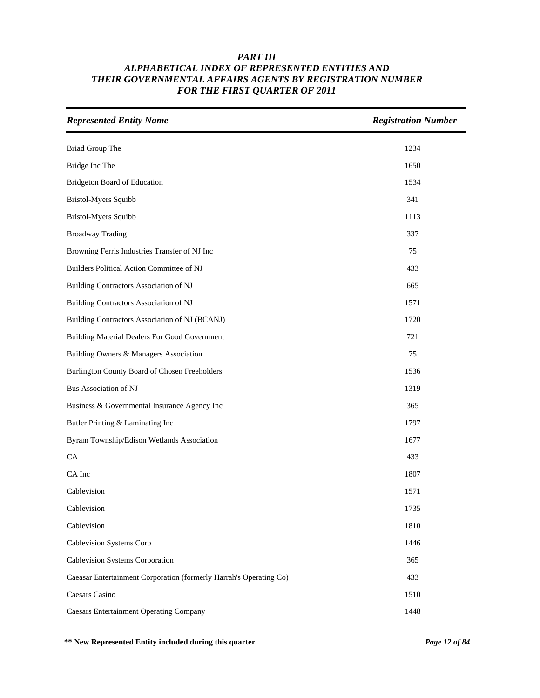| <b>Represented Entity Name</b>                                     | <b>Registration Number</b> |
|--------------------------------------------------------------------|----------------------------|
| Briad Group The                                                    | 1234                       |
| Bridge Inc The                                                     | 1650                       |
| Bridgeton Board of Education                                       | 1534                       |
| Bristol-Myers Squibb                                               | 341                        |
| <b>Bristol-Myers Squibb</b>                                        | 1113                       |
| <b>Broadway Trading</b>                                            | 337                        |
| Browning Ferris Industries Transfer of NJ Inc                      | 75                         |
| Builders Political Action Committee of NJ                          | 433                        |
| Building Contractors Association of NJ                             | 665                        |
| <b>Building Contractors Association of NJ</b>                      | 1571                       |
| Building Contractors Association of NJ (BCANJ)                     | 1720                       |
| <b>Building Material Dealers For Good Government</b>               | 721                        |
| Building Owners & Managers Association                             | 75                         |
| Burlington County Board of Chosen Freeholders                      | 1536                       |
| Bus Association of NJ                                              | 1319                       |
| Business & Governmental Insurance Agency Inc                       | 365                        |
| Butler Printing & Laminating Inc                                   | 1797                       |
| Byram Township/Edison Wetlands Association                         | 1677                       |
| CA                                                                 | 433                        |
| CA Inc                                                             | 1807                       |
| Cablevision                                                        | 1571                       |
| Cablevision                                                        | 1735                       |
| Cablevision                                                        | 1810                       |
| Cablevision Systems Corp                                           | 1446                       |
| Cablevision Systems Corporation                                    | 365                        |
| Caeasar Entertainment Corporation (formerly Harrah's Operating Co) | 433                        |
| Caesars Casino                                                     | 1510                       |
| <b>Caesars Entertainment Operating Company</b>                     | 1448                       |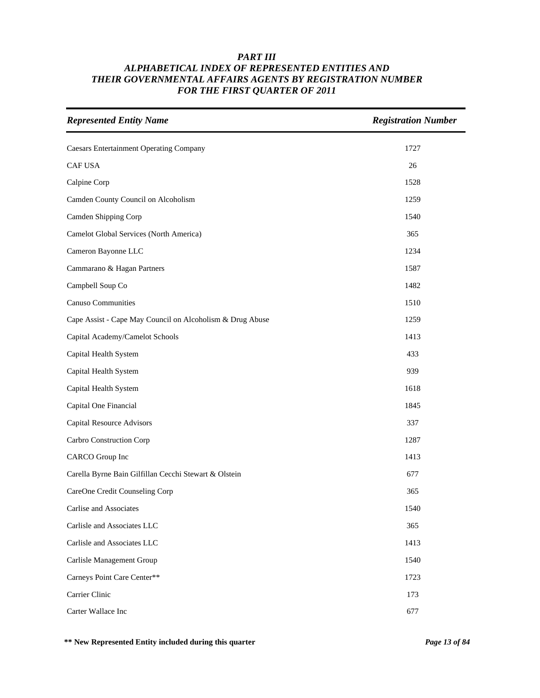| <b>Represented Entity Name</b>                            | <b>Registration Number</b> |
|-----------------------------------------------------------|----------------------------|
| <b>Caesars Entertainment Operating Company</b>            | 1727                       |
| CAF USA                                                   | 26                         |
| Calpine Corp                                              | 1528                       |
| Camden County Council on Alcoholism                       | 1259                       |
| Camden Shipping Corp                                      | 1540                       |
| Camelot Global Services (North America)                   | 365                        |
| Cameron Bayonne LLC                                       | 1234                       |
| Cammarano & Hagan Partners                                | 1587                       |
| Campbell Soup Co                                          | 1482                       |
| Canuso Communities                                        | 1510                       |
| Cape Assist - Cape May Council on Alcoholism & Drug Abuse | 1259                       |
| Capital Academy/Camelot Schools                           | 1413                       |
| Capital Health System                                     | 433                        |
| Capital Health System                                     | 939                        |
| Capital Health System                                     | 1618                       |
| Capital One Financial                                     | 1845                       |
| Capital Resource Advisors                                 | 337                        |
| Carbro Construction Corp                                  | 1287                       |
| <b>CARCO</b> Group Inc                                    | 1413                       |
| Carella Byrne Bain Gilfillan Cecchi Stewart & Olstein     | 677                        |
| CareOne Credit Counseling Corp                            | 365                        |
| Carlise and Associates                                    | 1540                       |
| Carlisle and Associates LLC                               | 365                        |
| Carlisle and Associates LLC                               | 1413                       |
| Carlisle Management Group                                 | 1540                       |
| Carneys Point Care Center**                               | 1723                       |
| Carrier Clinic                                            | 173                        |
| Carter Wallace Inc                                        | 677                        |

**\*\* New Represented Entity included during this quarter** *Page 13 of 84*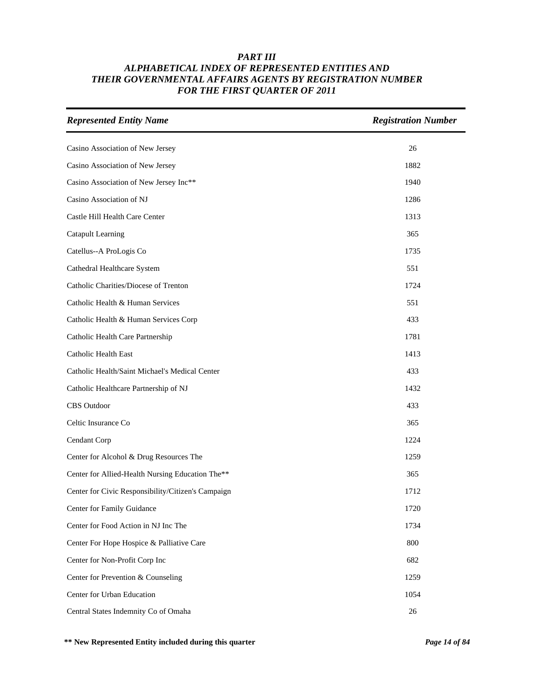| <b>Represented Entity Name</b>                     | <b>Registration Number</b> |
|----------------------------------------------------|----------------------------|
| Casino Association of New Jersey                   | 26                         |
| Casino Association of New Jersey                   | 1882                       |
| Casino Association of New Jersey Inc**             | 1940                       |
| Casino Association of NJ                           | 1286                       |
| Castle Hill Health Care Center                     | 1313                       |
| <b>Catapult Learning</b>                           | 365                        |
| Catellus--A ProLogis Co                            | 1735                       |
| Cathedral Healthcare System                        | 551                        |
| Catholic Charities/Diocese of Trenton              | 1724                       |
| Catholic Health & Human Services                   | 551                        |
| Catholic Health & Human Services Corp              | 433                        |
| Catholic Health Care Partnership                   | 1781                       |
| <b>Catholic Health East</b>                        | 1413                       |
| Catholic Health/Saint Michael's Medical Center     | 433                        |
| Catholic Healthcare Partnership of NJ              | 1432                       |
| <b>CBS</b> Outdoor                                 | 433                        |
| Celtic Insurance Co                                | 365                        |
| Cendant Corp                                       | 1224                       |
| Center for Alcohol & Drug Resources The            | 1259                       |
| Center for Allied-Health Nursing Education The**   | 365                        |
| Center for Civic Responsibility/Citizen's Campaign | 1712                       |
| Center for Family Guidance                         | 1720                       |
| Center for Food Action in NJ Inc The               | 1734                       |
| Center For Hope Hospice & Palliative Care          | 800                        |
| Center for Non-Profit Corp Inc                     | 682                        |
| Center for Prevention & Counseling                 | 1259                       |
| Center for Urban Education                         | 1054                       |
| Central States Indemnity Co of Omaha               | $26\,$                     |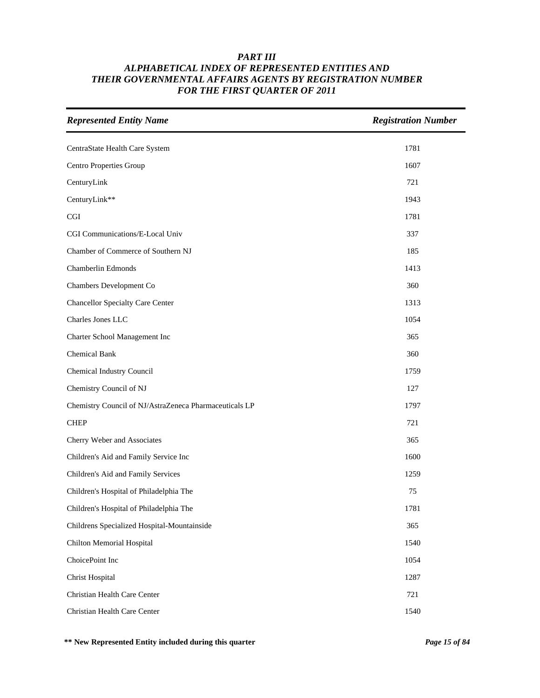| <b>Represented Entity Name</b>                         | <b>Registration Number</b> |
|--------------------------------------------------------|----------------------------|
| CentraState Health Care System                         | 1781                       |
| Centro Properties Group                                | 1607                       |
| CenturyLink                                            | 721                        |
| CenturyLink**                                          | 1943                       |
| $\operatorname{CGI}$                                   | 1781                       |
| CGI Communications/E-Local Univ                        | 337                        |
| Chamber of Commerce of Southern NJ                     | 185                        |
| Chamberlin Edmonds                                     | 1413                       |
| Chambers Development Co                                | 360                        |
| <b>Chancellor Specialty Care Center</b>                | 1313                       |
| Charles Jones LLC                                      | 1054                       |
| Charter School Management Inc                          | 365                        |
| <b>Chemical Bank</b>                                   | 360                        |
| Chemical Industry Council                              | 1759                       |
| Chemistry Council of NJ                                | 127                        |
| Chemistry Council of NJ/AstraZeneca Pharmaceuticals LP | 1797                       |
| <b>CHEP</b>                                            | 721                        |
| Cherry Weber and Associates                            | 365                        |
| Children's Aid and Family Service Inc                  | 1600                       |
| Children's Aid and Family Services                     | 1259                       |
| Children's Hospital of Philadelphia The                | 75                         |
| Children's Hospital of Philadelphia The                | 1781                       |
| Childrens Specialized Hospital-Mountainside            | 365                        |
| Chilton Memorial Hospital                              | 1540                       |
| ChoicePoint Inc                                        | 1054                       |
| Christ Hospital                                        | 1287                       |
| Christian Health Care Center                           | 721                        |
| Christian Health Care Center                           | 1540                       |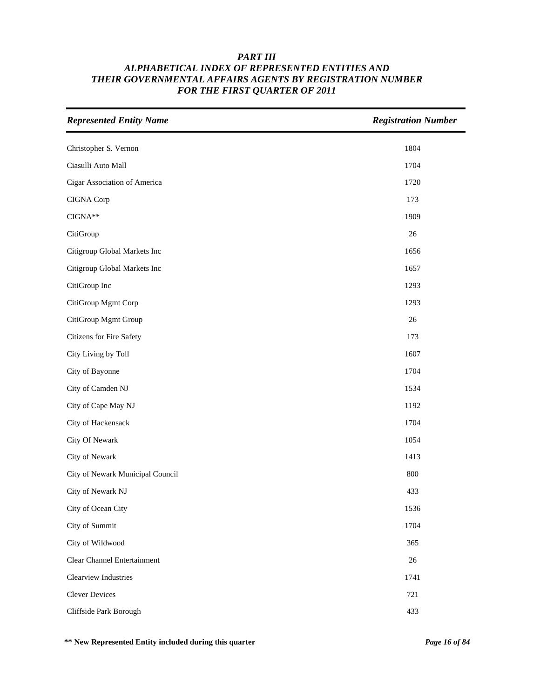| <b>Represented Entity Name</b>   | <b>Registration Number</b> |
|----------------------------------|----------------------------|
| Christopher S. Vernon            | 1804                       |
| Ciasulli Auto Mall               | 1704                       |
| Cigar Association of America     | 1720                       |
| CIGNA Corp                       | 173                        |
| $CIGNA**$                        | 1909                       |
| CitiGroup                        | 26                         |
| Citigroup Global Markets Inc     | 1656                       |
| Citigroup Global Markets Inc     | 1657                       |
| CitiGroup Inc                    | 1293                       |
| CitiGroup Mgmt Corp              | 1293                       |
| CitiGroup Mgmt Group             | 26                         |
| Citizens for Fire Safety         | 173                        |
| City Living by Toll              | 1607                       |
| City of Bayonne                  | 1704                       |
| City of Camden NJ                | 1534                       |
| City of Cape May NJ              | 1192                       |
| City of Hackensack               | 1704                       |
| City Of Newark                   | 1054                       |
| City of Newark                   | 1413                       |
| City of Newark Municipal Council | 800                        |
| City of Newark NJ                | 433                        |
| City of Ocean City               | 1536                       |
| City of Summit                   | 1704                       |
| City of Wildwood                 | 365                        |
| Clear Channel Entertainment      | 26                         |
| Clearview Industries             | 1741                       |
| <b>Clever Devices</b>            | 721                        |
| Cliffside Park Borough           | 433                        |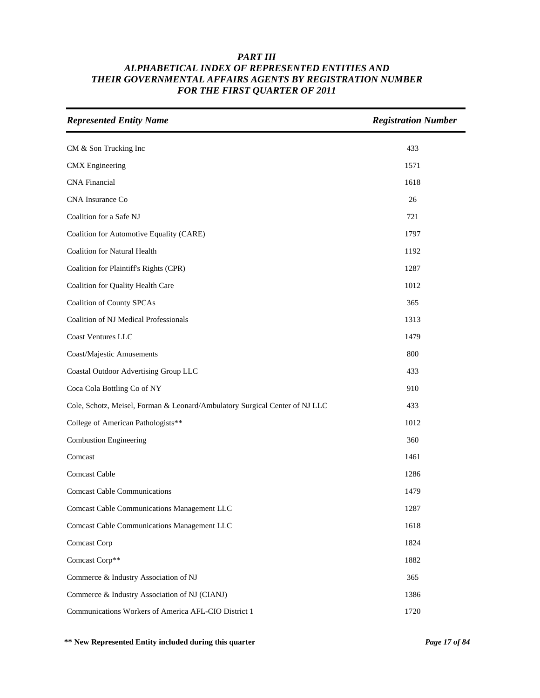| <b>Represented Entity Name</b>                                              | <b>Registration Number</b> |
|-----------------------------------------------------------------------------|----------------------------|
| CM & Son Trucking Inc                                                       | 433                        |
| <b>CMX</b> Engineering                                                      | 1571                       |
| <b>CNA</b> Financial                                                        | 1618                       |
| CNA Insurance Co                                                            | 26                         |
| Coalition for a Safe NJ                                                     | 721                        |
| Coalition for Automotive Equality (CARE)                                    | 1797                       |
| <b>Coalition for Natural Health</b>                                         | 1192                       |
| Coalition for Plaintiff's Rights (CPR)                                      | 1287                       |
| Coalition for Quality Health Care                                           | 1012                       |
| <b>Coalition of County SPCAs</b>                                            | 365                        |
| Coalition of NJ Medical Professionals                                       | 1313                       |
| <b>Coast Ventures LLC</b>                                                   | 1479                       |
| Coast/Majestic Amusements                                                   | 800                        |
| Coastal Outdoor Advertising Group LLC                                       | 433                        |
| Coca Cola Bottling Co of NY                                                 | 910                        |
| Cole, Schotz, Meisel, Forman & Leonard/Ambulatory Surgical Center of NJ LLC | 433                        |
| College of American Pathologists**                                          | 1012                       |
| <b>Combustion Engineering</b>                                               | 360                        |
| Comcast                                                                     | 1461                       |
| Comcast Cable                                                               | 1286                       |
| <b>Comcast Cable Communications</b>                                         | 1479                       |
| <b>Comcast Cable Communications Management LLC</b>                          | 1287                       |
| <b>Comcast Cable Communications Management LLC</b>                          | 1618                       |
| Comcast Corp                                                                | 1824                       |
| Comcast Corp**                                                              | 1882                       |
| Commerce & Industry Association of NJ                                       | 365                        |
| Commerce & Industry Association of NJ (CIANJ)                               | 1386                       |
| Communications Workers of America AFL-CIO District 1                        | 1720                       |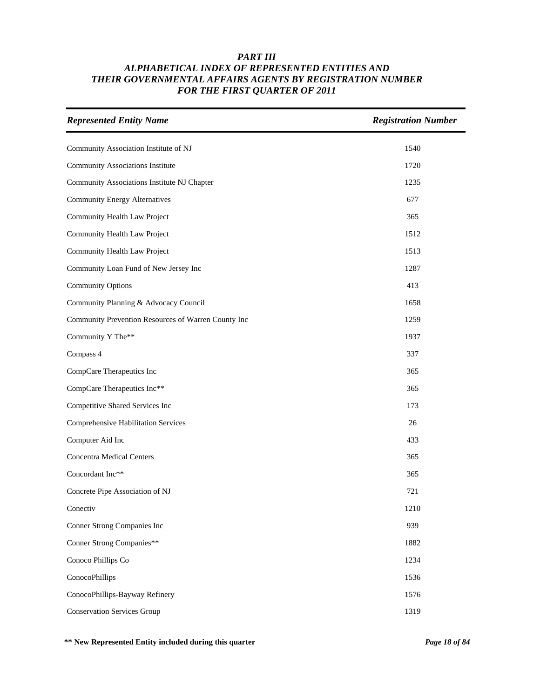| <b>Represented Entity Name</b>                      | <b>Registration Number</b> |
|-----------------------------------------------------|----------------------------|
| Community Association Institute of NJ               | 1540                       |
| <b>Community Associations Institute</b>             | 1720                       |
| Community Associations Institute NJ Chapter         | 1235                       |
| <b>Community Energy Alternatives</b>                | 677                        |
| Community Health Law Project                        | 365                        |
| Community Health Law Project                        | 1512                       |
| Community Health Law Project                        | 1513                       |
| Community Loan Fund of New Jersey Inc               | 1287                       |
| Community Options                                   | 413                        |
| Community Planning & Advocacy Council               | 1658                       |
| Community Prevention Resources of Warren County Inc | 1259                       |
| Community Y The**                                   | 1937                       |
| Compass 4                                           | 337                        |
| CompCare Therapeutics Inc                           | 365                        |
| CompCare Therapeutics Inc**                         | 365                        |
| Competitive Shared Services Inc                     | 173                        |
| <b>Comprehensive Habilitation Services</b>          | 26                         |
| Computer Aid Inc                                    | 433                        |
| <b>Concentra Medical Centers</b>                    | 365                        |
| Concordant Inc**                                    | 365                        |
| Concrete Pipe Association of NJ                     | 721                        |
| Conectiv                                            | 1210                       |
| Conner Strong Companies Inc                         | 939                        |
| <b>Conner Strong Companies**</b>                    | 1882                       |
| Conoco Phillips Co                                  | 1234                       |
| ConocoPhillips                                      | 1536                       |
| ConocoPhillips-Bayway Refinery                      | 1576                       |
| <b>Conservation Services Group</b>                  | 1319                       |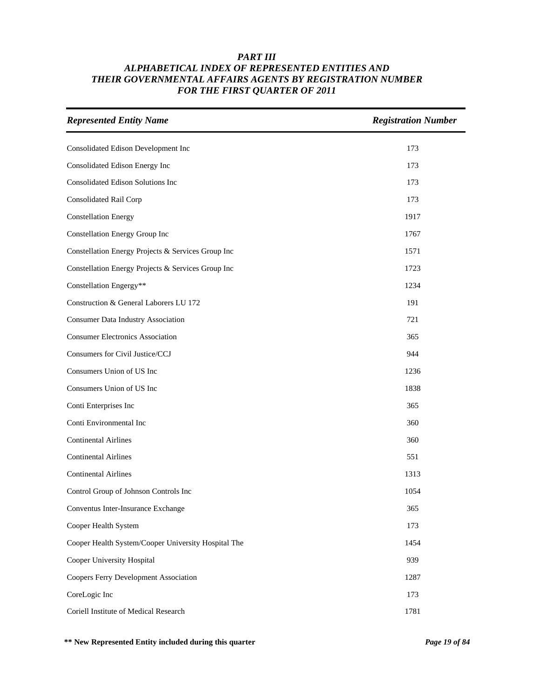| <b>Represented Entity Name</b>                      | <b>Registration Number</b> |
|-----------------------------------------------------|----------------------------|
| Consolidated Edison Development Inc                 | 173                        |
| Consolidated Edison Energy Inc                      | 173                        |
| Consolidated Edison Solutions Inc                   | 173                        |
| Consolidated Rail Corp                              | 173                        |
| <b>Constellation Energy</b>                         | 1917                       |
| Constellation Energy Group Inc                      | 1767                       |
| Constellation Energy Projects & Services Group Inc  | 1571                       |
| Constellation Energy Projects & Services Group Inc  | 1723                       |
| Constellation Engergy**                             | 1234                       |
| Construction & General Laborers LU 172              | 191                        |
| <b>Consumer Data Industry Association</b>           | 721                        |
| <b>Consumer Electronics Association</b>             | 365                        |
| Consumers for Civil Justice/CCJ                     | 944                        |
| Consumers Union of US Inc                           | 1236                       |
| Consumers Union of US Inc                           | 1838                       |
| Conti Enterprises Inc                               | 365                        |
| Conti Environmental Inc                             | 360                        |
| <b>Continental Airlines</b>                         | 360                        |
| <b>Continental Airlines</b>                         | 551                        |
| <b>Continental Airlines</b>                         | 1313                       |
| Control Group of Johnson Controls Inc               | 1054                       |
| Conventus Inter-Insurance Exchange                  | 365                        |
| Cooper Health System                                | 173                        |
| Cooper Health System/Cooper University Hospital The | 1454                       |
| Cooper University Hospital                          | 939                        |
| Coopers Ferry Development Association               | 1287                       |
| CoreLogic Inc                                       | 173                        |
| Coriell Institute of Medical Research               | 1781                       |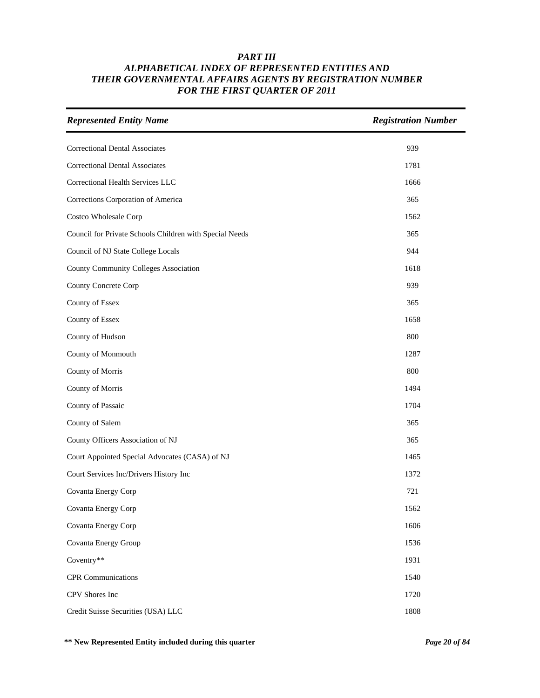| <b>Represented Entity Name</b>                          | <b>Registration Number</b> |
|---------------------------------------------------------|----------------------------|
| <b>Correctional Dental Associates</b>                   | 939                        |
| <b>Correctional Dental Associates</b>                   | 1781                       |
| Correctional Health Services LLC                        | 1666                       |
| Corrections Corporation of America                      | 365                        |
| Costco Wholesale Corp                                   | 1562                       |
| Council for Private Schools Children with Special Needs | 365                        |
| Council of NJ State College Locals                      | 944                        |
| County Community Colleges Association                   | 1618                       |
| County Concrete Corp                                    | 939                        |
| County of Essex                                         | 365                        |
| County of Essex                                         | 1658                       |
| County of Hudson                                        | 800                        |
| County of Monmouth                                      | 1287                       |
| County of Morris                                        | 800                        |
| County of Morris                                        | 1494                       |
| County of Passaic                                       | 1704                       |
| County of Salem                                         | 365                        |
| County Officers Association of NJ                       | 365                        |
| Court Appointed Special Advocates (CASA) of NJ          | 1465                       |
| Court Services Inc/Drivers History Inc                  | 1372                       |
| Covanta Energy Corp                                     | 721                        |
| Covanta Energy Corp                                     | 1562                       |
| Covanta Energy Corp                                     | 1606                       |
| Covanta Energy Group                                    | 1536                       |
| Coventry**                                              | 1931                       |
| <b>CPR</b> Communications                               | 1540                       |
| CPV Shores Inc                                          | 1720                       |
| Credit Suisse Securities (USA) LLC                      | 1808                       |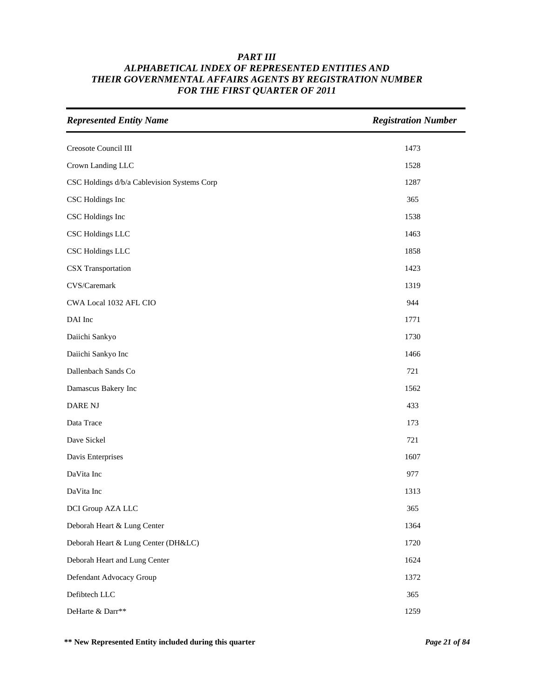| <b>Represented Entity Name</b>              | <b>Registration Number</b> |
|---------------------------------------------|----------------------------|
| Creosote Council III                        | 1473                       |
| Crown Landing LLC                           | 1528                       |
| CSC Holdings d/b/a Cablevision Systems Corp | 1287                       |
| CSC Holdings Inc                            | 365                        |
| CSC Holdings Inc                            | 1538                       |
| <b>CSC Holdings LLC</b>                     | 1463                       |
| CSC Holdings LLC                            | 1858                       |
| <b>CSX</b> Transportation                   | 1423                       |
| CVS/Caremark                                | 1319                       |
| CWA Local 1032 AFL CIO                      | 944                        |
| DAI Inc                                     | 1771                       |
| Daiichi Sankyo                              | 1730                       |
| Daiichi Sankyo Inc                          | 1466                       |
| Dallenbach Sands Co                         | 721                        |
| Damascus Bakery Inc                         | 1562                       |
| <b>DARE NJ</b>                              | 433                        |
| Data Trace                                  | 173                        |
| Dave Sickel                                 | 721                        |
| Davis Enterprises                           | 1607                       |
| DaVita Inc                                  | 977                        |
| DaVita Inc                                  | 1313                       |
| DCI Group AZA LLC                           | 365                        |
| Deborah Heart & Lung Center                 | 1364                       |
| Deborah Heart & Lung Center (DH&LC)         | 1720                       |
| Deborah Heart and Lung Center               | 1624                       |
| Defendant Advocacy Group                    | 1372                       |
| Defibtech LLC                               | 365                        |
| DeHarte & Darr**                            | 1259                       |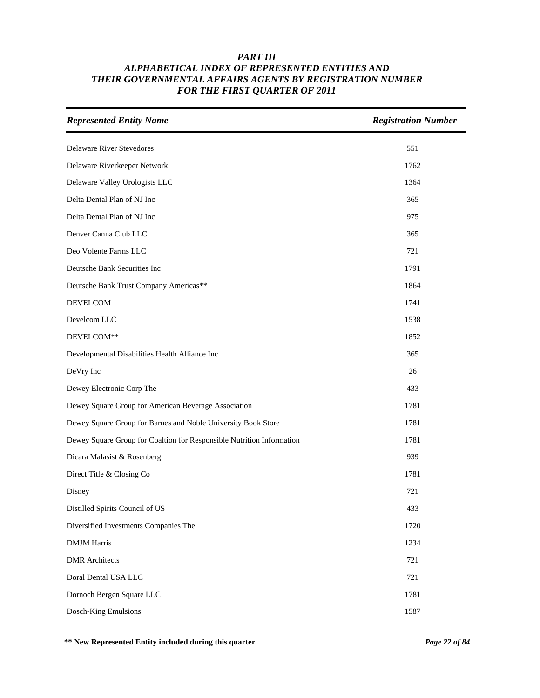| <b>Represented Entity Name</b>                                        | <b>Registration Number</b> |
|-----------------------------------------------------------------------|----------------------------|
| Delaware River Stevedores                                             | 551                        |
| Delaware Riverkeeper Network                                          | 1762                       |
| Delaware Valley Urologists LLC                                        | 1364                       |
| Delta Dental Plan of NJ Inc                                           | 365                        |
| Delta Dental Plan of NJ Inc                                           | 975                        |
| Denver Canna Club LLC                                                 | 365                        |
| Deo Volente Farms LLC                                                 | 721                        |
| Deutsche Bank Securities Inc                                          | 1791                       |
| Deutsche Bank Trust Company Americas**                                | 1864                       |
| <b>DEVELCOM</b>                                                       | 1741                       |
| Develcom LLC                                                          | 1538                       |
| DEVELCOM**                                                            | 1852                       |
| Developmental Disabilities Health Alliance Inc                        | 365                        |
| DeVry Inc                                                             | 26                         |
| Dewey Electronic Corp The                                             | 433                        |
| Dewey Square Group for American Beverage Association                  | 1781                       |
| Dewey Square Group for Barnes and Noble University Book Store         | 1781                       |
| Dewey Square Group for Coaltion for Responsible Nutrition Information | 1781                       |
| Dicara Malasist & Rosenberg                                           | 939                        |
| Direct Title & Closing Co                                             | 1781                       |
| Disney                                                                | 721                        |
| Distilled Spirits Council of US                                       | 433                        |
| Diversified Investments Companies The                                 | 1720                       |
| <b>DMJM Harris</b>                                                    | 1234                       |
| <b>DMR</b> Architects                                                 | 721                        |
| Doral Dental USA LLC                                                  | 721                        |
| Dornoch Bergen Square LLC                                             | 1781                       |
| Dosch-King Emulsions                                                  | 1587                       |

**\*\* New Represented Entity included during this quarter** *Page 22 of 84*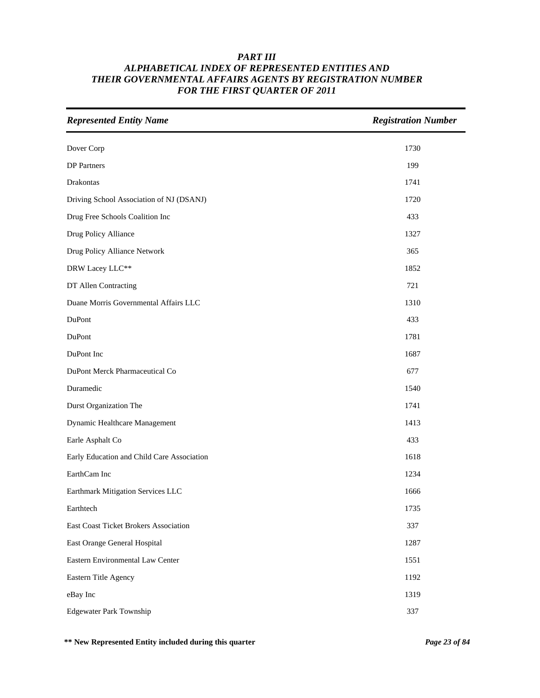| <b>Represented Entity Name</b>             | <b>Registration Number</b> |
|--------------------------------------------|----------------------------|
| Dover Corp                                 | 1730                       |
| <b>DP</b> Partners                         | 199                        |
| Drakontas                                  | 1741                       |
| Driving School Association of NJ (DSANJ)   | 1720                       |
| Drug Free Schools Coalition Inc            | 433                        |
| Drug Policy Alliance                       | 1327                       |
| Drug Policy Alliance Network               | 365                        |
| DRW Lacey LLC**                            | 1852                       |
| DT Allen Contracting                       | 721                        |
| Duane Morris Governmental Affairs LLC      | 1310                       |
| DuPont                                     | 433                        |
| DuPont                                     | 1781                       |
| DuPont Inc                                 | 1687                       |
| DuPont Merck Pharmaceutical Co             | 677                        |
| Duramedic                                  | 1540                       |
| <b>Durst Organization The</b>              | 1741                       |
| Dynamic Healthcare Management              | 1413                       |
| Earle Asphalt Co                           | 433                        |
| Early Education and Child Care Association | 1618                       |
| EarthCam Inc                               | 1234                       |
| Earthmark Mitigation Services LLC          | 1666                       |
| Earthtech                                  | 1735                       |
| East Coast Ticket Brokers Association      | 337                        |
| East Orange General Hospital               | 1287                       |
| Eastern Environmental Law Center           | 1551                       |
| Eastern Title Agency                       | 1192                       |
| eBay Inc                                   | 1319                       |
| <b>Edgewater Park Township</b>             | 337                        |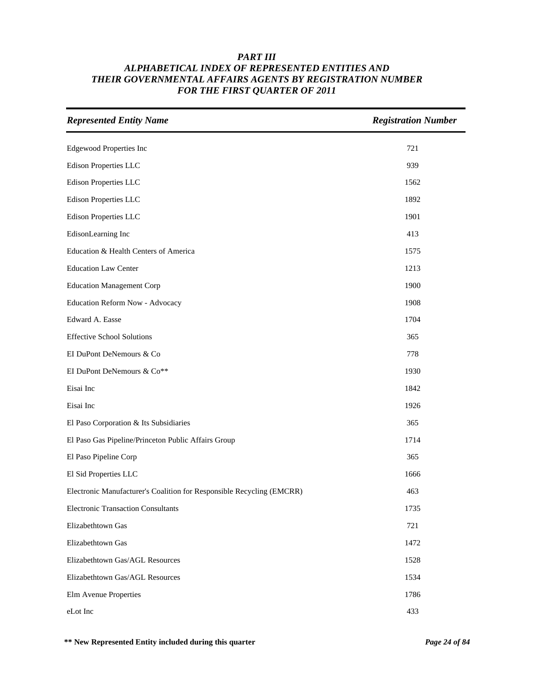| <b>Represented Entity Name</b>                                        | <b>Registration Number</b> |
|-----------------------------------------------------------------------|----------------------------|
| <b>Edgewood Properties Inc</b>                                        | 721                        |
| Edison Properties LLC                                                 | 939                        |
| <b>Edison Properties LLC</b>                                          | 1562                       |
| <b>Edison Properties LLC</b>                                          | 1892                       |
| <b>Edison Properties LLC</b>                                          | 1901                       |
| EdisonLearning Inc                                                    | 413                        |
| Education & Health Centers of America                                 | 1575                       |
| <b>Education Law Center</b>                                           | 1213                       |
| <b>Education Management Corp</b>                                      | 1900                       |
| Education Reform Now - Advocacy                                       | 1908                       |
| Edward A. Easse                                                       | 1704                       |
| <b>Effective School Solutions</b>                                     | 365                        |
| EI DuPont DeNemours & Co                                              | 778                        |
| EI DuPont DeNemours & Co**                                            | 1930                       |
| Eisai Inc                                                             | 1842                       |
| Eisai Inc                                                             | 1926                       |
| El Paso Corporation & Its Subsidiaries                                | 365                        |
| El Paso Gas Pipeline/Princeton Public Affairs Group                   | 1714                       |
| El Paso Pipeline Corp                                                 | 365                        |
| El Sid Properties LLC                                                 | 1666                       |
| Electronic Manufacturer's Coalition for Responsible Recycling (EMCRR) | 463                        |
| <b>Electronic Transaction Consultants</b>                             | 1735                       |
| Elizabethtown Gas                                                     | 721                        |
| Elizabethtown Gas                                                     | 1472                       |
| Elizabethtown Gas/AGL Resources                                       | 1528                       |
| Elizabethtown Gas/AGL Resources                                       | 1534                       |
| Elm Avenue Properties                                                 | 1786                       |
| eLot Inc                                                              | 433                        |

**\*\* New Represented Entity included during this quarter** *Page 24 of 84*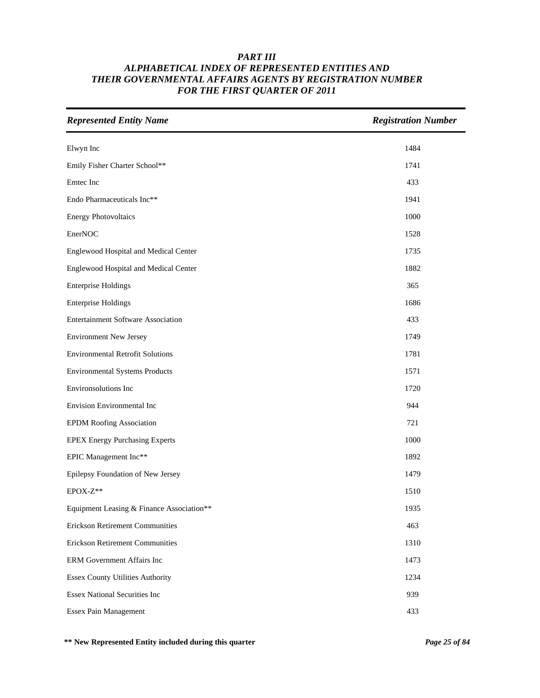| <b>Represented Entity Name</b>            | <b>Registration Number</b> |
|-------------------------------------------|----------------------------|
| Elwyn Inc                                 | 1484                       |
| Emily Fisher Charter School**             | 1741                       |
| Emtec Inc                                 | 433                        |
| Endo Pharmaceuticals Inc**                | 1941                       |
| <b>Energy Photovoltaics</b>               | 1000                       |
| EnerNOC                                   | 1528                       |
| Englewood Hospital and Medical Center     | 1735                       |
| Englewood Hospital and Medical Center     | 1882                       |
| <b>Enterprise Holdings</b>                | 365                        |
| <b>Enterprise Holdings</b>                | 1686                       |
| <b>Entertainment Software Association</b> | 433                        |
| <b>Environment New Jersey</b>             | 1749                       |
| <b>Environmental Retrofit Solutions</b>   | 1781                       |
| <b>Environmental Systems Products</b>     | 1571                       |
| Environsolutions Inc                      | 1720                       |
| Envision Environmental Inc                | 944                        |
| <b>EPDM Roofing Association</b>           | 721                        |
| <b>EPEX Energy Purchasing Experts</b>     | 1000                       |
| EPIC Management Inc**                     | 1892                       |
| Epilepsy Foundation of New Jersey         | 1479                       |
| EPOX-Z**                                  | 1510                       |
| Equipment Leasing & Finance Association** | 1935                       |
| <b>Erickson Retirement Communities</b>    | 463                        |
| <b>Erickson Retirement Communities</b>    | 1310                       |
| ERM Government Affairs Inc                | 1473                       |
| <b>Essex County Utilities Authority</b>   | 1234                       |
| <b>Essex National Securities Inc</b>      | 939                        |
| <b>Essex Pain Management</b>              | 433                        |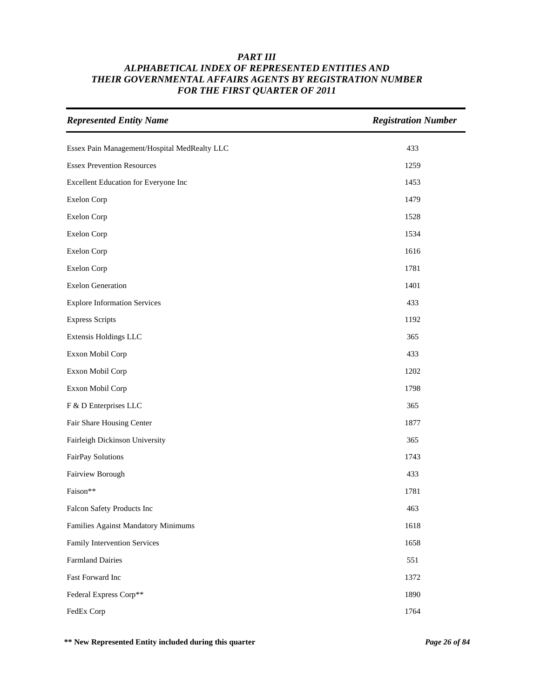| <b>Represented Entity Name</b>               | <b>Registration Number</b> |
|----------------------------------------------|----------------------------|
| Essex Pain Management/Hospital MedRealty LLC | 433                        |
| <b>Essex Prevention Resources</b>            | 1259                       |
| Excellent Education for Everyone Inc         | 1453                       |
| Exelon Corp                                  | 1479                       |
| Exelon Corp                                  | 1528                       |
| Exelon Corp                                  | 1534                       |
| Exelon Corp                                  | 1616                       |
| Exelon Corp                                  | 1781                       |
| <b>Exelon Generation</b>                     | 1401                       |
| <b>Explore Information Services</b>          | 433                        |
| <b>Express Scripts</b>                       | 1192                       |
| Extensis Holdings LLC                        | 365                        |
| Exxon Mobil Corp                             | 433                        |
| Exxon Mobil Corp                             | 1202                       |
| Exxon Mobil Corp                             | 1798                       |
| F & D Enterprises LLC                        | 365                        |
| Fair Share Housing Center                    | 1877                       |
| Fairleigh Dickinson University               | 365                        |
| FairPay Solutions                            | 1743                       |
| Fairview Borough                             | 433                        |
| Faison**                                     | 1781                       |
| Falcon Safety Products Inc                   | 463                        |
| Families Against Mandatory Minimums          | 1618                       |
| Family Intervention Services                 | 1658                       |
| <b>Farmland Dairies</b>                      | 551                        |
| Fast Forward Inc                             | 1372                       |
| Federal Express Corp**                       | 1890                       |
| FedEx Corp                                   | 1764                       |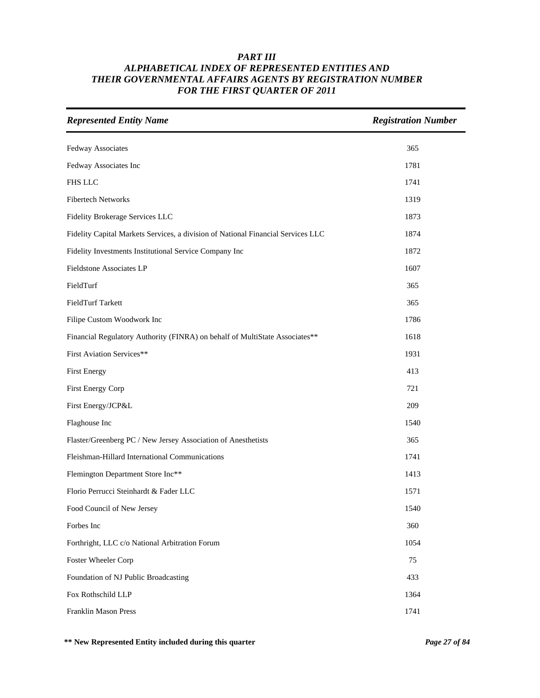| <b>Represented Entity Name</b>                                                   | <b>Registration Number</b> |
|----------------------------------------------------------------------------------|----------------------------|
| Fedway Associates                                                                | 365                        |
| Fedway Associates Inc                                                            | 1781                       |
| <b>FHS LLC</b>                                                                   | 1741                       |
| <b>Fibertech Networks</b>                                                        | 1319                       |
| Fidelity Brokerage Services LLC                                                  | 1873                       |
| Fidelity Capital Markets Services, a division of National Financial Services LLC | 1874                       |
| Fidelity Investments Institutional Service Company Inc                           | 1872                       |
| Fieldstone Associates LP                                                         | 1607                       |
| FieldTurf                                                                        | 365                        |
| FieldTurf Tarkett                                                                | 365                        |
| Filipe Custom Woodwork Inc                                                       | 1786                       |
| Financial Regulatory Authority (FINRA) on behalf of MultiState Associates**      | 1618                       |
| First Aviation Services**                                                        | 1931                       |
| <b>First Energy</b>                                                              | 413                        |
| First Energy Corp                                                                | 721                        |
| First Energy/JCP&L                                                               | 209                        |
| Flaghouse Inc                                                                    | 1540                       |
| Flaster/Greenberg PC / New Jersey Association of Anesthetists                    | 365                        |
| Fleishman-Hillard International Communications                                   | 1741                       |
| Flemington Department Store Inc**                                                | 1413                       |
| Florio Perrucci Steinhardt & Fader LLC                                           | 1571                       |
| Food Council of New Jersey                                                       | 1540                       |
| Forbes Inc                                                                       | 360                        |
| Forthright, LLC c/o National Arbitration Forum                                   | 1054                       |
| Foster Wheeler Corp                                                              | 75                         |
| Foundation of NJ Public Broadcasting                                             | 433                        |
| Fox Rothschild LLP                                                               | 1364                       |
| Franklin Mason Press                                                             | 1741                       |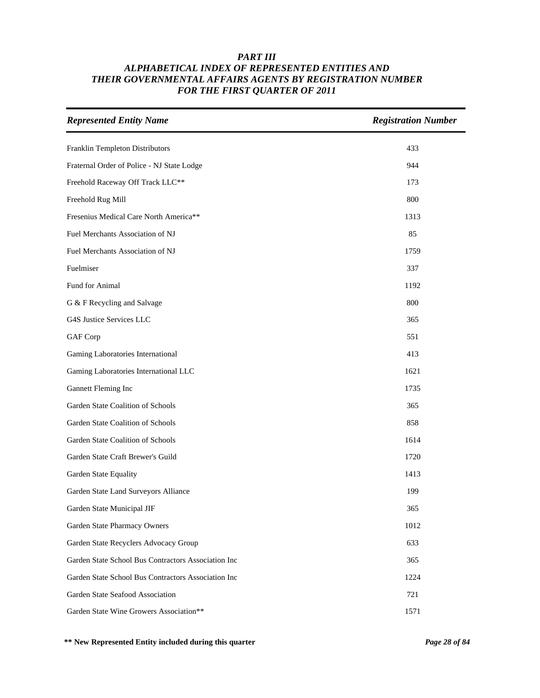| <b>Represented Entity Name</b>                      | <b>Registration Number</b> |
|-----------------------------------------------------|----------------------------|
| Franklin Templeton Distributors                     | 433                        |
| Fraternal Order of Police - NJ State Lodge          | 944                        |
| Freehold Raceway Off Track LLC**                    | 173                        |
| Freehold Rug Mill                                   | 800                        |
| Fresenius Medical Care North America**              | 1313                       |
| Fuel Merchants Association of NJ                    | 85                         |
| Fuel Merchants Association of NJ                    | 1759                       |
| Fuelmiser                                           | 337                        |
| Fund for Animal                                     | 1192                       |
| G & F Recycling and Salvage                         | 800                        |
| G4S Justice Services LLC                            | 365                        |
| GAF Corp                                            | 551                        |
| Gaming Laboratories International                   | 413                        |
| Gaming Laboratories International LLC               | 1621                       |
| Gannett Fleming Inc                                 | 1735                       |
| Garden State Coalition of Schools                   | 365                        |
| Garden State Coalition of Schools                   | 858                        |
| Garden State Coalition of Schools                   | 1614                       |
| Garden State Craft Brewer's Guild                   | 1720                       |
| Garden State Equality                               | 1413                       |
| Garden State Land Surveyors Alliance                | 199                        |
| Garden State Municipal JIF                          | 365                        |
| Garden State Pharmacy Owners                        | 1012                       |
| Garden State Recyclers Advocacy Group               | 633                        |
| Garden State School Bus Contractors Association Inc | 365                        |
| Garden State School Bus Contractors Association Inc | 1224                       |
| Garden State Seafood Association                    | 721                        |
| Garden State Wine Growers Association**             | 1571                       |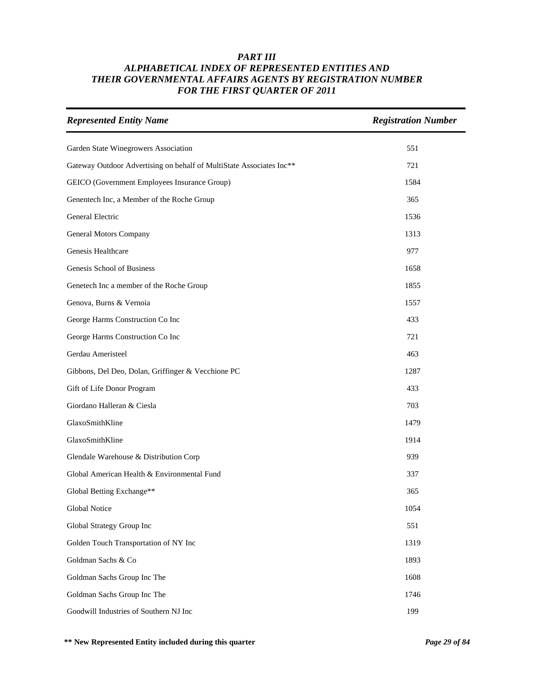| <b>Represented Entity Name</b>                                       | <b>Registration Number</b> |
|----------------------------------------------------------------------|----------------------------|
| Garden State Winegrowers Association                                 | 551                        |
| Gateway Outdoor Advertising on behalf of MultiState Associates Inc** | 721                        |
| GEICO (Government Employees Insurance Group)                         | 1584                       |
| Genentech Inc, a Member of the Roche Group                           | 365                        |
| General Electric                                                     | 1536                       |
| General Motors Company                                               | 1313                       |
| Genesis Healthcare                                                   | 977                        |
| Genesis School of Business                                           | 1658                       |
| Genetech Inc a member of the Roche Group                             | 1855                       |
| Genova, Burns & Vernoia                                              | 1557                       |
| George Harms Construction Co Inc                                     | 433                        |
| George Harms Construction Co Inc                                     | 721                        |
| Gerdau Ameristeel                                                    | 463                        |
| Gibbons, Del Deo, Dolan, Griffinger & Vecchione PC                   | 1287                       |
| Gift of Life Donor Program                                           | 433                        |
| Giordano Halleran & Ciesla                                           | 703                        |
| GlaxoSmithKline                                                      | 1479                       |
| GlaxoSmithKline                                                      | 1914                       |
| Glendale Warehouse & Distribution Corp                               | 939                        |
| Global American Health & Environmental Fund                          | 337                        |
| Global Betting Exchange**                                            | 365                        |
| Global Notice                                                        | 1054                       |
| Global Strategy Group Inc                                            | 551                        |
| Golden Touch Transportation of NY Inc                                | 1319                       |
| Goldman Sachs & Co                                                   | 1893                       |
| Goldman Sachs Group Inc The                                          | 1608                       |
| Goldman Sachs Group Inc The                                          | 1746                       |
| Goodwill Industries of Southern NJ Inc                               | 199                        |

**\*\* New Represented Entity included during this quarter** *Page 29 of 84*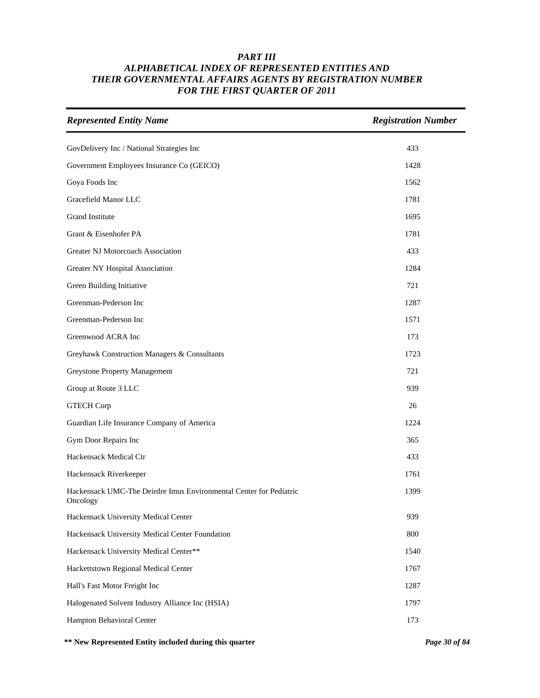| <b>Represented Entity Name</b>                                                 | <b>Registration Number</b> |
|--------------------------------------------------------------------------------|----------------------------|
| GovDelivery Inc / National Strategies Inc                                      | 433                        |
| Government Employees Insurance Co (GEICO)                                      | 1428                       |
| Goya Foods Inc                                                                 | 1562                       |
| Gracefield Manor LLC                                                           | 1781                       |
| <b>Grand Institute</b>                                                         | 1695                       |
| Grant & Eisenhofer PA                                                          | 1781                       |
| Greater NJ Motorcoach Association                                              | 433                        |
| Greater NY Hospital Association                                                | 1284                       |
| Green Building Initiative                                                      | 721                        |
| Greenman-Pederson Inc                                                          | 1287                       |
| Greenman-Pederson Inc                                                          | 1571                       |
| Greenwood ACRA Inc                                                             | 173                        |
| Greyhawk Construction Managers & Consultants                                   | 1723                       |
| <b>Greystone Property Management</b>                                           | 721                        |
| Group at Route 3 LLC                                                           | 939                        |
| <b>GTECH Corp</b>                                                              | 26                         |
| Guardian Life Insurance Company of America                                     | 1224                       |
| Gym Door Repairs Inc                                                           | 365                        |
| Hackensack Medical Ctr                                                         | 433                        |
| Hackensack Riverkeeper                                                         | 1761                       |
| Hackensack UMC-The Deirdre Imus Environmental Center for Pediatric<br>Oncology | 1399                       |
| Hackensack University Medical Center                                           | 939                        |
| Hackensack University Medical Center Foundation                                | 800                        |
| Hackensack University Medical Center**                                         | 1540                       |
| Hackettstown Regional Medical Center                                           | 1767                       |
| Hall's Fast Motor Freight Inc                                                  | 1287                       |
| Halogenated Solvent Industry Alliance Inc (HSIA)                               | 1797                       |
| Hampton Behavioral Center                                                      | 173                        |

**\*\* New Represented Entity included during this quarter** *Page 30 of 84*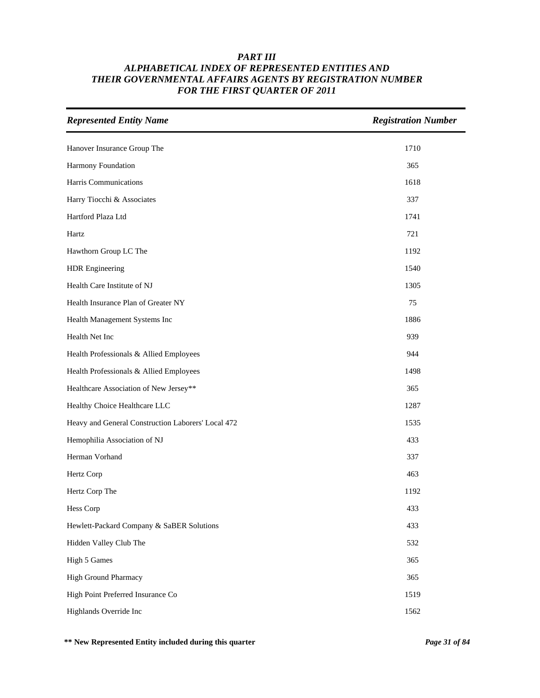| <b>Represented Entity Name</b>                     | <b>Registration Number</b> |
|----------------------------------------------------|----------------------------|
| Hanover Insurance Group The                        | 1710                       |
| Harmony Foundation                                 | 365                        |
| Harris Communications                              | 1618                       |
| Harry Tiocchi & Associates                         | 337                        |
| Hartford Plaza Ltd                                 | 1741                       |
| Hartz                                              | 721                        |
| Hawthorn Group LC The                              | 1192                       |
| <b>HDR</b> Engineering                             | 1540                       |
| Health Care Institute of NJ                        | 1305                       |
| Health Insurance Plan of Greater NY                | 75                         |
| Health Management Systems Inc                      | 1886                       |
| Health Net Inc                                     | 939                        |
| Health Professionals & Allied Employees            | 944                        |
| Health Professionals & Allied Employees            | 1498                       |
| Healthcare Association of New Jersey**             | 365                        |
| Healthy Choice Healthcare LLC                      | 1287                       |
| Heavy and General Construction Laborers' Local 472 | 1535                       |
| Hemophilia Association of NJ                       | 433                        |
| Herman Vorhand                                     | 337                        |
| Hertz Corp                                         | 463                        |
| Hertz Corp The                                     | 1192                       |
| Hess Corp                                          | 433                        |
| Hewlett-Packard Company & SaBER Solutions          | 433                        |
| Hidden Valley Club The                             | 532                        |
| High 5 Games                                       | 365                        |
| High Ground Pharmacy                               | 365                        |
| High Point Preferred Insurance Co                  | 1519                       |
| Highlands Override Inc                             | 1562                       |

**\*\* New Represented Entity included during this quarter** *Page 31 of 84*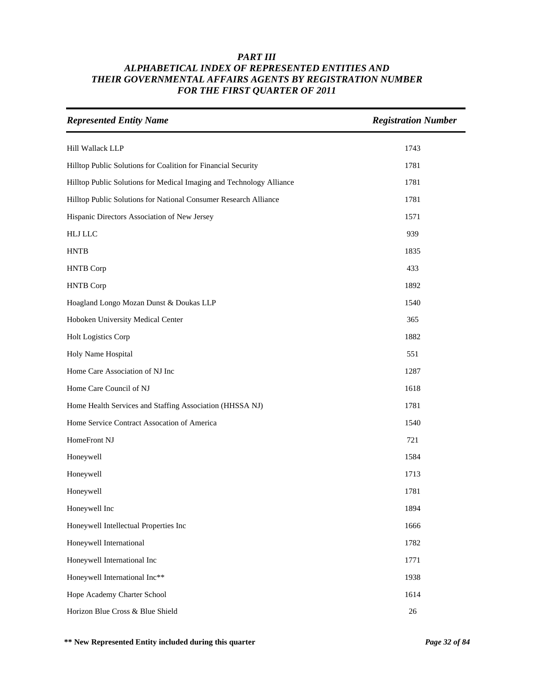| <b>Represented Entity Name</b>                                       | <b>Registration Number</b> |
|----------------------------------------------------------------------|----------------------------|
| Hill Wallack LLP                                                     | 1743                       |
| Hilltop Public Solutions for Coalition for Financial Security        | 1781                       |
| Hilltop Public Solutions for Medical Imaging and Technology Alliance | 1781                       |
| Hilltop Public Solutions for National Consumer Research Alliance     | 1781                       |
| Hispanic Directors Association of New Jersey                         | 1571                       |
| <b>HLJ LLC</b>                                                       | 939                        |
| <b>HNTB</b>                                                          | 1835                       |
| <b>HNTB</b> Corp                                                     | 433                        |
| <b>HNTB</b> Corp                                                     | 1892                       |
| Hoagland Longo Mozan Dunst & Doukas LLP                              | 1540                       |
| Hoboken University Medical Center                                    | 365                        |
| Holt Logistics Corp                                                  | 1882                       |
| Holy Name Hospital                                                   | 551                        |
| Home Care Association of NJ Inc                                      | 1287                       |
| Home Care Council of NJ                                              | 1618                       |
| Home Health Services and Staffing Association (HHSSA NJ)             | 1781                       |
| Home Service Contract Assocation of America                          | 1540                       |
| HomeFront NJ                                                         | 721                        |
| Honeywell                                                            | 1584                       |
| Honeywell                                                            | 1713                       |
| Honeywell                                                            | 1781                       |
| Honeywell Inc                                                        | 1894                       |
| Honeywell Intellectual Properties Inc                                | 1666                       |
| Honeywell International                                              | 1782                       |
| Honeywell International Inc                                          | 1771                       |
| Honeywell International Inc**                                        | 1938                       |
| Hope Academy Charter School                                          | 1614                       |
| Horizon Blue Cross & Blue Shield                                     | $26\,$                     |

**\*\* New Represented Entity included during this quarter** *Page 32 of 84*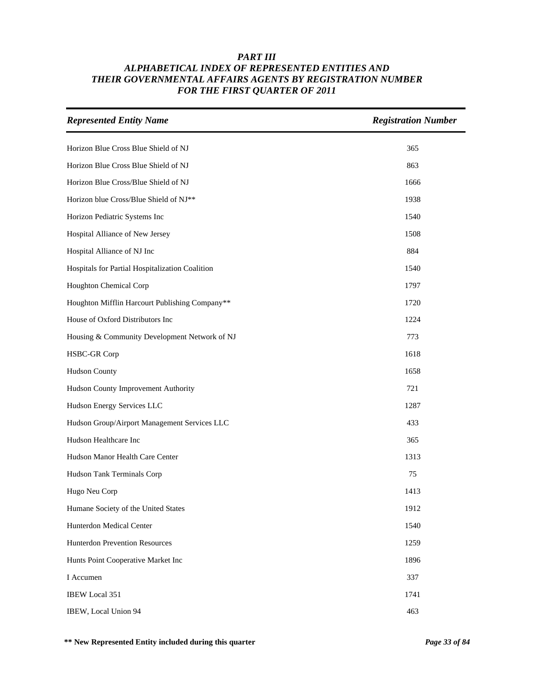| <b>Represented Entity Name</b>                  | <b>Registration Number</b> |
|-------------------------------------------------|----------------------------|
| Horizon Blue Cross Blue Shield of NJ            | 365                        |
| Horizon Blue Cross Blue Shield of NJ            | 863                        |
| Horizon Blue Cross/Blue Shield of NJ            | 1666                       |
| Horizon blue Cross/Blue Shield of NJ**          | 1938                       |
| Horizon Pediatric Systems Inc                   | 1540                       |
| Hospital Alliance of New Jersey                 | 1508                       |
| Hospital Alliance of NJ Inc                     | 884                        |
| Hospitals for Partial Hospitalization Coalition | 1540                       |
| Houghton Chemical Corp                          | 1797                       |
| Houghton Mifflin Harcourt Publishing Company**  | 1720                       |
| House of Oxford Distributors Inc                | 1224                       |
| Housing & Community Development Network of NJ   | 773                        |
| <b>HSBC-GR Corp</b>                             | 1618                       |
| <b>Hudson County</b>                            | 1658                       |
| Hudson County Improvement Authority             | 721                        |
| Hudson Energy Services LLC                      | 1287                       |
| Hudson Group/Airport Management Services LLC    | 433                        |
| Hudson Healthcare Inc                           | 365                        |
| Hudson Manor Health Care Center                 | 1313                       |
| Hudson Tank Terminals Corp                      | 75                         |
| Hugo Neu Corp                                   | 1413                       |
| Humane Society of the United States             | 1912                       |
| Hunterdon Medical Center                        | 1540                       |
| <b>Hunterdon Prevention Resources</b>           | 1259                       |
| Hunts Point Cooperative Market Inc              | 1896                       |
| I Accumen                                       | 337                        |
| <b>IBEW Local 351</b>                           | 1741                       |
| IBEW, Local Union 94                            | 463                        |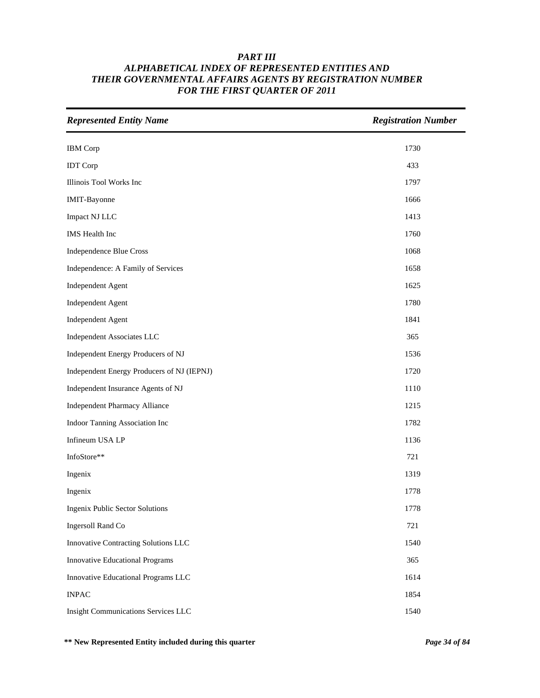| <b>Represented Entity Name</b>             | <b>Registration Number</b> |
|--------------------------------------------|----------------------------|
| <b>IBM</b> Corp                            | 1730                       |
| <b>IDT</b> Corp                            | 433                        |
| Illinois Tool Works Inc                    | 1797                       |
| <b>IMIT-Bayonne</b>                        | 1666                       |
| Impact NJ LLC                              | 1413                       |
| <b>IMS</b> Health Inc                      | 1760                       |
| Independence Blue Cross                    | 1068                       |
| Independence: A Family of Services         | 1658                       |
| <b>Independent Agent</b>                   | 1625                       |
| <b>Independent Agent</b>                   | 1780                       |
| Independent Agent                          | 1841                       |
| Independent Associates LLC                 | 365                        |
| Independent Energy Producers of NJ         | 1536                       |
| Independent Energy Producers of NJ (IEPNJ) | 1720                       |
| Independent Insurance Agents of NJ         | 1110                       |
| <b>Independent Pharmacy Alliance</b>       | 1215                       |
| Indoor Tanning Association Inc             | 1782                       |
| Infineum USA LP                            | 1136                       |
| InfoStore**                                | 721                        |
| Ingenix                                    | 1319                       |
| Ingenix                                    | 1778                       |
| <b>Ingenix Public Sector Solutions</b>     | 1778                       |
| Ingersoll Rand Co                          | 721                        |
| Innovative Contracting Solutions LLC       | 1540                       |
| <b>Innovative Educational Programs</b>     | 365                        |
| Innovative Educational Programs LLC        | 1614                       |
| <b>INPAC</b>                               | 1854                       |
| Insight Communications Services LLC        | 1540                       |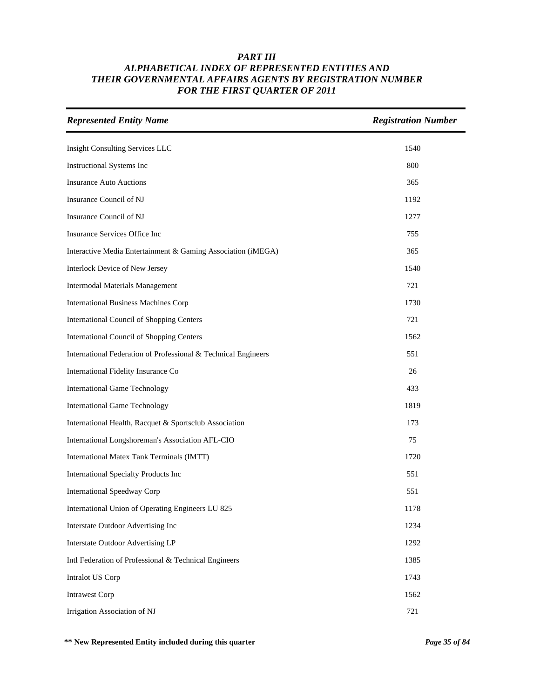| <b>Represented Entity Name</b>                                 | <b>Registration Number</b> |
|----------------------------------------------------------------|----------------------------|
| <b>Insight Consulting Services LLC</b>                         | 1540                       |
| Instructional Systems Inc                                      | 800                        |
| <b>Insurance Auto Auctions</b>                                 | 365                        |
| Insurance Council of NJ                                        | 1192                       |
| Insurance Council of NJ                                        | 1277                       |
| Insurance Services Office Inc                                  | 755                        |
| Interactive Media Entertainment & Gaming Association (iMEGA)   | 365                        |
| Interlock Device of New Jersey                                 | 1540                       |
| <b>Intermodal Materials Management</b>                         | 721                        |
| <b>International Business Machines Corp</b>                    | 1730                       |
| <b>International Council of Shopping Centers</b>               | 721                        |
| <b>International Council of Shopping Centers</b>               | 1562                       |
| International Federation of Professional & Technical Engineers | 551                        |
| International Fidelity Insurance Co                            | 26                         |
| <b>International Game Technology</b>                           | 433                        |
| <b>International Game Technology</b>                           | 1819                       |
| International Health, Racquet & Sportsclub Association         | 173                        |
| International Longshoreman's Association AFL-CIO               | 75                         |
| International Matex Tank Terminals (IMTT)                      | 1720                       |
| <b>International Specialty Products Inc</b>                    | 551                        |
| <b>International Speedway Corp</b>                             | 551                        |
| International Union of Operating Engineers LU 825              | 1178                       |
| Interstate Outdoor Advertising Inc                             | 1234                       |
| <b>Interstate Outdoor Advertising LP</b>                       | 1292                       |
| Intl Federation of Professional & Technical Engineers          | 1385                       |
| Intralot US Corp                                               | 1743                       |
| <b>Intrawest Corp</b>                                          | 1562                       |
| Irrigation Association of NJ                                   | 721                        |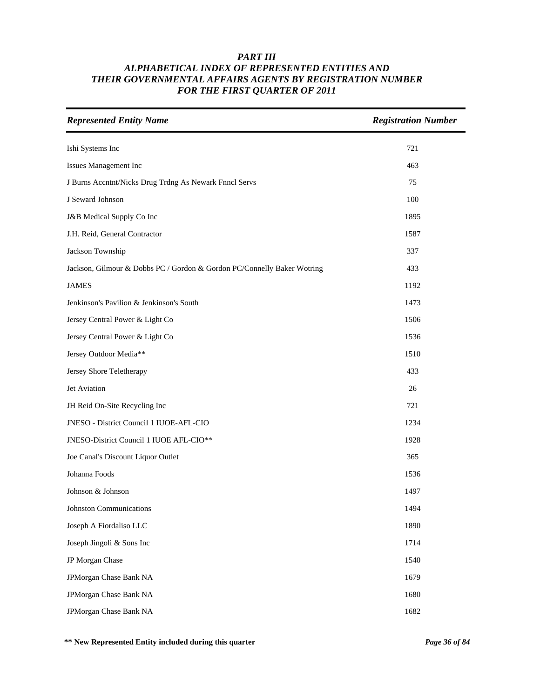| <b>Represented Entity Name</b>                                          | <b>Registration Number</b> |
|-------------------------------------------------------------------------|----------------------------|
| Ishi Systems Inc                                                        | 721                        |
| Issues Management Inc                                                   | 463                        |
| J Burns Accntnt/Nicks Drug Trdng As Newark Fnncl Servs                  | 75                         |
| J Seward Johnson                                                        | 100                        |
| J&B Medical Supply Co Inc                                               | 1895                       |
| J.H. Reid, General Contractor                                           | 1587                       |
| Jackson Township                                                        | 337                        |
| Jackson, Gilmour & Dobbs PC / Gordon & Gordon PC/Connelly Baker Wotring | 433                        |
| <b>JAMES</b>                                                            | 1192                       |
| Jenkinson's Pavilion & Jenkinson's South                                | 1473                       |
| Jersey Central Power & Light Co                                         | 1506                       |
| Jersey Central Power & Light Co                                         | 1536                       |
| Jersey Outdoor Media**                                                  | 1510                       |
| Jersey Shore Teletherapy                                                | 433                        |
| Jet Aviation                                                            | 26                         |
| JH Reid On-Site Recycling Inc                                           | 721                        |
| JNESO - District Council 1 IUOE-AFL-CIO                                 | 1234                       |
| JNESO-District Council 1 IUOE AFL-CIO**                                 | 1928                       |
| Joe Canal's Discount Liquor Outlet                                      | 365                        |
| Johanna Foods                                                           | 1536                       |
| Johnson & Johnson                                                       | 1497                       |
| Johnston Communications                                                 | 1494                       |
| Joseph A Fiordaliso LLC                                                 | 1890                       |
| Joseph Jingoli & Sons Inc                                               | 1714                       |
| JP Morgan Chase                                                         | 1540                       |
| JPMorgan Chase Bank NA                                                  | 1679                       |
| JPMorgan Chase Bank NA                                                  | 1680                       |
| JPMorgan Chase Bank NA                                                  | 1682                       |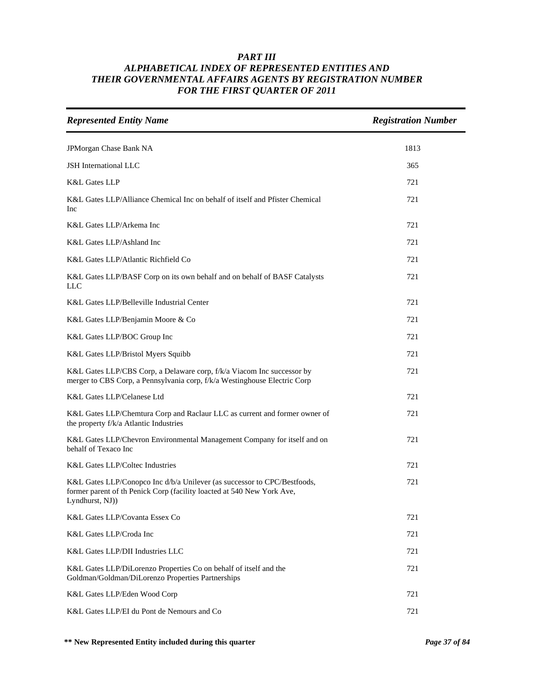| <b>Represented Entity Name</b>                                                                                                                                       | <b>Registration Number</b> |
|----------------------------------------------------------------------------------------------------------------------------------------------------------------------|----------------------------|
| JPMorgan Chase Bank NA                                                                                                                                               | 1813                       |
| <b>JSH</b> International LLC                                                                                                                                         | 365                        |
| <b>K&amp;L Gates LLP</b>                                                                                                                                             | 721                        |
| K&L Gates LLP/Alliance Chemical Inc on behalf of itself and Pfister Chemical<br>Inc                                                                                  | 721                        |
| K&L Gates LLP/Arkema Inc                                                                                                                                             | 721                        |
| K&L Gates LLP/Ashland Inc                                                                                                                                            | 721                        |
| K&L Gates LLP/Atlantic Richfield Co                                                                                                                                  | 721                        |
| K&L Gates LLP/BASF Corp on its own behalf and on behalf of BASF Catalysts<br>LLC                                                                                     | 721                        |
| K&L Gates LLP/Belleville Industrial Center                                                                                                                           | 721                        |
| K&L Gates LLP/Benjamin Moore & Co                                                                                                                                    | 721                        |
| K&L Gates LLP/BOC Group Inc                                                                                                                                          | 721                        |
| K&L Gates LLP/Bristol Myers Squibb                                                                                                                                   | 721                        |
| K&L Gates LLP/CBS Corp, a Delaware corp, f/k/a Viacom Inc successor by<br>merger to CBS Corp, a Pennsylvania corp, f/k/a Westinghouse Electric Corp                  | 721                        |
| K&L Gates LLP/Celanese Ltd                                                                                                                                           | 721                        |
| K&L Gates LLP/Chemtura Corp and Raclaur LLC as current and former owner of<br>the property f/k/a Atlantic Industries                                                 | 721                        |
| K&L Gates LLP/Chevron Environmental Management Company for itself and on<br>behalf of Texaco Inc                                                                     | 721                        |
| <b>K&amp;L Gates LLP/Coltec Industries</b>                                                                                                                           | 721                        |
| K&L Gates LLP/Conopco Inc d/b/a Unilever (as successor to CPC/Bestfoods,<br>former parent of th Penick Corp (facility loacted at 540 New York Ave,<br>Lyndhurst, NJ) | 721                        |
| K&L Gates LLP/Covanta Essex Co                                                                                                                                       | 721                        |
| K&L Gates LLP/Croda Inc                                                                                                                                              | 721                        |
| K&L Gates LLP/DII Industries LLC                                                                                                                                     | 721                        |
| K&L Gates LLP/DiLorenzo Properties Co on behalf of itself and the<br>Goldman/Goldman/DiLorenzo Properties Partnerships                                               | 721                        |
| K&L Gates LLP/Eden Wood Corp                                                                                                                                         | 721                        |
| K&L Gates LLP/EI du Pont de Nemours and Co                                                                                                                           | 721                        |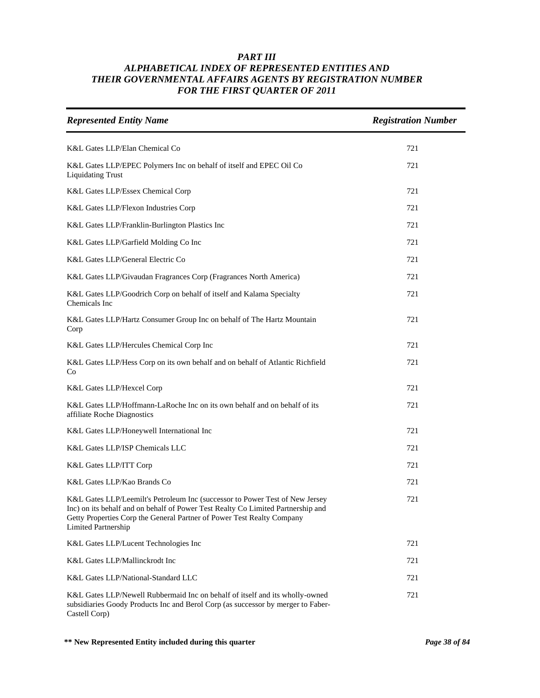| <b>Represented Entity Name</b>                                                                                                                                                                                                                                           | <b>Registration Number</b> |
|--------------------------------------------------------------------------------------------------------------------------------------------------------------------------------------------------------------------------------------------------------------------------|----------------------------|
| K&L Gates LLP/Elan Chemical Co                                                                                                                                                                                                                                           | 721                        |
| K&L Gates LLP/EPEC Polymers Inc on behalf of itself and EPEC Oil Co<br><b>Liquidating Trust</b>                                                                                                                                                                          | 721                        |
| K&L Gates LLP/Essex Chemical Corp                                                                                                                                                                                                                                        | 721                        |
| K&L Gates LLP/Flexon Industries Corp                                                                                                                                                                                                                                     | 721                        |
| K&L Gates LLP/Franklin-Burlington Plastics Inc                                                                                                                                                                                                                           | 721                        |
| K&L Gates LLP/Garfield Molding Co Inc                                                                                                                                                                                                                                    | 721                        |
| K&L Gates LLP/General Electric Co                                                                                                                                                                                                                                        | 721                        |
| K&L Gates LLP/Givaudan Fragrances Corp (Fragrances North America)                                                                                                                                                                                                        | 721                        |
| K&L Gates LLP/Goodrich Corp on behalf of itself and Kalama Specialty<br>Chemicals Inc                                                                                                                                                                                    | 721                        |
| K&L Gates LLP/Hartz Consumer Group Inc on behalf of The Hartz Mountain<br>Corp                                                                                                                                                                                           | 721                        |
| K&L Gates LLP/Hercules Chemical Corp Inc                                                                                                                                                                                                                                 | 721                        |
| K&L Gates LLP/Hess Corp on its own behalf and on behalf of Atlantic Richfield<br>Co                                                                                                                                                                                      | 721                        |
| K&L Gates LLP/Hexcel Corp                                                                                                                                                                                                                                                | 721                        |
| K&L Gates LLP/Hoffmann-LaRoche Inc on its own behalf and on behalf of its<br>affiliate Roche Diagnostics                                                                                                                                                                 | 721                        |
| K&L Gates LLP/Honeywell International Inc                                                                                                                                                                                                                                | 721                        |
| K&L Gates LLP/ISP Chemicals LLC                                                                                                                                                                                                                                          | 721                        |
| K&L Gates LLP/ITT Corp                                                                                                                                                                                                                                                   | 721                        |
| K&L Gates LLP/Kao Brands Co                                                                                                                                                                                                                                              | 721                        |
| K&L Gates LLP/Leemilt's Petroleum Inc (successor to Power Test of New Jersey<br>Inc) on its behalf and on behalf of Power Test Realty Co Limited Partnership and<br>Getty Properties Corp the General Partner of Power Test Realty Company<br><b>Limited Partnership</b> | 721                        |
| K&L Gates LLP/Lucent Technologies Inc                                                                                                                                                                                                                                    | 721                        |
| K&L Gates LLP/Mallinckrodt Inc                                                                                                                                                                                                                                           | 721                        |
| K&L Gates LLP/National-Standard LLC                                                                                                                                                                                                                                      | 721                        |
| K&L Gates LLP/Newell Rubbermaid Inc on behalf of itself and its wholly-owned<br>subsidiaries Goody Products Inc and Berol Corp (as successor by merger to Faber-<br>Castell Corp)                                                                                        | 721                        |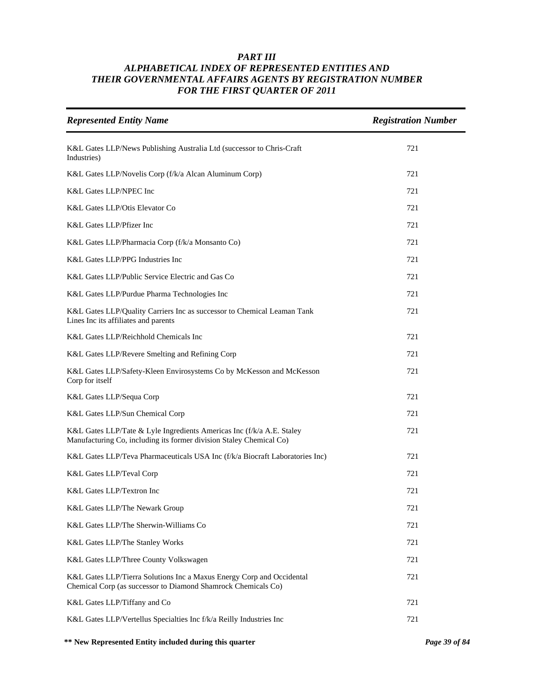| <b>Represented Entity Name</b>                                                                                                               | <b>Registration Number</b> |
|----------------------------------------------------------------------------------------------------------------------------------------------|----------------------------|
| K&L Gates LLP/News Publishing Australia Ltd (successor to Chris-Craft<br>Industries)                                                         | 721                        |
| K&L Gates LLP/Novelis Corp (f/k/a Alcan Aluminum Corp)                                                                                       | 721                        |
| K&L Gates LLP/NPEC Inc                                                                                                                       | 721                        |
| K&L Gates LLP/Otis Elevator Co                                                                                                               | 721                        |
| K&L Gates LLP/Pfizer Inc                                                                                                                     | 721                        |
| K&L Gates LLP/Pharmacia Corp (f/k/a Monsanto Co)                                                                                             | 721                        |
| K&L Gates LLP/PPG Industries Inc                                                                                                             | 721                        |
| K&L Gates LLP/Public Service Electric and Gas Co                                                                                             | 721                        |
| K&L Gates LLP/Purdue Pharma Technologies Inc                                                                                                 | 721                        |
| K&L Gates LLP/Quality Carriers Inc as successor to Chemical Leaman Tank<br>Lines Inc its affiliates and parents                              | 721                        |
| K&L Gates LLP/Reichhold Chemicals Inc                                                                                                        | 721                        |
| K&L Gates LLP/Revere Smelting and Refining Corp                                                                                              | 721                        |
| K&L Gates LLP/Safety-Kleen Envirosystems Co by McKesson and McKesson<br>Corp for itself                                                      | 721                        |
| K&L Gates LLP/Sequa Corp                                                                                                                     | 721                        |
| K&L Gates LLP/Sun Chemical Corp                                                                                                              | 721                        |
| K&L Gates LLP/Tate & Lyle Ingredients Americas Inc (f/k/a A.E. Staley<br>Manufacturing Co, including its former division Staley Chemical Co) | 721                        |
| K&L Gates LLP/Teva Pharmaceuticals USA Inc (f/k/a Biocraft Laboratories Inc)                                                                 | 721                        |
| K&L Gates LLP/Teval Corp                                                                                                                     | 721                        |
| K&L Gates LLP/Textron Inc                                                                                                                    | 721                        |
| K&L Gates LLP/The Newark Group                                                                                                               | 721                        |
| K&L Gates LLP/The Sherwin-Williams Co                                                                                                        | 721                        |
| K&L Gates LLP/The Stanley Works                                                                                                              | 721                        |
| K&L Gates LLP/Three County Volkswagen                                                                                                        | 721                        |
| K&L Gates LLP/Tierra Solutions Inc a Maxus Energy Corp and Occidental<br>Chemical Corp (as successor to Diamond Shamrock Chemicals Co)       | 721                        |
| K&L Gates LLP/Tiffany and Co                                                                                                                 | 721                        |
| K&L Gates LLP/Vertellus Specialties Inc f/k/a Reilly Industries Inc                                                                          | 721                        |

**\*\* New Represented Entity included during this quarter** *Page 39 of 84*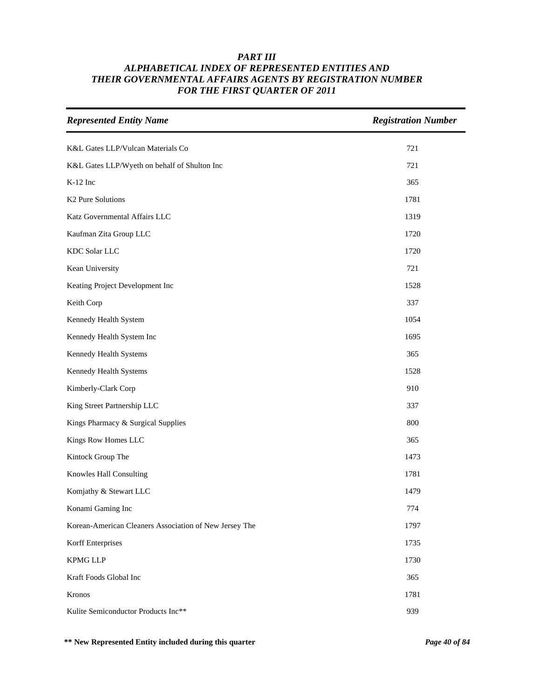| <b>Represented Entity Name</b>                         | <b>Registration Number</b> |
|--------------------------------------------------------|----------------------------|
| K&L Gates LLP/Vulcan Materials Co                      | 721                        |
| K&L Gates LLP/Wyeth on behalf of Shulton Inc           | 721                        |
| K-12 Inc                                               | 365                        |
| K2 Pure Solutions                                      | 1781                       |
| Katz Governmental Affairs LLC                          | 1319                       |
| Kaufman Zita Group LLC                                 | 1720                       |
| KDC Solar LLC                                          | 1720                       |
| Kean University                                        | 721                        |
| Keating Project Development Inc                        | 1528                       |
| Keith Corp                                             | 337                        |
| Kennedy Health System                                  | 1054                       |
| Kennedy Health System Inc                              | 1695                       |
| Kennedy Health Systems                                 | 365                        |
| Kennedy Health Systems                                 | 1528                       |
| Kimberly-Clark Corp                                    | 910                        |
| King Street Partnership LLC                            | 337                        |
| Kings Pharmacy & Surgical Supplies                     | 800                        |
| Kings Row Homes LLC                                    | 365                        |
| Kintock Group The                                      | 1473                       |
| Knowles Hall Consulting                                | 1781                       |
| Komjathy & Stewart LLC                                 | 1479                       |
| Konami Gaming Inc                                      | 774                        |
| Korean-American Cleaners Association of New Jersey The | 1797                       |
| Korff Enterprises                                      | 1735                       |
| <b>KPMG LLP</b>                                        | 1730                       |
| Kraft Foods Global Inc                                 | 365                        |
| Kronos                                                 | 1781                       |
| Kulite Semiconductor Products Inc**                    | 939                        |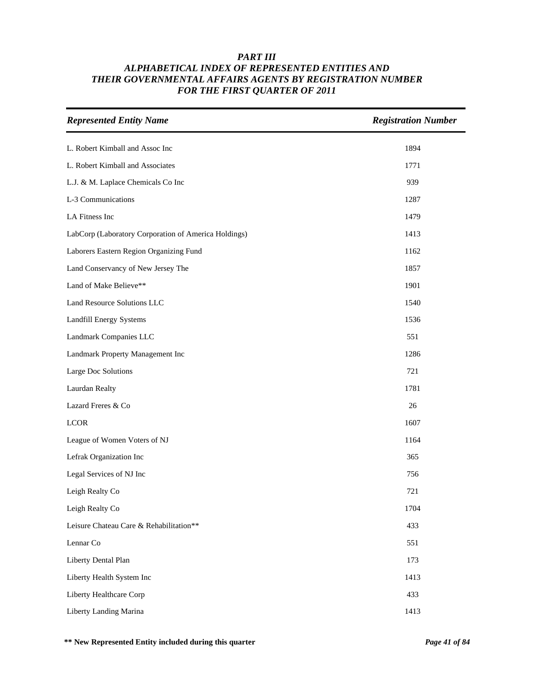| <b>Represented Entity Name</b>                       | <b>Registration Number</b> |
|------------------------------------------------------|----------------------------|
| L. Robert Kimball and Assoc Inc                      | 1894                       |
| L. Robert Kimball and Associates                     | 1771                       |
| L.J. & M. Laplace Chemicals Co Inc                   | 939                        |
| L-3 Communications                                   | 1287                       |
| LA Fitness Inc                                       | 1479                       |
| LabCorp (Laboratory Corporation of America Holdings) | 1413                       |
| Laborers Eastern Region Organizing Fund              | 1162                       |
| Land Conservancy of New Jersey The                   | 1857                       |
| Land of Make Believe**                               | 1901                       |
| Land Resource Solutions LLC                          | 1540                       |
| Landfill Energy Systems                              | 1536                       |
| Landmark Companies LLC                               | 551                        |
| Landmark Property Management Inc                     | 1286                       |
| Large Doc Solutions                                  | 721                        |
| Laurdan Realty                                       | 1781                       |
| Lazard Freres & Co                                   | 26                         |
| <b>LCOR</b>                                          | 1607                       |
| League of Women Voters of NJ                         | 1164                       |
| Lefrak Organization Inc                              | 365                        |
| Legal Services of NJ Inc                             | 756                        |
| Leigh Realty Co                                      | 721                        |
| Leigh Realty Co                                      | 1704                       |
| Leisure Chateau Care & Rehabilitation**              | 433                        |
| Lennar Co                                            | 551                        |
| Liberty Dental Plan                                  | 173                        |
| Liberty Health System Inc                            | 1413                       |
| Liberty Healthcare Corp                              | 433                        |
| Liberty Landing Marina                               | 1413                       |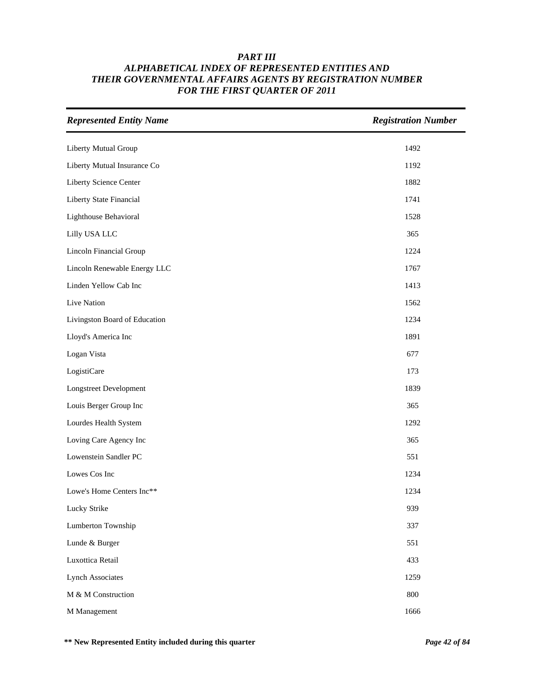| <b>Represented Entity Name</b> | <b>Registration Number</b> |
|--------------------------------|----------------------------|
| Liberty Mutual Group           | 1492                       |
| Liberty Mutual Insurance Co    | 1192                       |
| Liberty Science Center         | 1882                       |
| Liberty State Financial        | 1741                       |
| Lighthouse Behavioral          | 1528                       |
| Lilly USA LLC                  | 365                        |
| Lincoln Financial Group        | 1224                       |
| Lincoln Renewable Energy LLC   | 1767                       |
| Linden Yellow Cab Inc          | 1413                       |
| Live Nation                    | 1562                       |
| Livingston Board of Education  | 1234                       |
| Lloyd's America Inc            | 1891                       |
| Logan Vista                    | 677                        |
| LogistiCare                    | 173                        |
| Longstreet Development         | 1839                       |
| Louis Berger Group Inc         | 365                        |
| Lourdes Health System          | 1292                       |
| Loving Care Agency Inc         | 365                        |
| Lowenstein Sandler PC          | 551                        |
| Lowes Cos Inc                  | 1234                       |
| Lowe's Home Centers Inc**      | 1234                       |
| Lucky Strike                   | 939                        |
| Lumberton Township             | 337                        |
| Lunde & Burger                 | 551                        |
| Luxottica Retail               | 433                        |
| <b>Lynch Associates</b>        | 1259                       |
| M & M Construction             | 800                        |
| M Management                   | 1666                       |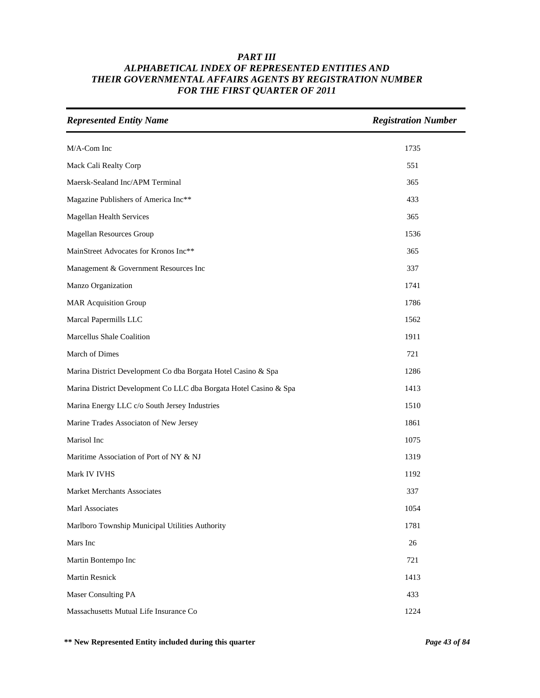| <b>Represented Entity Name</b>                                    | <b>Registration Number</b> |
|-------------------------------------------------------------------|----------------------------|
| M/A-Com Inc                                                       | 1735                       |
| Mack Cali Realty Corp                                             | 551                        |
| Maersk-Sealand Inc/APM Terminal                                   | 365                        |
| Magazine Publishers of America Inc**                              | 433                        |
| Magellan Health Services                                          | 365                        |
| Magellan Resources Group                                          | 1536                       |
| MainStreet Advocates for Kronos Inc**                             | 365                        |
| Management & Government Resources Inc                             | 337                        |
| Manzo Organization                                                | 1741                       |
| <b>MAR Acquisition Group</b>                                      | 1786                       |
| Marcal Papermills LLC                                             | 1562                       |
| Marcellus Shale Coalition                                         | 1911                       |
| March of Dimes                                                    | 721                        |
| Marina District Development Co dba Borgata Hotel Casino & Spa     | 1286                       |
| Marina District Development Co LLC dba Borgata Hotel Casino & Spa | 1413                       |
| Marina Energy LLC c/o South Jersey Industries                     | 1510                       |
| Marine Trades Associaton of New Jersey                            | 1861                       |
| Marisol Inc                                                       | 1075                       |
| Maritime Association of Port of NY & NJ                           | 1319                       |
| Mark IV IVHS                                                      | 1192                       |
| <b>Market Merchants Associates</b>                                | 337                        |
| Marl Associates                                                   | 1054                       |
| Marlboro Township Municipal Utilities Authority                   | 1781                       |
| Mars Inc                                                          | $26\,$                     |
| Martin Bontempo Inc                                               | 721                        |
| Martin Resnick                                                    | 1413                       |
| Maser Consulting PA                                               | 433                        |
| Massachusetts Mutual Life Insurance Co                            | 1224                       |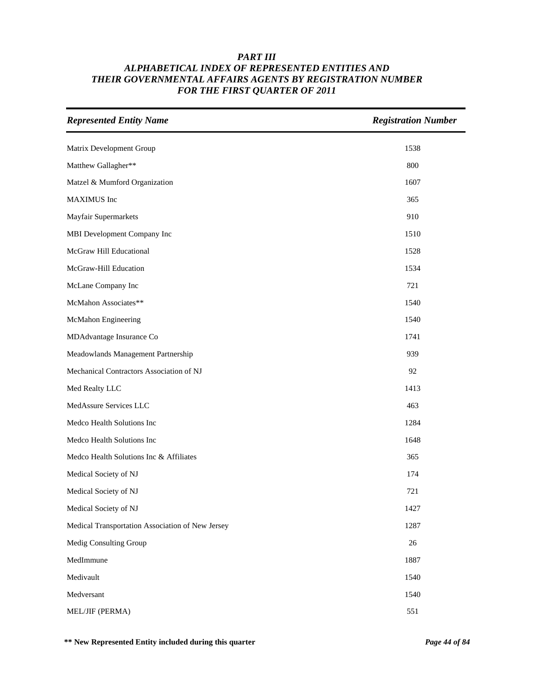| <b>Represented Entity Name</b>                   | <b>Registration Number</b> |
|--------------------------------------------------|----------------------------|
| Matrix Development Group                         | 1538                       |
| Matthew Gallagher**                              | 800                        |
| Matzel & Mumford Organization                    | 1607                       |
| MAXIMUS Inc                                      | 365                        |
| Mayfair Supermarkets                             | 910                        |
| MBI Development Company Inc                      | 1510                       |
| McGraw Hill Educational                          | 1528                       |
| McGraw-Hill Education                            | 1534                       |
| McLane Company Inc                               | 721                        |
| McMahon Associates**                             | 1540                       |
| McMahon Engineering                              | 1540                       |
| MDAdvantage Insurance Co                         | 1741                       |
| Meadowlands Management Partnership               | 939                        |
| Mechanical Contractors Association of NJ         | 92                         |
| Med Realty LLC                                   | 1413                       |
| MedAssure Services LLC                           | 463                        |
| Medco Health Solutions Inc                       | 1284                       |
| Medco Health Solutions Inc                       | 1648                       |
| Medco Health Solutions Inc & Affiliates          | 365                        |
| Medical Society of NJ                            | 174                        |
| Medical Society of NJ                            | 721                        |
| Medical Society of NJ                            | 1427                       |
| Medical Transportation Association of New Jersey | 1287                       |
| Medig Consulting Group                           | 26                         |
| MedImmune                                        | 1887                       |
| Medivault                                        | 1540                       |
| Medversant                                       | 1540                       |
| MEL/JIF (PERMA)                                  | 551                        |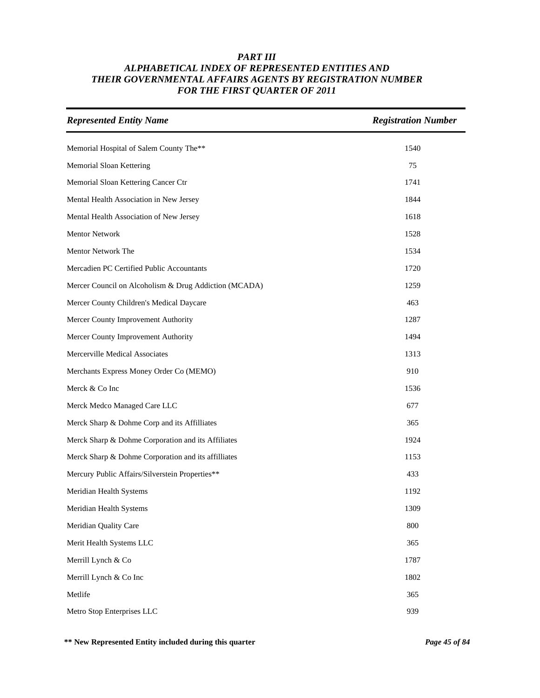| <b>Represented Entity Name</b>                        | <b>Registration Number</b> |
|-------------------------------------------------------|----------------------------|
| Memorial Hospital of Salem County The**               | 1540                       |
| Memorial Sloan Kettering                              | 75                         |
| Memorial Sloan Kettering Cancer Ctr                   | 1741                       |
| Mental Health Association in New Jersey               | 1844                       |
| Mental Health Association of New Jersey               | 1618                       |
| Mentor Network                                        | 1528                       |
| Mentor Network The                                    | 1534                       |
| Mercadien PC Certified Public Accountants             | 1720                       |
| Mercer Council on Alcoholism & Drug Addiction (MCADA) | 1259                       |
| Mercer County Children's Medical Daycare              | 463                        |
| Mercer County Improvement Authority                   | 1287                       |
| Mercer County Improvement Authority                   | 1494                       |
| Mercerville Medical Associates                        | 1313                       |
| Merchants Express Money Order Co (MEMO)               | 910                        |
| Merck & Co Inc                                        | 1536                       |
| Merck Medco Managed Care LLC                          | 677                        |
| Merck Sharp & Dohme Corp and its Affilliates          | 365                        |
| Merck Sharp & Dohme Corporation and its Affiliates    | 1924                       |
| Merck Sharp & Dohme Corporation and its affilliates   | 1153                       |
| Mercury Public Affairs/Silverstein Properties**       | 433                        |
| Meridian Health Systems                               | 1192                       |
| Meridian Health Systems                               | 1309                       |
| Meridian Quality Care                                 | 800                        |
| Merit Health Systems LLC                              | 365                        |
| Merrill Lynch & Co                                    | 1787                       |
| Merrill Lynch & Co Inc                                | 1802                       |
| Metlife                                               | 365                        |
| Metro Stop Enterprises LLC                            | 939                        |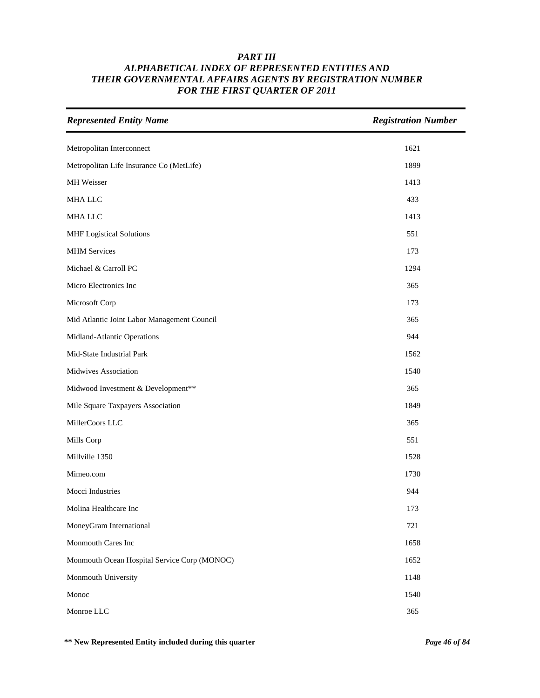| <b>Represented Entity Name</b>               | <b>Registration Number</b> |
|----------------------------------------------|----------------------------|
| Metropolitan Interconnect                    | 1621                       |
| Metropolitan Life Insurance Co (MetLife)     | 1899                       |
| MH Weisser                                   | 1413                       |
| MHA LLC                                      | 433                        |
| <b>MHA LLC</b>                               | 1413                       |
| <b>MHF</b> Logistical Solutions              | 551                        |
| <b>MHM</b> Services                          | 173                        |
| Michael & Carroll PC                         | 1294                       |
| Micro Electronics Inc                        | 365                        |
| Microsoft Corp                               | 173                        |
| Mid Atlantic Joint Labor Management Council  | 365                        |
| Midland-Atlantic Operations                  | 944                        |
| Mid-State Industrial Park                    | 1562                       |
| Midwives Association                         | 1540                       |
| Midwood Investment & Development**           | 365                        |
| Mile Square Taxpayers Association            | 1849                       |
| MillerCoors LLC                              | 365                        |
| Mills Corp                                   | 551                        |
| Millville 1350                               | 1528                       |
| Mimeo.com                                    | 1730                       |
| Mocci Industries                             | 944                        |
| Molina Healthcare Inc                        | 173                        |
| MoneyGram International                      | 721                        |
| Monmouth Cares Inc                           | 1658                       |
| Monmouth Ocean Hospital Service Corp (MONOC) | 1652                       |
| Monmouth University                          | 1148                       |
| Monoc                                        | 1540                       |
| Monroe LLC                                   | 365                        |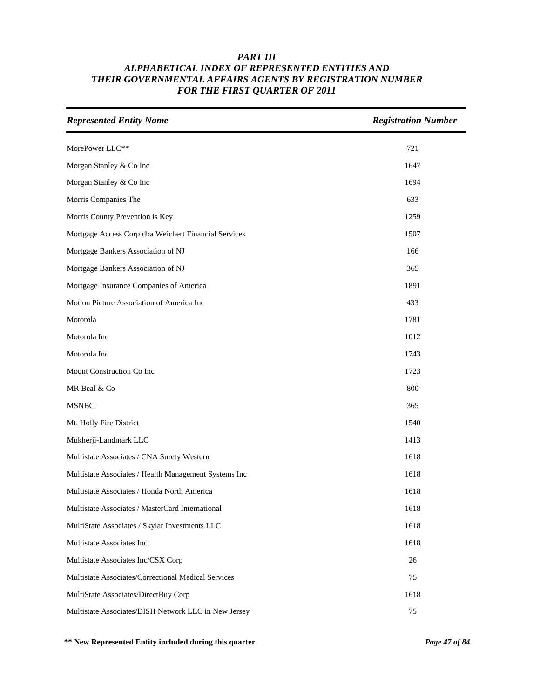| <b>Represented Entity Name</b>                        | <b>Registration Number</b> |
|-------------------------------------------------------|----------------------------|
| MorePower LLC**                                       | 721                        |
| Morgan Stanley & Co Inc                               | 1647                       |
| Morgan Stanley & Co Inc                               | 1694                       |
| Morris Companies The                                  | 633                        |
| Morris County Prevention is Key                       | 1259                       |
| Mortgage Access Corp dba Weichert Financial Services  | 1507                       |
| Mortgage Bankers Association of NJ                    | 166                        |
| Mortgage Bankers Association of NJ                    | 365                        |
| Mortgage Insurance Companies of America               | 1891                       |
| Motion Picture Association of America Inc             | 433                        |
| Motorola                                              | 1781                       |
| Motorola Inc                                          | 1012                       |
| Motorola Inc                                          | 1743                       |
| Mount Construction Co Inc                             | 1723                       |
| MR Beal & Co                                          | 800                        |
| <b>MSNBC</b>                                          | 365                        |
| Mt. Holly Fire District                               | 1540                       |
| Mukherji-Landmark LLC                                 | 1413                       |
| Multistate Associates / CNA Surety Western            | 1618                       |
| Multistate Associates / Health Management Systems Inc | 1618                       |
| Multistate Associates / Honda North America           | 1618                       |
| Multistate Associates / MasterCard International      | 1618                       |
| MultiState Associates / Skylar Investments LLC        | 1618                       |
| Multistate Associates Inc                             | 1618                       |
| Multistate Associates Inc/CSX Corp                    | 26                         |
| Multistate Associates/Correctional Medical Services   | 75                         |
| MultiState Associates/DirectBuy Corp                  | 1618                       |
| Multistate Associates/DISH Network LLC in New Jersey  | 75                         |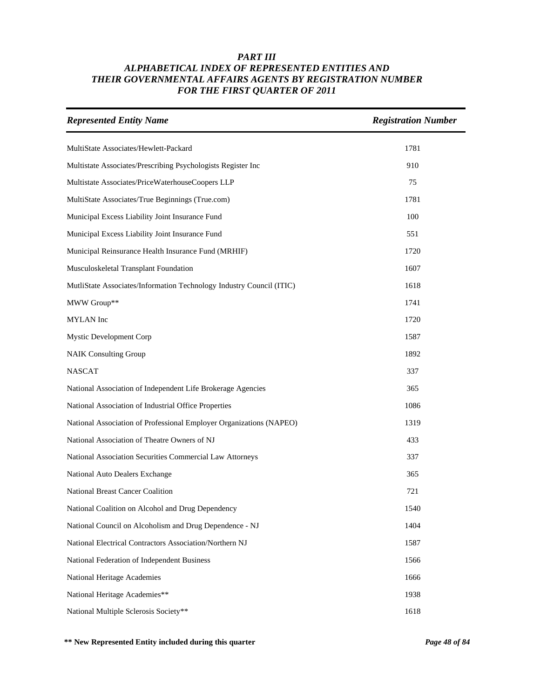| <b>Represented Entity Name</b>                                       | <b>Registration Number</b> |
|----------------------------------------------------------------------|----------------------------|
| MultiState Associates/Hewlett-Packard                                | 1781                       |
| Multistate Associates/Prescribing Psychologists Register Inc         | 910                        |
| Multistate Associates/PriceWaterhouseCoopers LLP                     | 75                         |
| MultiState Associates/True Beginnings (True.com)                     | 1781                       |
| Municipal Excess Liability Joint Insurance Fund                      | 100                        |
| Municipal Excess Liability Joint Insurance Fund                      | 551                        |
| Municipal Reinsurance Health Insurance Fund (MRHIF)                  | 1720                       |
| Musculoskeletal Transplant Foundation                                | 1607                       |
| MutliState Associates/Information Technology Industry Council (ITIC) | 1618                       |
| MWW Group**                                                          | 1741                       |
| <b>MYLAN</b> Inc                                                     | 1720                       |
| <b>Mystic Development Corp</b>                                       | 1587                       |
| <b>NAIK Consulting Group</b>                                         | 1892                       |
| <b>NASCAT</b>                                                        | 337                        |
| National Association of Independent Life Brokerage Agencies          | 365                        |
| National Association of Industrial Office Properties                 | 1086                       |
| National Association of Professional Employer Organizations (NAPEO)  | 1319                       |
| National Association of Theatre Owners of NJ                         | 433                        |
| National Association Securities Commercial Law Attorneys             | 337                        |
| National Auto Dealers Exchange                                       | 365                        |
| National Breast Cancer Coalition                                     | 721                        |
| National Coalition on Alcohol and Drug Dependency                    | 1540                       |
| National Council on Alcoholism and Drug Dependence - NJ              | 1404                       |
| National Electrical Contractors Association/Northern NJ              | 1587                       |
| National Federation of Independent Business                          | 1566                       |
| National Heritage Academies                                          | 1666                       |
| National Heritage Academies**                                        | 1938                       |
| National Multiple Sclerosis Society**                                | 1618                       |

**\*\* New Represented Entity included during this quarter** *Page 48 of 84*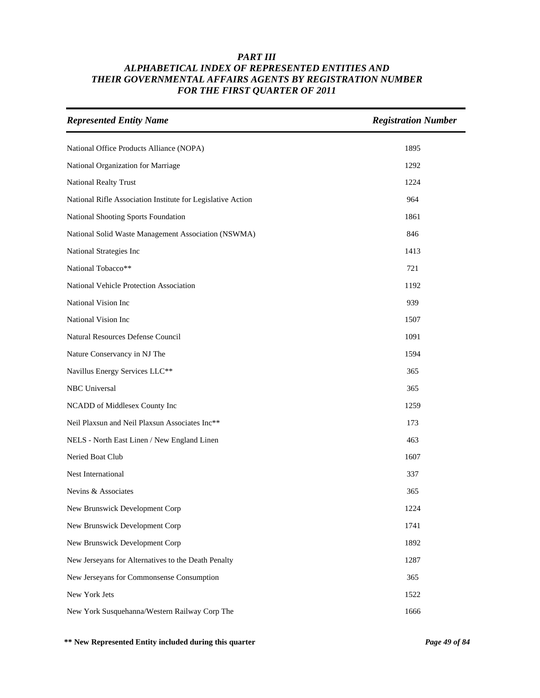| <b>Represented Entity Name</b>                              | <b>Registration Number</b> |
|-------------------------------------------------------------|----------------------------|
| National Office Products Alliance (NOPA)                    | 1895                       |
| National Organization for Marriage                          | 1292                       |
| <b>National Realty Trust</b>                                | 1224                       |
| National Rifle Association Institute for Legislative Action | 964                        |
| National Shooting Sports Foundation                         | 1861                       |
| National Solid Waste Management Association (NSWMA)         | 846                        |
| National Strategies Inc                                     | 1413                       |
| National Tobacco**                                          | 721                        |
| National Vehicle Protection Association                     | 1192                       |
| National Vision Inc                                         | 939                        |
| National Vision Inc                                         | 1507                       |
| Natural Resources Defense Council                           | 1091                       |
| Nature Conservancy in NJ The                                | 1594                       |
| Navillus Energy Services LLC**                              | 365                        |
| <b>NBC</b> Universal                                        | 365                        |
| NCADD of Middlesex County Inc                               | 1259                       |
| Neil Plaxsun and Neil Plaxsun Associates Inc**              | 173                        |
| NELS - North East Linen / New England Linen                 | 463                        |
| Neried Boat Club                                            | 1607                       |
| Nest International                                          | 337                        |
| Nevins & Associates                                         | 365                        |
| New Brunswick Development Corp                              | 1224                       |
| New Brunswick Development Corp                              | 1741                       |
| New Brunswick Development Corp                              | 1892                       |
| New Jerseyans for Alternatives to the Death Penalty         | 1287                       |
| New Jerseyans for Commonsense Consumption                   | 365                        |
| New York Jets                                               | 1522                       |
| New York Susquehanna/Western Railway Corp The               | 1666                       |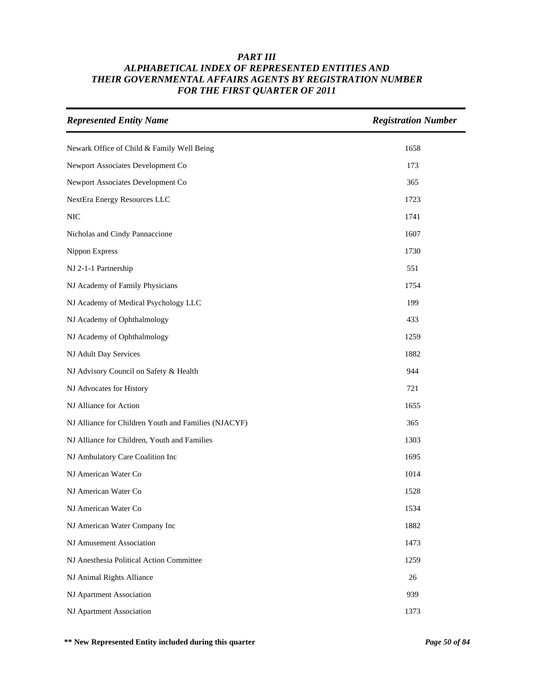| <b>Represented Entity Name</b>                       | <b>Registration Number</b> |
|------------------------------------------------------|----------------------------|
| Newark Office of Child & Family Well Being           | 1658                       |
| Newport Associates Development Co                    | 173                        |
| Newport Associates Development Co                    | 365                        |
| NextEra Energy Resources LLC                         | 1723                       |
| <b>NIC</b>                                           | 1741                       |
| Nicholas and Cindy Pannaccione                       | 1607                       |
| Nippon Express                                       | 1730                       |
| NJ 2-1-1 Partnership                                 | 551                        |
| NJ Academy of Family Physicians                      | 1754                       |
| NJ Academy of Medical Psychology LLC                 | 199                        |
| NJ Academy of Ophthalmology                          | 433                        |
| NJ Academy of Ophthalmology                          | 1259                       |
| NJ Adult Day Services                                | 1882                       |
| NJ Advisory Council on Safety & Health               | 944                        |
| NJ Advocates for History                             | 721                        |
| NJ Alliance for Action                               | 1655                       |
| NJ Alliance for Children Youth and Families (NJACYF) | 365                        |
| NJ Alliance for Children, Youth and Families         | 1303                       |
| NJ Ambulatory Care Coalition Inc                     | 1695                       |
| NJ American Water Co                                 | 1014                       |
| NJ American Water Co                                 | 1528                       |
| NJ American Water Co                                 | 1534                       |
| NJ American Water Company Inc                        | 1882                       |
| NJ Amusement Association                             | 1473                       |
| NJ Anesthesia Political Action Committee             | 1259                       |
| NJ Animal Rights Alliance                            | 26                         |
| NJ Apartment Association                             | 939                        |
| NJ Apartment Association                             | 1373                       |

**\*\* New Represented Entity included during this quarter** *Page 50 of 84*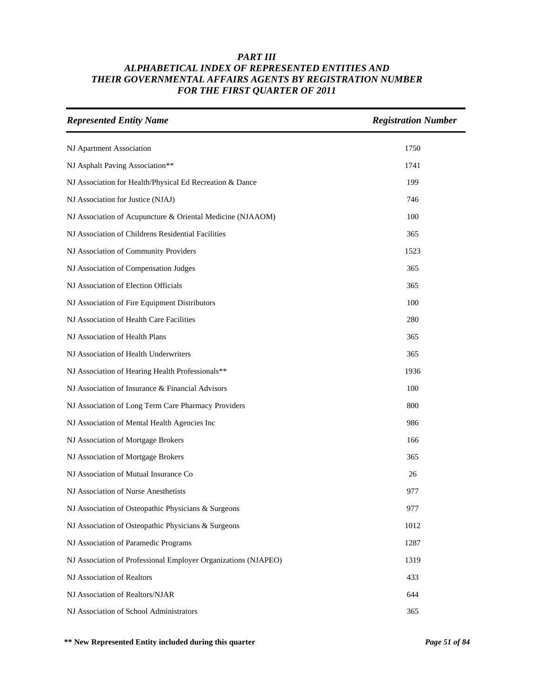| <b>Represented Entity Name</b>                                 | <b>Registration Number</b> |
|----------------------------------------------------------------|----------------------------|
| NJ Apartment Association                                       | 1750                       |
| NJ Asphalt Paving Association**                                | 1741                       |
| NJ Association for Health/Physical Ed Recreation & Dance       | 199                        |
| NJ Association for Justice (NJAJ)                              | 746                        |
| NJ Association of Acupuncture & Oriental Medicine (NJAAOM)     | 100                        |
| NJ Association of Childrens Residential Facilities             | 365                        |
| NJ Association of Community Providers                          | 1523                       |
| NJ Association of Compensation Judges                          | 365                        |
| NJ Association of Election Officials                           | 365                        |
| NJ Association of Fire Equipment Distributors                  | 100                        |
| NJ Association of Health Care Facilities                       | 280                        |
| NJ Association of Health Plans                                 | 365                        |
| NJ Association of Health Underwriters                          | 365                        |
| NJ Association of Hearing Health Professionals**               | 1936                       |
| NJ Association of Insurance & Financial Advisors               | 100                        |
| NJ Association of Long Term Care Pharmacy Providers            | 800                        |
| NJ Association of Mental Health Agencies Inc                   | 986                        |
| NJ Association of Mortgage Brokers                             | 166                        |
| NJ Association of Mortgage Brokers                             | 365                        |
| NJ Association of Mutual Insurance Co                          | 26                         |
| NJ Association of Nurse Anesthetists                           | 977                        |
| NJ Association of Osteopathic Physicians & Surgeons            | 977                        |
| NJ Association of Osteopathic Physicians & Surgeons            | 1012                       |
| NJ Association of Paramedic Programs                           | 1287                       |
| NJ Association of Professional Employer Organizations (NJAPEO) | 1319                       |
| NJ Association of Realtors                                     | 433                        |
| NJ Association of Realtors/NJAR                                | 644                        |
| NJ Association of School Administrators                        | 365                        |

**\*\* New Represented Entity included during this quarter** *Page 51 of 84*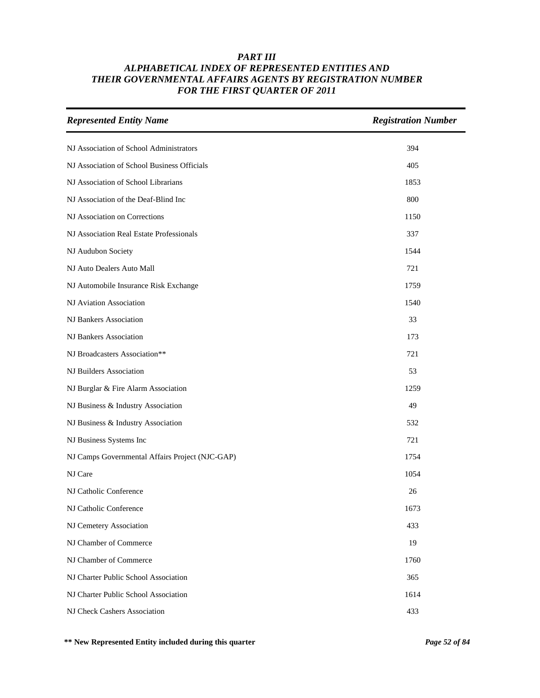| <b>Represented Entity Name</b>                  | <b>Registration Number</b> |
|-------------------------------------------------|----------------------------|
| NJ Association of School Administrators         | 394                        |
| NJ Association of School Business Officials     | 405                        |
| NJ Association of School Librarians             | 1853                       |
| NJ Association of the Deaf-Blind Inc            | 800                        |
| NJ Association on Corrections                   | 1150                       |
| NJ Association Real Estate Professionals        | 337                        |
| NJ Audubon Society                              | 1544                       |
| NJ Auto Dealers Auto Mall                       | 721                        |
| NJ Automobile Insurance Risk Exchange           | 1759                       |
| NJ Aviation Association                         | 1540                       |
| NJ Bankers Association                          | 33                         |
| NJ Bankers Association                          | 173                        |
| NJ Broadcasters Association**                   | 721                        |
| NJ Builders Association                         | 53                         |
| NJ Burglar & Fire Alarm Association             | 1259                       |
| NJ Business & Industry Association              | 49                         |
| NJ Business & Industry Association              | 532                        |
| NJ Business Systems Inc                         | 721                        |
| NJ Camps Governmental Affairs Project (NJC-GAP) | 1754                       |
| NJ Care                                         | 1054                       |
| NJ Catholic Conference                          | 26                         |
| NJ Catholic Conference                          | 1673                       |
| NJ Cemetery Association                         | 433                        |
| NJ Chamber of Commerce                          | 19                         |
| NJ Chamber of Commerce                          | 1760                       |
| NJ Charter Public School Association            | 365                        |
| NJ Charter Public School Association            | 1614                       |
| NJ Check Cashers Association                    | 433                        |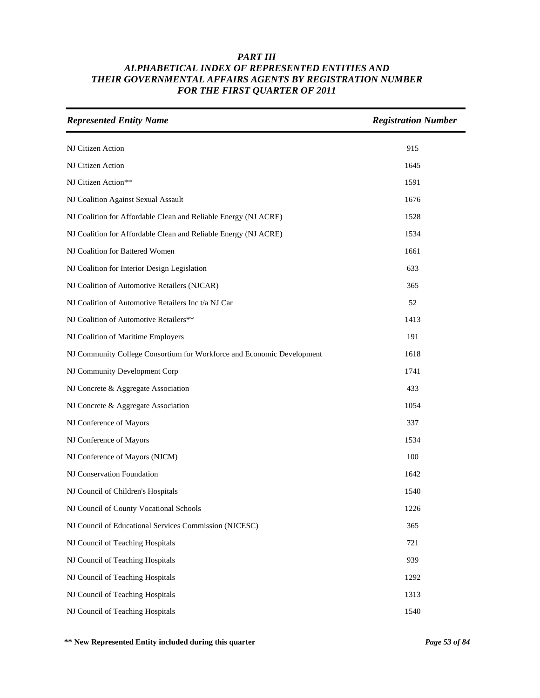| <b>Represented Entity Name</b>                                         | <b>Registration Number</b> |
|------------------------------------------------------------------------|----------------------------|
| NJ Citizen Action                                                      | 915                        |
| NJ Citizen Action                                                      | 1645                       |
| NJ Citizen Action**                                                    | 1591                       |
| NJ Coalition Against Sexual Assault                                    | 1676                       |
| NJ Coalition for Affordable Clean and Reliable Energy (NJ ACRE)        | 1528                       |
| NJ Coalition for Affordable Clean and Reliable Energy (NJ ACRE)        | 1534                       |
| NJ Coalition for Battered Women                                        | 1661                       |
| NJ Coalition for Interior Design Legislation                           | 633                        |
| NJ Coalition of Automotive Retailers (NJCAR)                           | 365                        |
| NJ Coalition of Automotive Retailers Inc t/a NJ Car                    | 52                         |
| NJ Coalition of Automotive Retailers**                                 | 1413                       |
| NJ Coalition of Maritime Employers                                     | 191                        |
| NJ Community College Consortium for Workforce and Economic Development | 1618                       |
| NJ Community Development Corp                                          | 1741                       |
| NJ Concrete & Aggregate Association                                    | 433                        |
| NJ Concrete & Aggregate Association                                    | 1054                       |
| NJ Conference of Mayors                                                | 337                        |
| NJ Conference of Mayors                                                | 1534                       |
| NJ Conference of Mayors (NJCM)                                         | 100                        |
| NJ Conservation Foundation                                             | 1642                       |
| NJ Council of Children's Hospitals                                     | 1540                       |
| NJ Council of County Vocational Schools                                | 1226                       |
| NJ Council of Educational Services Commission (NJCESC)                 | 365                        |
| NJ Council of Teaching Hospitals                                       | 721                        |
| NJ Council of Teaching Hospitals                                       | 939                        |
| NJ Council of Teaching Hospitals                                       | 1292                       |
| NJ Council of Teaching Hospitals                                       | 1313                       |
| NJ Council of Teaching Hospitals                                       | 1540                       |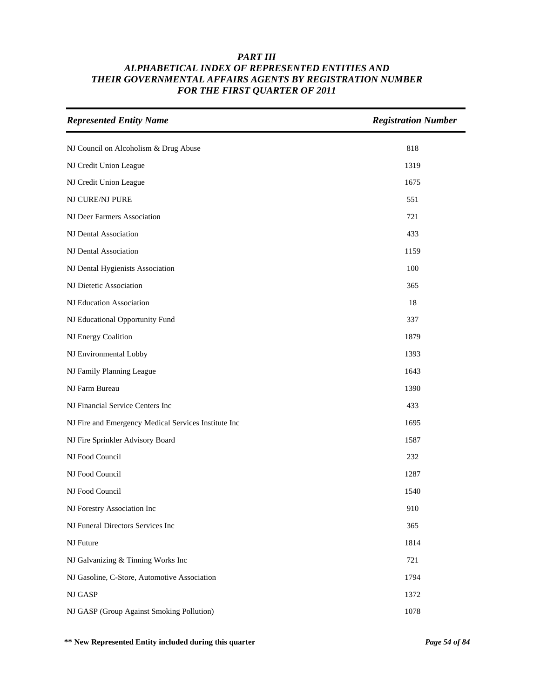| <b>Represented Entity Name</b>                       | <b>Registration Number</b> |
|------------------------------------------------------|----------------------------|
| NJ Council on Alcoholism & Drug Abuse                | 818                        |
| NJ Credit Union League                               | 1319                       |
| NJ Credit Union League                               | 1675                       |
| NJ CURE/NJ PURE                                      | 551                        |
| NJ Deer Farmers Association                          | 721                        |
| NJ Dental Association                                | 433                        |
| NJ Dental Association                                | 1159                       |
| NJ Dental Hygienists Association                     | 100                        |
| NJ Dietetic Association                              | 365                        |
| NJ Education Association                             | 18                         |
| NJ Educational Opportunity Fund                      | 337                        |
| NJ Energy Coalition                                  | 1879                       |
| NJ Environmental Lobby                               | 1393                       |
| NJ Family Planning League                            | 1643                       |
| NJ Farm Bureau                                       | 1390                       |
| NJ Financial Service Centers Inc                     | 433                        |
| NJ Fire and Emergency Medical Services Institute Inc | 1695                       |
| NJ Fire Sprinkler Advisory Board                     | 1587                       |
| NJ Food Council                                      | 232                        |
| NJ Food Council                                      | 1287                       |
| NJ Food Council                                      | 1540                       |
| NJ Forestry Association Inc                          | 910                        |
| NJ Funeral Directors Services Inc                    | 365                        |
| NJ Future                                            | 1814                       |
| NJ Galvanizing & Tinning Works Inc                   | 721                        |
| NJ Gasoline, C-Store, Automotive Association         | 1794                       |
| NJ GASP                                              | 1372                       |
| NJ GASP (Group Against Smoking Pollution)            | 1078                       |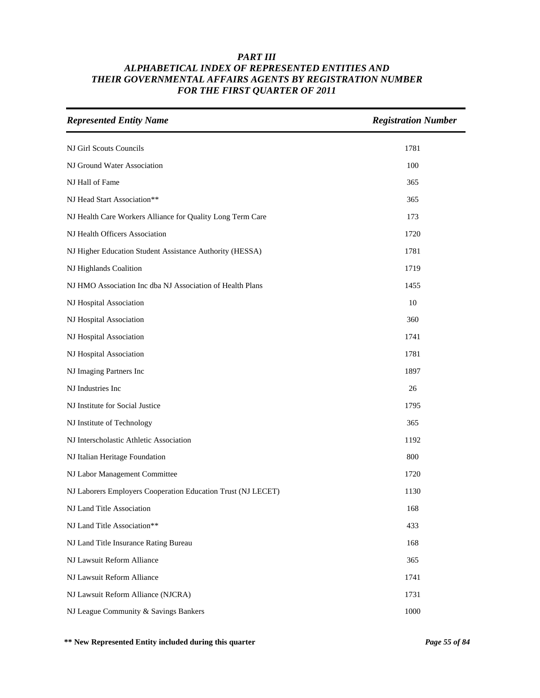| <b>Represented Entity Name</b>                               | <b>Registration Number</b> |
|--------------------------------------------------------------|----------------------------|
| NJ Girl Scouts Councils                                      | 1781                       |
| NJ Ground Water Association                                  | 100                        |
| NJ Hall of Fame                                              | 365                        |
| NJ Head Start Association**                                  | 365                        |
| NJ Health Care Workers Alliance for Quality Long Term Care   | 173                        |
| NJ Health Officers Association                               | 1720                       |
| NJ Higher Education Student Assistance Authority (HESSA)     | 1781                       |
| NJ Highlands Coalition                                       | 1719                       |
| NJ HMO Association Inc dba NJ Association of Health Plans    | 1455                       |
| NJ Hospital Association                                      | 10                         |
| NJ Hospital Association                                      | 360                        |
| NJ Hospital Association                                      | 1741                       |
| NJ Hospital Association                                      | 1781                       |
| NJ Imaging Partners Inc                                      | 1897                       |
| NJ Industries Inc                                            | 26                         |
| NJ Institute for Social Justice                              | 1795                       |
| NJ Institute of Technology                                   | 365                        |
| NJ Interscholastic Athletic Association                      | 1192                       |
| NJ Italian Heritage Foundation                               | 800                        |
| NJ Labor Management Committee                                | 1720                       |
| NJ Laborers Employers Cooperation Education Trust (NJ LECET) | 1130                       |
| NJ Land Title Association                                    | 168                        |
| NJ Land Title Association**                                  | 433                        |
| NJ Land Title Insurance Rating Bureau                        | 168                        |
| NJ Lawsuit Reform Alliance                                   | 365                        |
| NJ Lawsuit Reform Alliance                                   | 1741                       |
| NJ Lawsuit Reform Alliance (NJCRA)                           | 1731                       |
| NJ League Community & Savings Bankers                        | 1000                       |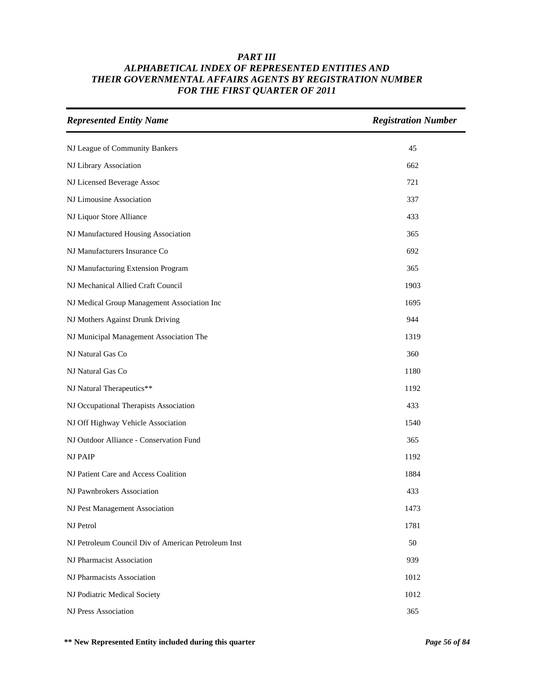| <b>Represented Entity Name</b>                      | <b>Registration Number</b> |
|-----------------------------------------------------|----------------------------|
| NJ League of Community Bankers                      | 45                         |
| NJ Library Association                              | 662                        |
| NJ Licensed Beverage Assoc                          | 721                        |
| NJ Limousine Association                            | 337                        |
| NJ Liquor Store Alliance                            | 433                        |
| NJ Manufactured Housing Association                 | 365                        |
| NJ Manufacturers Insurance Co                       | 692                        |
| NJ Manufacturing Extension Program                  | 365                        |
| NJ Mechanical Allied Craft Council                  | 1903                       |
| NJ Medical Group Management Association Inc         | 1695                       |
| NJ Mothers Against Drunk Driving                    | 944                        |
| NJ Municipal Management Association The             | 1319                       |
| NJ Natural Gas Co                                   | 360                        |
| NJ Natural Gas Co                                   | 1180                       |
| NJ Natural Therapeutics**                           | 1192                       |
| NJ Occupational Therapists Association              | 433                        |
| NJ Off Highway Vehicle Association                  | 1540                       |
| NJ Outdoor Alliance - Conservation Fund             | 365                        |
| <b>NJ PAIP</b>                                      | 1192                       |
| NJ Patient Care and Access Coalition                | 1884                       |
| NJ Pawnbrokers Association                          | 433                        |
| NJ Pest Management Association                      | 1473                       |
| NJ Petrol                                           | 1781                       |
| NJ Petroleum Council Div of American Petroleum Inst | 50                         |
| NJ Pharmacist Association                           | 939                        |
| NJ Pharmacists Association                          | 1012                       |
| NJ Podiatric Medical Society                        | 1012                       |
| NJ Press Association                                | 365                        |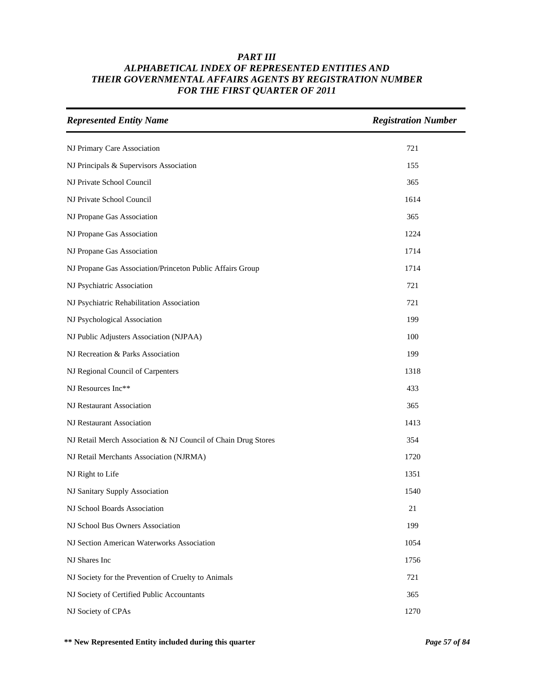| <b>Represented Entity Name</b>                                | <b>Registration Number</b> |
|---------------------------------------------------------------|----------------------------|
| NJ Primary Care Association                                   | 721                        |
| NJ Principals & Supervisors Association                       | 155                        |
| NJ Private School Council                                     | 365                        |
| NJ Private School Council                                     | 1614                       |
| NJ Propane Gas Association                                    | 365                        |
| NJ Propane Gas Association                                    | 1224                       |
| NJ Propane Gas Association                                    | 1714                       |
| NJ Propane Gas Association/Princeton Public Affairs Group     | 1714                       |
| NJ Psychiatric Association                                    | 721                        |
| NJ Psychiatric Rehabilitation Association                     | 721                        |
| NJ Psychological Association                                  | 199                        |
| NJ Public Adjusters Association (NJPAA)                       | 100                        |
| NJ Recreation & Parks Association                             | 199                        |
| NJ Regional Council of Carpenters                             | 1318                       |
| NJ Resources Inc**                                            | 433                        |
| NJ Restaurant Association                                     | 365                        |
| NJ Restaurant Association                                     | 1413                       |
| NJ Retail Merch Association & NJ Council of Chain Drug Stores | 354                        |
| NJ Retail Merchants Association (NJRMA)                       | 1720                       |
| NJ Right to Life                                              | 1351                       |
| NJ Sanitary Supply Association                                | 1540                       |
| NJ School Boards Association                                  | 21                         |
| NJ School Bus Owners Association                              | 199                        |
| NJ Section American Waterworks Association                    | 1054                       |
| NJ Shares Inc                                                 | 1756                       |
| NJ Society for the Prevention of Cruelty to Animals           | 721                        |
| NJ Society of Certified Public Accountants                    | 365                        |
| NJ Society of CPAs                                            | 1270                       |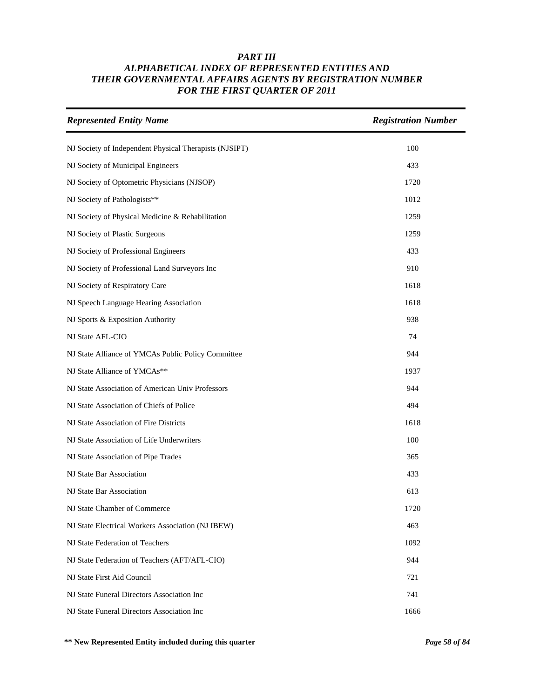| <b>Represented Entity Name</b>                         | <b>Registration Number</b> |
|--------------------------------------------------------|----------------------------|
| NJ Society of Independent Physical Therapists (NJSIPT) | 100                        |
| NJ Society of Municipal Engineers                      | 433                        |
| NJ Society of Optometric Physicians (NJSOP)            | 1720                       |
| NJ Society of Pathologists**                           | 1012                       |
| NJ Society of Physical Medicine & Rehabilitation       | 1259                       |
| NJ Society of Plastic Surgeons                         | 1259                       |
| NJ Society of Professional Engineers                   | 433                        |
| NJ Society of Professional Land Surveyors Inc          | 910                        |
| NJ Society of Respiratory Care                         | 1618                       |
| NJ Speech Language Hearing Association                 | 1618                       |
| NJ Sports & Exposition Authority                       | 938                        |
| NJ State AFL-CIO                                       | 74                         |
| NJ State Alliance of YMCAs Public Policy Committee     | 944                        |
| NJ State Alliance of YMCAs**                           | 1937                       |
| NJ State Association of American Univ Professors       | 944                        |
| NJ State Association of Chiefs of Police               | 494                        |
| NJ State Association of Fire Districts                 | 1618                       |
| NJ State Association of Life Underwriters              | 100                        |
| NJ State Association of Pipe Trades                    | 365                        |
| NJ State Bar Association                               | 433                        |
| NJ State Bar Association                               | 613                        |
| NJ State Chamber of Commerce                           | 1720                       |
| NJ State Electrical Workers Association (NJ IBEW)      | 463                        |
| NJ State Federation of Teachers                        | 1092                       |
| NJ State Federation of Teachers (AFT/AFL-CIO)          | 944                        |
| NJ State First Aid Council                             | 721                        |
| NJ State Funeral Directors Association Inc             | 741                        |
| NJ State Funeral Directors Association Inc             | 1666                       |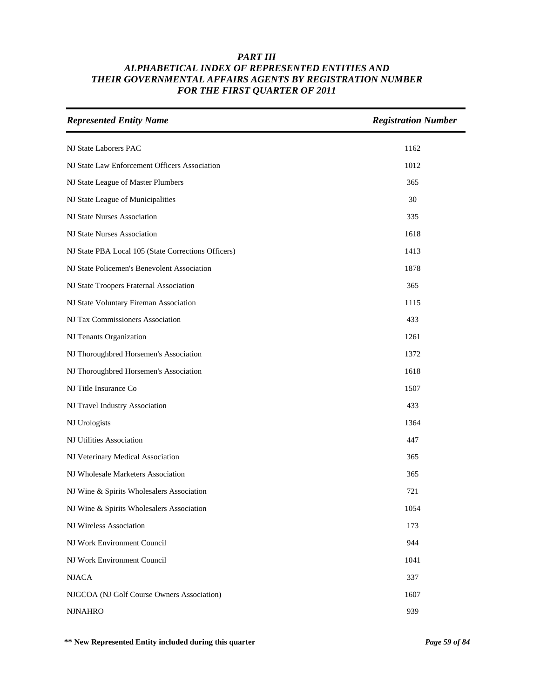| <b>Represented Entity Name</b>                      | <b>Registration Number</b> |
|-----------------------------------------------------|----------------------------|
| NJ State Laborers PAC                               | 1162                       |
| NJ State Law Enforcement Officers Association       | 1012                       |
| NJ State League of Master Plumbers                  | 365                        |
| NJ State League of Municipalities                   | 30                         |
| NJ State Nurses Association                         | 335                        |
| NJ State Nurses Association                         | 1618                       |
| NJ State PBA Local 105 (State Corrections Officers) | 1413                       |
| NJ State Policemen's Benevolent Association         | 1878                       |
| NJ State Troopers Fraternal Association             | 365                        |
| NJ State Voluntary Fireman Association              | 1115                       |
| NJ Tax Commissioners Association                    | 433                        |
| NJ Tenants Organization                             | 1261                       |
| NJ Thoroughbred Horsemen's Association              | 1372                       |
| NJ Thoroughbred Horsemen's Association              | 1618                       |
| NJ Title Insurance Co                               | 1507                       |
| NJ Travel Industry Association                      | 433                        |
| NJ Urologists                                       | 1364                       |
| NJ Utilities Association                            | 447                        |
| NJ Veterinary Medical Association                   | 365                        |
| NJ Wholesale Marketers Association                  | 365                        |
| NJ Wine & Spirits Wholesalers Association           | 721                        |
| NJ Wine & Spirits Wholesalers Association           | 1054                       |
| NJ Wireless Association                             | 173                        |
| NJ Work Environment Council                         | 944                        |
| NJ Work Environment Council                         | 1041                       |
| <b>NJACA</b>                                        | 337                        |
| NJGCOA (NJ Golf Course Owners Association)          | 1607                       |
| <b>NJNAHRO</b>                                      | 939                        |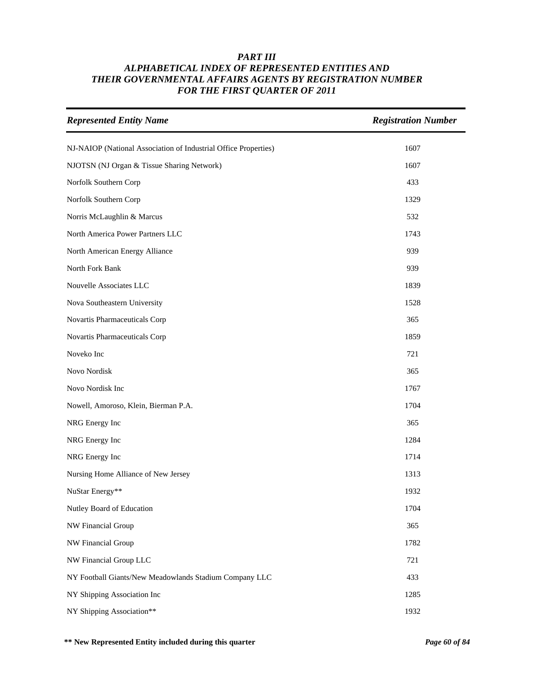| <b>Represented Entity Name</b>                                  | <b>Registration Number</b> |
|-----------------------------------------------------------------|----------------------------|
| NJ-NAIOP (National Association of Industrial Office Properties) | 1607                       |
| NJOTSN (NJ Organ & Tissue Sharing Network)                      | 1607                       |
| Norfolk Southern Corp                                           | 433                        |
| Norfolk Southern Corp                                           | 1329                       |
| Norris McLaughlin & Marcus                                      | 532                        |
| North America Power Partners LLC                                | 1743                       |
| North American Energy Alliance                                  | 939                        |
| North Fork Bank                                                 | 939                        |
| Nouvelle Associates LLC                                         | 1839                       |
| Nova Southeastern University                                    | 1528                       |
| Novartis Pharmaceuticals Corp                                   | 365                        |
| Novartis Pharmaceuticals Corp                                   | 1859                       |
| Noveko Inc                                                      | 721                        |
| Novo Nordisk                                                    | 365                        |
| Novo Nordisk Inc                                                | 1767                       |
| Nowell, Amoroso, Klein, Bierman P.A.                            | 1704                       |
| NRG Energy Inc                                                  | 365                        |
| NRG Energy Inc                                                  | 1284                       |
| NRG Energy Inc                                                  | 1714                       |
| Nursing Home Alliance of New Jersey                             | 1313                       |
| NuStar Energy**                                                 | 1932                       |
| Nutley Board of Education                                       | 1704                       |
| NW Financial Group                                              | 365                        |
| NW Financial Group                                              | 1782                       |
| NW Financial Group LLC                                          | 721                        |
| NY Football Giants/New Meadowlands Stadium Company LLC          | 433                        |
| NY Shipping Association Inc                                     | 1285                       |
| NY Shipping Association**                                       | 1932                       |

**\*\* New Represented Entity included during this quarter** *Page 60 of 84*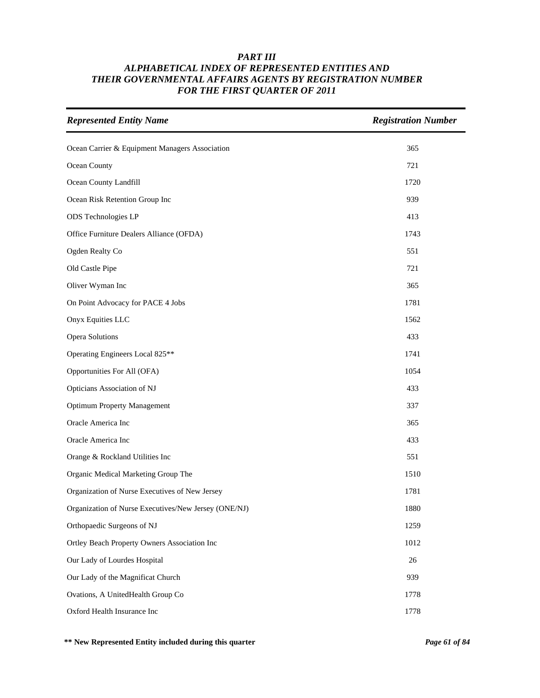| <b>Represented Entity Name</b>                       | <b>Registration Number</b> |
|------------------------------------------------------|----------------------------|
| Ocean Carrier & Equipment Managers Association       | 365                        |
| Ocean County                                         | 721                        |
| Ocean County Landfill                                | 1720                       |
| Ocean Risk Retention Group Inc                       | 939                        |
| ODS Technologies LP                                  | 413                        |
| Office Furniture Dealers Alliance (OFDA)             | 1743                       |
| Ogden Realty Co                                      | 551                        |
| Old Castle Pipe                                      | 721                        |
| Oliver Wyman Inc                                     | 365                        |
| On Point Advocacy for PACE 4 Jobs                    | 1781                       |
| Onyx Equities LLC                                    | 1562                       |
| Opera Solutions                                      | 433                        |
| Operating Engineers Local 825**                      | 1741                       |
| Opportunities For All (OFA)                          | 1054                       |
| Opticians Association of NJ                          | 433                        |
| <b>Optimum Property Management</b>                   | 337                        |
| Oracle America Inc                                   | 365                        |
| Oracle America Inc                                   | 433                        |
| Orange & Rockland Utilities Inc                      | 551                        |
| Organic Medical Marketing Group The                  | 1510                       |
| Organization of Nurse Executives of New Jersey       | 1781                       |
| Organization of Nurse Executives/New Jersey (ONE/NJ) | 1880                       |
| Orthopaedic Surgeons of NJ                           | 1259                       |
| Ortley Beach Property Owners Association Inc         | 1012                       |
| Our Lady of Lourdes Hospital                         | $26\,$                     |
| Our Lady of the Magnificat Church                    | 939                        |
| Ovations, A UnitedHealth Group Co                    | 1778                       |
| Oxford Health Insurance Inc                          | 1778                       |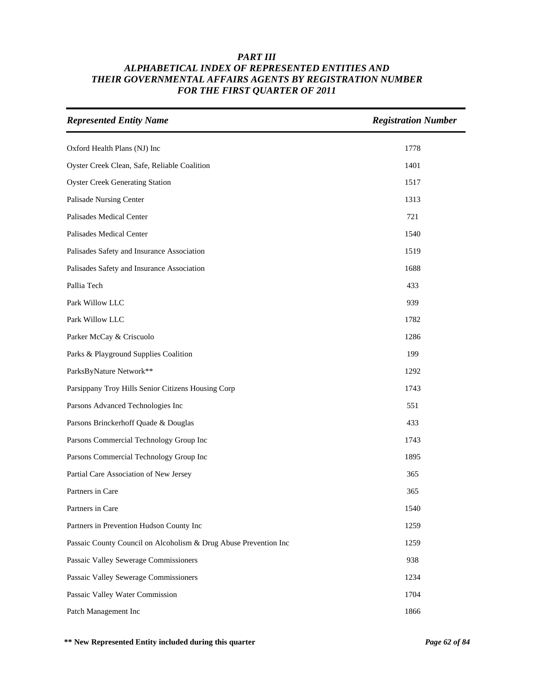| <b>Represented Entity Name</b>                                   | <b>Registration Number</b> |
|------------------------------------------------------------------|----------------------------|
| Oxford Health Plans (NJ) Inc                                     | 1778                       |
| Oyster Creek Clean, Safe, Reliable Coalition                     | 1401                       |
| <b>Oyster Creek Generating Station</b>                           | 1517                       |
| Palisade Nursing Center                                          | 1313                       |
| Palisades Medical Center                                         | 721                        |
| Palisades Medical Center                                         | 1540                       |
| Palisades Safety and Insurance Association                       | 1519                       |
| Palisades Safety and Insurance Association                       | 1688                       |
| Pallia Tech                                                      | 433                        |
| Park Willow LLC                                                  | 939                        |
| Park Willow LLC                                                  | 1782                       |
| Parker McCay & Criscuolo                                         | 1286                       |
| Parks & Playground Supplies Coalition                            | 199                        |
| ParksByNature Network**                                          | 1292                       |
| Parsippany Troy Hills Senior Citizens Housing Corp               | 1743                       |
| Parsons Advanced Technologies Inc                                | 551                        |
| Parsons Brinckerhoff Quade & Douglas                             | 433                        |
| Parsons Commercial Technology Group Inc                          | 1743                       |
| Parsons Commercial Technology Group Inc                          | 1895                       |
| Partial Care Association of New Jersey                           | 365                        |
| Partners in Care                                                 | 365                        |
| Partners in Care                                                 | 1540                       |
| Partners in Prevention Hudson County Inc                         | 1259                       |
| Passaic County Council on Alcoholism & Drug Abuse Prevention Inc | 1259                       |
| Passaic Valley Sewerage Commissioners                            | 938                        |
| Passaic Valley Sewerage Commissioners                            | 1234                       |
| Passaic Valley Water Commission                                  | 1704                       |
| Patch Management Inc                                             | 1866                       |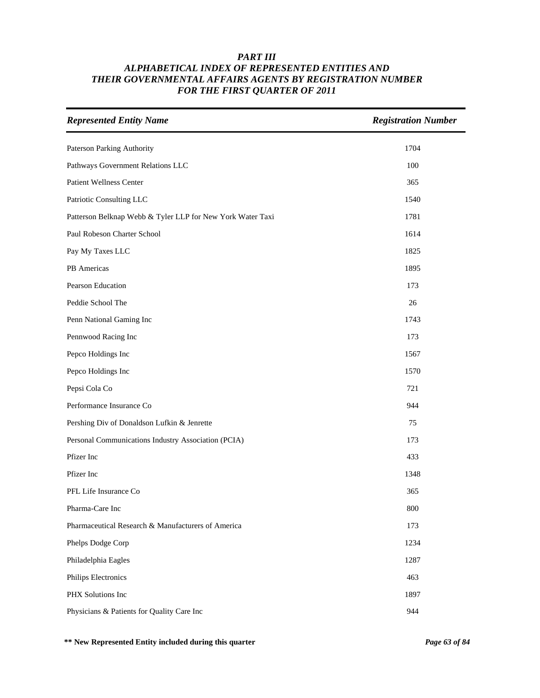| <b>Represented Entity Name</b>                             | <b>Registration Number</b> |
|------------------------------------------------------------|----------------------------|
| Paterson Parking Authority                                 | 1704                       |
| Pathways Government Relations LLC                          | 100                        |
| <b>Patient Wellness Center</b>                             | 365                        |
| Patriotic Consulting LLC                                   | 1540                       |
| Patterson Belknap Webb & Tyler LLP for New York Water Taxi | 1781                       |
| Paul Robeson Charter School                                | 1614                       |
| Pay My Taxes LLC                                           | 1825                       |
| PB Americas                                                | 1895                       |
| Pearson Education                                          | 173                        |
| Peddie School The                                          | 26                         |
| Penn National Gaming Inc                                   | 1743                       |
| Pennwood Racing Inc                                        | 173                        |
| Pepco Holdings Inc                                         | 1567                       |
| Pepco Holdings Inc                                         | 1570                       |
| Pepsi Cola Co                                              | 721                        |
| Performance Insurance Co                                   | 944                        |
| Pershing Div of Donaldson Lufkin & Jenrette                | 75                         |
| Personal Communications Industry Association (PCIA)        | 173                        |
| Pfizer Inc                                                 | 433                        |
| Pfizer Inc                                                 | 1348                       |
| PFL Life Insurance Co                                      | 365                        |
| Pharma-Care Inc                                            | $800\,$                    |
| Pharmaceutical Research & Manufacturers of America         | 173                        |
| Phelps Dodge Corp                                          | 1234                       |
| Philadelphia Eagles                                        | 1287                       |
| Philips Electronics                                        | 463                        |
| PHX Solutions Inc                                          | 1897                       |
| Physicians & Patients for Quality Care Inc                 | 944                        |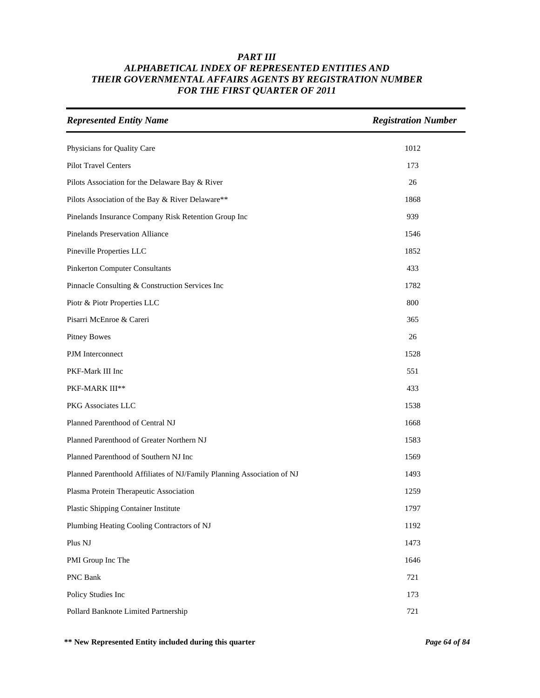| <b>Represented Entity Name</b>                                         | <b>Registration Number</b> |
|------------------------------------------------------------------------|----------------------------|
| Physicians for Quality Care                                            | 1012                       |
| Pilot Travel Centers                                                   | 173                        |
| Pilots Association for the Delaware Bay & River                        | 26                         |
| Pilots Association of the Bay & River Delaware**                       | 1868                       |
| Pinelands Insurance Company Risk Retention Group Inc                   | 939                        |
| <b>Pinelands Preservation Alliance</b>                                 | 1546                       |
| Pineville Properties LLC                                               | 1852                       |
| <b>Pinkerton Computer Consultants</b>                                  | 433                        |
| Pinnacle Consulting & Construction Services Inc                        | 1782                       |
| Piotr & Piotr Properties LLC                                           | 800                        |
| Pisarri McEnroe & Careri                                               | 365                        |
| <b>Pitney Bowes</b>                                                    | 26                         |
| PJM Interconnect                                                       | 1528                       |
| PKF-Mark III Inc                                                       | 551                        |
| PKF-MARK III**                                                         | 433                        |
| PKG Associates LLC                                                     | 1538                       |
| Planned Parenthood of Central NJ                                       | 1668                       |
| Planned Parenthood of Greater Northern NJ                              | 1583                       |
| Planned Parenthood of Southern NJ Inc                                  | 1569                       |
| Planned Parenthoold Affiliates of NJ/Family Planning Association of NJ | 1493                       |
| Plasma Protein Therapeutic Association                                 | 1259                       |
| Plastic Shipping Container Institute                                   | 1797                       |
| Plumbing Heating Cooling Contractors of NJ                             | 1192                       |
| Plus NJ                                                                | 1473                       |
| PMI Group Inc The                                                      | 1646                       |
| PNC Bank                                                               | 721                        |
| Policy Studies Inc                                                     | 173                        |
| Pollard Banknote Limited Partnership                                   | 721                        |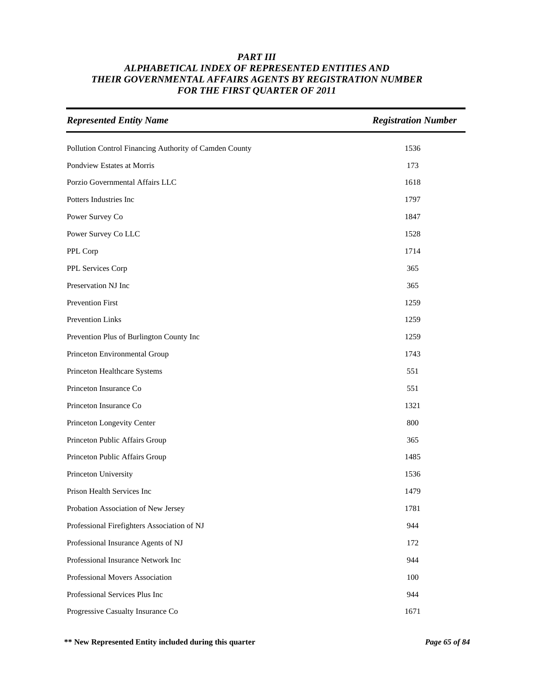| <b>Represented Entity Name</b>                         | <b>Registration Number</b> |
|--------------------------------------------------------|----------------------------|
| Pollution Control Financing Authority of Camden County | 1536                       |
| Pondview Estates at Morris                             | 173                        |
| Porzio Governmental Affairs LLC                        | 1618                       |
| Potters Industries Inc                                 | 1797                       |
| Power Survey Co                                        | 1847                       |
| Power Survey Co LLC                                    | 1528                       |
| PPL Corp                                               | 1714                       |
| PPL Services Corp                                      | 365                        |
| Preservation NJ Inc                                    | 365                        |
| Prevention First                                       | 1259                       |
| <b>Prevention Links</b>                                | 1259                       |
| Prevention Plus of Burlington County Inc               | 1259                       |
| Princeton Environmental Group                          | 1743                       |
| Princeton Healthcare Systems                           | 551                        |
| Princeton Insurance Co                                 | 551                        |
| Princeton Insurance Co                                 | 1321                       |
| Princeton Longevity Center                             | 800                        |
| Princeton Public Affairs Group                         | 365                        |
| Princeton Public Affairs Group                         | 1485                       |
| Princeton University                                   | 1536                       |
| Prison Health Services Inc                             | 1479                       |
| Probation Association of New Jersey                    | 1781                       |
| Professional Firefighters Association of NJ            | 944                        |
| Professional Insurance Agents of NJ                    | 172                        |
| Professional Insurance Network Inc                     | 944                        |
| Professional Movers Association                        | 100                        |
| Professional Services Plus Inc                         | 944                        |
| Progressive Casualty Insurance Co                      | 1671                       |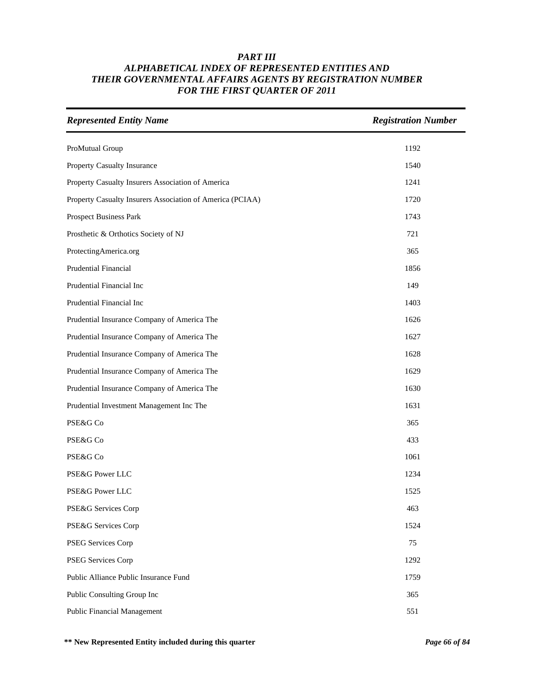| <b>Represented Entity Name</b>                            | <b>Registration Number</b> |
|-----------------------------------------------------------|----------------------------|
| ProMutual Group                                           | 1192                       |
| Property Casualty Insurance                               | 1540                       |
| Property Casualty Insurers Association of America         | 1241                       |
| Property Casualty Insurers Association of America (PCIAA) | 1720                       |
| Prospect Business Park                                    | 1743                       |
| Prosthetic & Orthotics Society of NJ                      | 721                        |
| ProtectingAmerica.org                                     | 365                        |
| <b>Prudential Financial</b>                               | 1856                       |
| Prudential Financial Inc                                  | 149                        |
| Prudential Financial Inc                                  | 1403                       |
| Prudential Insurance Company of America The               | 1626                       |
| Prudential Insurance Company of America The               | 1627                       |
| Prudential Insurance Company of America The               | 1628                       |
| Prudential Insurance Company of America The               | 1629                       |
| Prudential Insurance Company of America The               | 1630                       |
| Prudential Investment Management Inc The                  | 1631                       |
| PSE&G Co                                                  | 365                        |
| PSE&G Co                                                  | 433                        |
| PSE&G Co                                                  | 1061                       |
| PSE&G Power LLC                                           | 1234                       |
| PSE&G Power LLC                                           | 1525                       |
| PSE&G Services Corp                                       | 463                        |
| PSE&G Services Corp                                       | 1524                       |
| PSEG Services Corp                                        | 75                         |
| PSEG Services Corp                                        | 1292                       |
| Public Alliance Public Insurance Fund                     | 1759                       |
| Public Consulting Group Inc                               | 365                        |
| <b>Public Financial Management</b>                        | 551                        |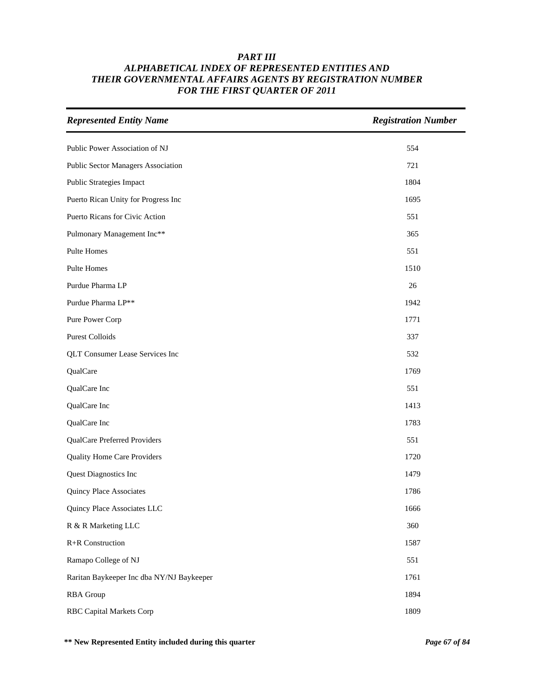| <b>Represented Entity Name</b>            | <b>Registration Number</b> |
|-------------------------------------------|----------------------------|
| Public Power Association of NJ            | 554                        |
| Public Sector Managers Association        | 721                        |
| <b>Public Strategies Impact</b>           | 1804                       |
| Puerto Rican Unity for Progress Inc       | 1695                       |
| Puerto Ricans for Civic Action            | 551                        |
| Pulmonary Management Inc**                | 365                        |
| Pulte Homes                               | 551                        |
| Pulte Homes                               | 1510                       |
| Purdue Pharma LP                          | 26                         |
| Purdue Pharma LP**                        | 1942                       |
| Pure Power Corp                           | 1771                       |
| <b>Purest Colloids</b>                    | 337                        |
| QLT Consumer Lease Services Inc           | 532                        |
| QualCare                                  | 1769                       |
| QualCare Inc                              | 551                        |
| QualCare Inc                              | 1413                       |
| QualCare Inc                              | 1783                       |
| QualCare Preferred Providers              | 551                        |
| Quality Home Care Providers               | 1720                       |
| Quest Diagnostics Inc                     | 1479                       |
| Quincy Place Associates                   | 1786                       |
| Quincy Place Associates LLC               | 1666                       |
| R & R Marketing LLC                       | 360                        |
| R+R Construction                          | 1587                       |
| Ramapo College of NJ                      | 551                        |
| Raritan Baykeeper Inc dba NY/NJ Baykeeper | 1761                       |
| <b>RBA</b> Group                          | 1894                       |
| <b>RBC Capital Markets Corp</b>           | 1809                       |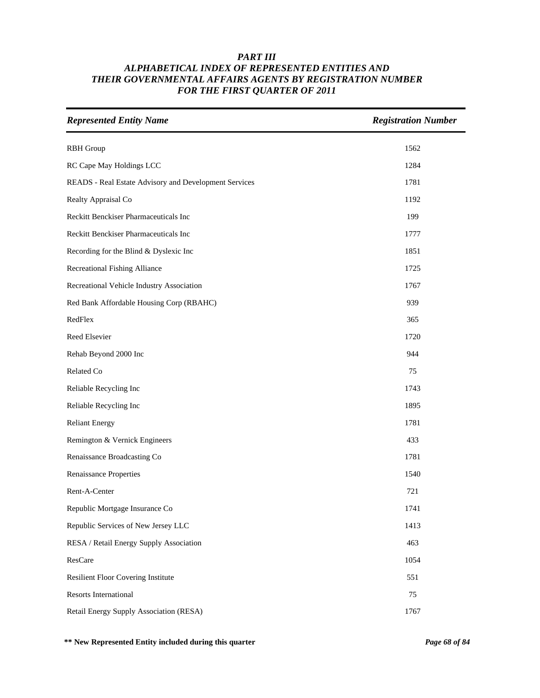| <b>Represented Entity Name</b>                        | <b>Registration Number</b> |
|-------------------------------------------------------|----------------------------|
| <b>RBH</b> Group                                      | 1562                       |
| RC Cape May Holdings LCC                              | 1284                       |
| READS - Real Estate Advisory and Development Services | 1781                       |
| Realty Appraisal Co                                   | 1192                       |
| Reckitt Benckiser Pharmaceuticals Inc                 | 199                        |
| Reckitt Benckiser Pharmaceuticals Inc                 | 1777                       |
| Recording for the Blind & Dyslexic Inc                | 1851                       |
| <b>Recreational Fishing Alliance</b>                  | 1725                       |
| Recreational Vehicle Industry Association             | 1767                       |
| Red Bank Affordable Housing Corp (RBAHC)              | 939                        |
| RedFlex                                               | 365                        |
| Reed Elsevier                                         | 1720                       |
| Rehab Beyond 2000 Inc                                 | 944                        |
| Related Co                                            | 75                         |
| Reliable Recycling Inc                                | 1743                       |
| Reliable Recycling Inc                                | 1895                       |
| <b>Reliant Energy</b>                                 | 1781                       |
| Remington & Vernick Engineers                         | 433                        |
| Renaissance Broadcasting Co                           | 1781                       |
| <b>Renaissance Properties</b>                         | 1540                       |
| Rent-A-Center                                         | 721                        |
| Republic Mortgage Insurance Co                        | 1741                       |
| Republic Services of New Jersey LLC                   | 1413                       |
| RESA / Retail Energy Supply Association               | 463                        |
| ResCare                                               | 1054                       |
| Resilient Floor Covering Institute                    | 551                        |
| <b>Resorts International</b>                          | 75                         |
| Retail Energy Supply Association (RESA)               | 1767                       |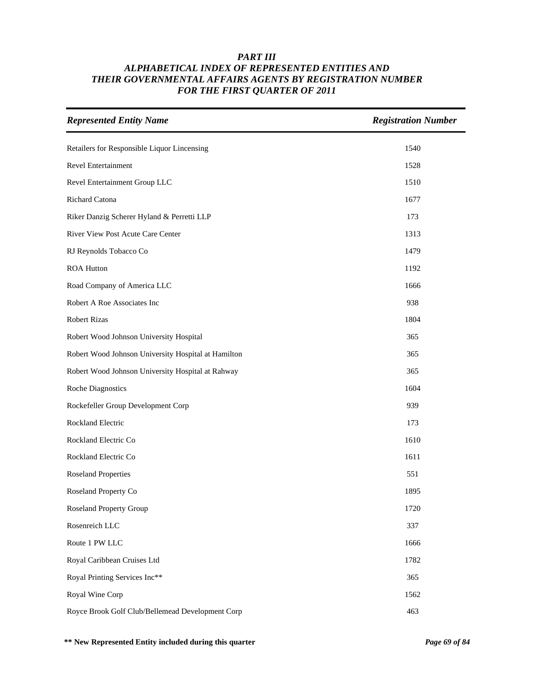| <b>Represented Entity Name</b>                      | <b>Registration Number</b> |
|-----------------------------------------------------|----------------------------|
| Retailers for Responsible Liquor Lincensing         | 1540                       |
| Revel Entertainment                                 | 1528                       |
| Revel Entertainment Group LLC                       | 1510                       |
| Richard Catona                                      | 1677                       |
| Riker Danzig Scherer Hyland & Perretti LLP          | 173                        |
| River View Post Acute Care Center                   | 1313                       |
| RJ Reynolds Tobacco Co                              | 1479                       |
| <b>ROA Hutton</b>                                   | 1192                       |
| Road Company of America LLC                         | 1666                       |
| Robert A Roe Associates Inc                         | 938                        |
| Robert Rizas                                        | 1804                       |
| Robert Wood Johnson University Hospital             | 365                        |
| Robert Wood Johnson University Hospital at Hamilton | 365                        |
| Robert Wood Johnson University Hospital at Rahway   | 365                        |
| <b>Roche Diagnostics</b>                            | 1604                       |
| Rockefeller Group Development Corp                  | 939                        |
| Rockland Electric                                   | 173                        |
| Rockland Electric Co                                | 1610                       |
| Rockland Electric Co                                | 1611                       |
| <b>Roseland Properties</b>                          | 551                        |
| Roseland Property Co                                | 1895                       |
| Roseland Property Group                             | 1720                       |
| Rosenreich LLC                                      | 337                        |
| Route 1 PW LLC                                      | 1666                       |
| Royal Caribbean Cruises Ltd                         | 1782                       |
| Royal Printing Services Inc**                       | 365                        |
| Royal Wine Corp                                     | 1562                       |
| Royce Brook Golf Club/Bellemead Development Corp    | 463                        |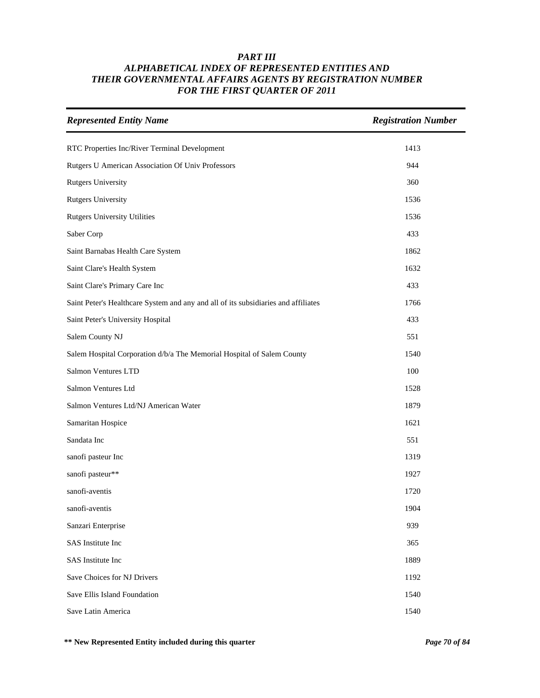| <b>Represented Entity Name</b>                                                     | <b>Registration Number</b> |
|------------------------------------------------------------------------------------|----------------------------|
| RTC Properties Inc/River Terminal Development                                      | 1413                       |
| Rutgers U American Association Of Univ Professors                                  | 944                        |
| <b>Rutgers University</b>                                                          | 360                        |
| <b>Rutgers University</b>                                                          | 1536                       |
| <b>Rutgers University Utilities</b>                                                | 1536                       |
| Saber Corp                                                                         | 433                        |
| Saint Barnabas Health Care System                                                  | 1862                       |
| Saint Clare's Health System                                                        | 1632                       |
| Saint Clare's Primary Care Inc                                                     | 433                        |
| Saint Peter's Healthcare System and any and all of its subsidiaries and affiliates | 1766                       |
| Saint Peter's University Hospital                                                  | 433                        |
| Salem County NJ                                                                    | 551                        |
| Salem Hospital Corporation d/b/a The Memorial Hospital of Salem County             | 1540                       |
| Salmon Ventures LTD                                                                | 100                        |
| Salmon Ventures Ltd                                                                | 1528                       |
| Salmon Ventures Ltd/NJ American Water                                              | 1879                       |
| Samaritan Hospice                                                                  | 1621                       |
| Sandata Inc                                                                        | 551                        |
| sanofi pasteur Inc                                                                 | 1319                       |
| sanofi pasteur**                                                                   | 1927                       |
| sanofi-aventis                                                                     | 1720                       |
| sanofi-aventis                                                                     | 1904                       |
| Sanzari Enterprise                                                                 | 939                        |
| SAS Institute Inc                                                                  | 365                        |
| SAS Institute Inc                                                                  | 1889                       |
| Save Choices for NJ Drivers                                                        | 1192                       |
| Save Ellis Island Foundation                                                       | 1540                       |
| Save Latin America                                                                 | 1540                       |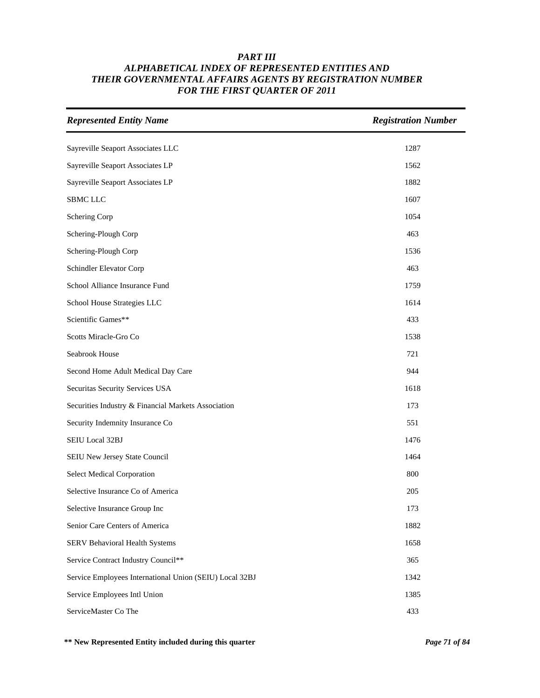| <b>Represented Entity Name</b>                          | <b>Registration Number</b> |
|---------------------------------------------------------|----------------------------|
| Sayreville Seaport Associates LLC                       | 1287                       |
| Sayreville Seaport Associates LP                        | 1562                       |
| Sayreville Seaport Associates LP                        | 1882                       |
| <b>SBMC LLC</b>                                         | 1607                       |
| Schering Corp                                           | 1054                       |
| Schering-Plough Corp                                    | 463                        |
| Schering-Plough Corp                                    | 1536                       |
| Schindler Elevator Corp                                 | 463                        |
| School Alliance Insurance Fund                          | 1759                       |
| School House Strategies LLC                             | 1614                       |
| Scientific Games**                                      | 433                        |
| Scotts Miracle-Gro Co                                   | 1538                       |
| Seabrook House                                          | 721                        |
| Second Home Adult Medical Day Care                      | 944                        |
| Securitas Security Services USA                         | 1618                       |
| Securities Industry & Financial Markets Association     | 173                        |
| Security Indemnity Insurance Co                         | 551                        |
| SEIU Local 32BJ                                         | 1476                       |
| SEIU New Jersey State Council                           | 1464                       |
| <b>Select Medical Corporation</b>                       | 800                        |
| Selective Insurance Co of America                       | 205                        |
| Selective Insurance Group Inc                           | 173                        |
| Senior Care Centers of America                          | 1882                       |
| SERV Behavioral Health Systems                          | 1658                       |
| Service Contract Industry Council**                     | 365                        |
| Service Employees International Union (SEIU) Local 32BJ | 1342                       |
| Service Employees Intl Union                            | 1385                       |
| ServiceMaster Co The                                    | 433                        |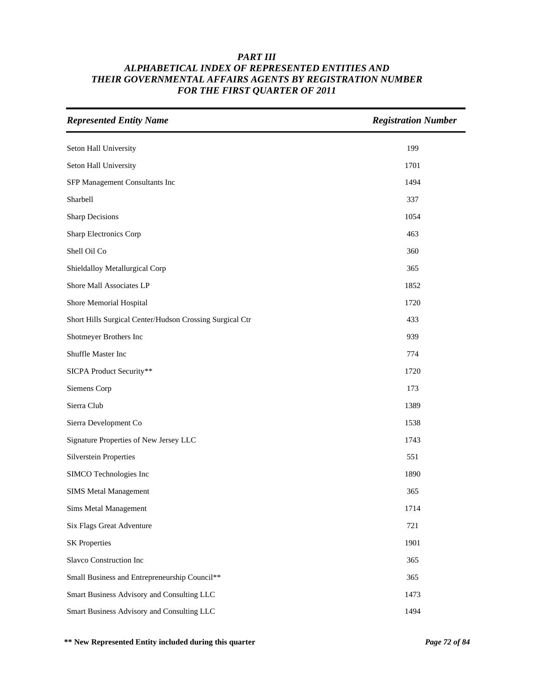| <b>Represented Entity Name</b>                           | <b>Registration Number</b> |
|----------------------------------------------------------|----------------------------|
| Seton Hall University                                    | 199                        |
| Seton Hall University                                    | 1701                       |
| SFP Management Consultants Inc                           | 1494                       |
| Sharbell                                                 | 337                        |
| <b>Sharp Decisions</b>                                   | 1054                       |
| Sharp Electronics Corp                                   | 463                        |
| Shell Oil Co                                             | 360                        |
| Shieldalloy Metallurgical Corp                           | 365                        |
| Shore Mall Associates LP                                 | 1852                       |
| Shore Memorial Hospital                                  | 1720                       |
| Short Hills Surgical Center/Hudson Crossing Surgical Ctr | 433                        |
| Shotmeyer Brothers Inc                                   | 939                        |
| Shuffle Master Inc                                       | 774                        |
| SICPA Product Security**                                 | 1720                       |
| Siemens Corp                                             | 173                        |
| Sierra Club                                              | 1389                       |
| Sierra Development Co                                    | 1538                       |
| Signature Properties of New Jersey LLC                   | 1743                       |
| <b>Silverstein Properties</b>                            | 551                        |
| SIMCO Technologies Inc                                   | 1890                       |
| <b>SIMS Metal Management</b>                             | 365                        |
| Sims Metal Management                                    | 1714                       |
| Six Flags Great Adventure                                | 721                        |
| <b>SK Properties</b>                                     | 1901                       |
| Slavco Construction Inc                                  | 365                        |
| Small Business and Entrepreneurship Council**            | 365                        |
| Smart Business Advisory and Consulting LLC               | 1473                       |
| Smart Business Advisory and Consulting LLC               | 1494                       |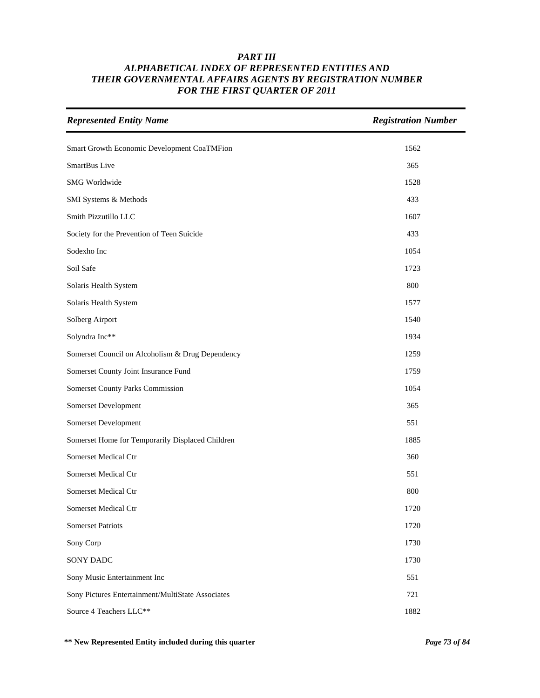| <b>Represented Entity Name</b>                    | <b>Registration Number</b> |
|---------------------------------------------------|----------------------------|
| Smart Growth Economic Development CoaTMFion       | 1562                       |
| SmartBus Live                                     | 365                        |
| SMG Worldwide                                     | 1528                       |
| SMI Systems & Methods                             | 433                        |
| Smith Pizzutillo LLC                              | 1607                       |
| Society for the Prevention of Teen Suicide        | 433                        |
| Sodexho Inc                                       | 1054                       |
| Soil Safe                                         | 1723                       |
| Solaris Health System                             | 800                        |
| Solaris Health System                             | 1577                       |
| Solberg Airport                                   | 1540                       |
| Solyndra Inc**                                    | 1934                       |
| Somerset Council on Alcoholism & Drug Dependency  | 1259                       |
| Somerset County Joint Insurance Fund              | 1759                       |
| Somerset County Parks Commission                  | 1054                       |
| Somerset Development                              | 365                        |
| Somerset Development                              | 551                        |
| Somerset Home for Temporarily Displaced Children  | 1885                       |
| Somerset Medical Ctr                              | 360                        |
| Somerset Medical Ctr                              | 551                        |
| Somerset Medical Ctr                              | 800                        |
| Somerset Medical Ctr                              | 1720                       |
| <b>Somerset Patriots</b>                          | 1720                       |
| Sony Corp                                         | 1730                       |
| SONY DADC                                         | 1730                       |
| Sony Music Entertainment Inc                      | 551                        |
| Sony Pictures Entertainment/MultiState Associates | 721                        |
| Source 4 Teachers LLC**                           | 1882                       |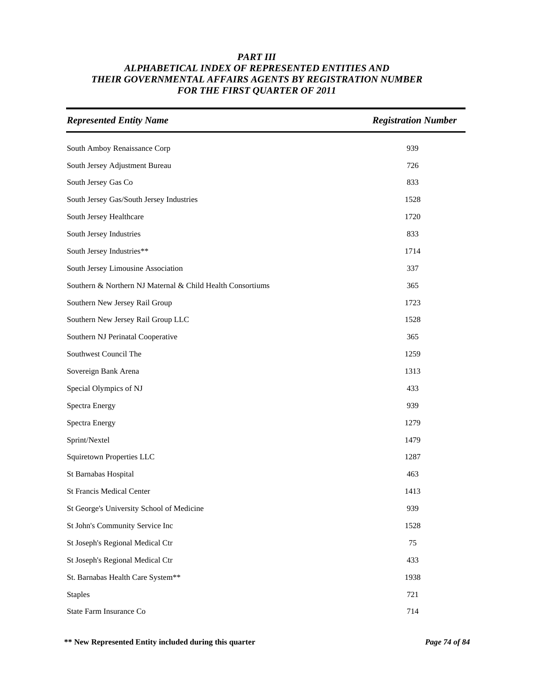| <b>Represented Entity Name</b>                             | <b>Registration Number</b> |
|------------------------------------------------------------|----------------------------|
| South Amboy Renaissance Corp                               | 939                        |
| South Jersey Adjustment Bureau                             | 726                        |
| South Jersey Gas Co                                        | 833                        |
| South Jersey Gas/South Jersey Industries                   | 1528                       |
| South Jersey Healthcare                                    | 1720                       |
| South Jersey Industries                                    | 833                        |
| South Jersey Industries**                                  | 1714                       |
| South Jersey Limousine Association                         | 337                        |
| Southern & Northern NJ Maternal & Child Health Consortiums | 365                        |
| Southern New Jersey Rail Group                             | 1723                       |
| Southern New Jersey Rail Group LLC                         | 1528                       |
| Southern NJ Perinatal Cooperative                          | 365                        |
| Southwest Council The                                      | 1259                       |
| Sovereign Bank Arena                                       | 1313                       |
| Special Olympics of NJ                                     | 433                        |
| <b>Spectra Energy</b>                                      | 939                        |
| Spectra Energy                                             | 1279                       |
| Sprint/Nextel                                              | 1479                       |
| <b>Squiretown Properties LLC</b>                           | 1287                       |
| St Barnabas Hospital                                       | 463                        |
| <b>St Francis Medical Center</b>                           | 1413                       |
| St George's University School of Medicine                  | 939                        |
| St John's Community Service Inc                            | 1528                       |
| St Joseph's Regional Medical Ctr                           | 75                         |
| St Joseph's Regional Medical Ctr                           | 433                        |
| St. Barnabas Health Care System**                          | 1938                       |
| <b>Staples</b>                                             | 721                        |
| State Farm Insurance Co                                    | 714                        |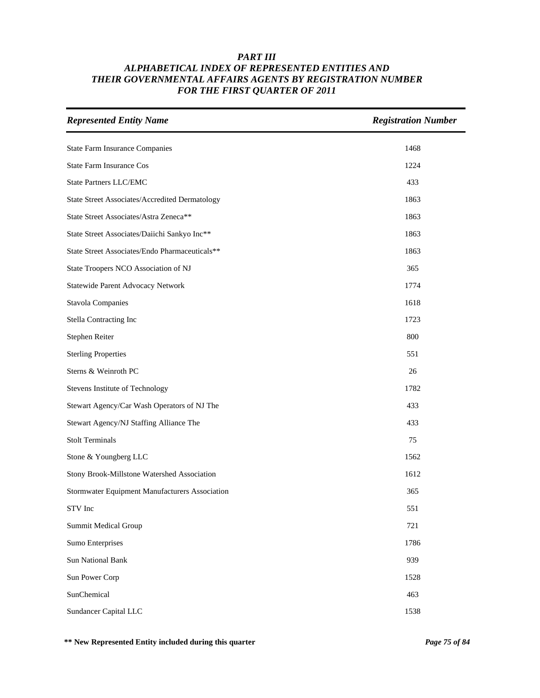| <b>Represented Entity Name</b>                        | <b>Registration Number</b> |
|-------------------------------------------------------|----------------------------|
| <b>State Farm Insurance Companies</b>                 | 1468                       |
| <b>State Farm Insurance Cos</b>                       | 1224                       |
| <b>State Partners LLC/EMC</b>                         | 433                        |
| <b>State Street Associates/Accredited Dermatology</b> | 1863                       |
| State Street Associates/Astra Zeneca**                | 1863                       |
| State Street Associates/Daiichi Sankyo Inc**          | 1863                       |
| State Street Associates/Endo Pharmaceuticals**        | 1863                       |
| State Troopers NCO Association of NJ                  | 365                        |
| Statewide Parent Advocacy Network                     | 1774                       |
| <b>Stavola Companies</b>                              | 1618                       |
| <b>Stella Contracting Inc</b>                         | 1723                       |
| Stephen Reiter                                        | 800                        |
| <b>Sterling Properties</b>                            | 551                        |
| Sterns & Weinroth PC                                  | 26                         |
| Stevens Institute of Technology                       | 1782                       |
| Stewart Agency/Car Wash Operators of NJ The           | 433                        |
| Stewart Agency/NJ Staffing Alliance The               | 433                        |
| <b>Stolt Terminals</b>                                | 75                         |
| Stone & Youngberg LLC                                 | 1562                       |
| Stony Brook-Millstone Watershed Association           | 1612                       |
| Stormwater Equipment Manufacturers Association        | 365                        |
| STV Inc                                               | 551                        |
| <b>Summit Medical Group</b>                           | 721                        |
| <b>Sumo Enterprises</b>                               | 1786                       |
| <b>Sun National Bank</b>                              | 939                        |
| Sun Power Corp                                        | 1528                       |
| SunChemical                                           | 463                        |
| Sundancer Capital LLC                                 | 1538                       |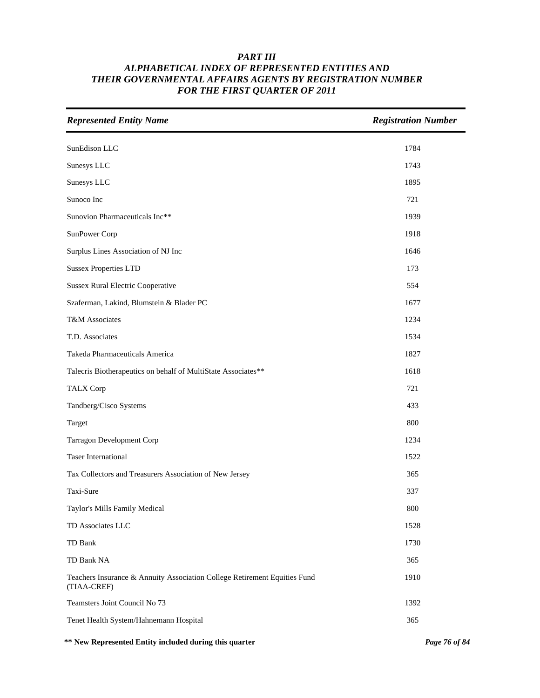| <b>Represented Entity Name</b>                                                           | <b>Registration Number</b> |
|------------------------------------------------------------------------------------------|----------------------------|
| SunEdison LLC                                                                            | 1784                       |
| Sunesys LLC                                                                              | 1743                       |
| Sunesys LLC                                                                              | 1895                       |
| Sunoco Inc                                                                               | 721                        |
| Sunovion Pharmaceuticals Inc**                                                           | 1939                       |
| SunPower Corp                                                                            | 1918                       |
| Surplus Lines Association of NJ Inc                                                      | 1646                       |
| <b>Sussex Properties LTD</b>                                                             | 173                        |
| <b>Sussex Rural Electric Cooperative</b>                                                 | 554                        |
| Szaferman, Lakind, Blumstein & Blader PC                                                 | 1677                       |
| T&M Associates                                                                           | 1234                       |
| T.D. Associates                                                                          | 1534                       |
| Takeda Pharmaceuticals America                                                           | 1827                       |
| Talecris Biotherapeutics on behalf of MultiState Associates**                            | 1618                       |
| <b>TALX Corp</b>                                                                         | 721                        |
| Tandberg/Cisco Systems                                                                   | 433                        |
| Target                                                                                   | 800                        |
| <b>Tarragon Development Corp</b>                                                         | 1234                       |
| <b>Taser International</b>                                                               | 1522                       |
| Tax Collectors and Treasurers Association of New Jersey                                  | 365                        |
| Taxi-Sure                                                                                | 337                        |
| Taylor's Mills Family Medical                                                            | 800                        |
| TD Associates LLC                                                                        | 1528                       |
| TD Bank                                                                                  | 1730                       |
| TD Bank NA                                                                               | 365                        |
| Teachers Insurance & Annuity Association College Retirement Equities Fund<br>(TIAA-CREF) | 1910                       |
| Teamsters Joint Council No 73                                                            | 1392                       |
| Tenet Health System/Hahnemann Hospital                                                   | 365                        |

**\*\* New Represented Entity included during this quarter** *Page 76 of 84*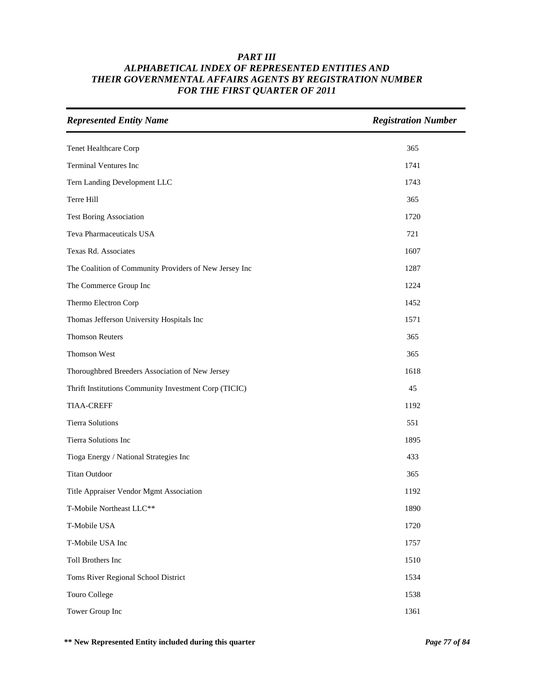| <b>Represented Entity Name</b>                         | <b>Registration Number</b> |
|--------------------------------------------------------|----------------------------|
| Tenet Healthcare Corp                                  | 365                        |
| <b>Terminal Ventures Inc</b>                           | 1741                       |
| Tern Landing Development LLC                           | 1743                       |
| Terre Hill                                             | 365                        |
| <b>Test Boring Association</b>                         | 1720                       |
| Teva Pharmaceuticals USA                               | 721                        |
| Texas Rd. Associates                                   | 1607                       |
| The Coalition of Community Providers of New Jersey Inc | 1287                       |
| The Commerce Group Inc                                 | 1224                       |
| Thermo Electron Corp                                   | 1452                       |
| Thomas Jefferson University Hospitals Inc              | 1571                       |
| <b>Thomson Reuters</b>                                 | 365                        |
| Thomson West                                           | 365                        |
| Thoroughbred Breeders Association of New Jersey        | 1618                       |
| Thrift Institutions Community Investment Corp (TICIC)  | 45                         |
| <b>TIAA-CREFF</b>                                      | 1192                       |
| <b>Tierra Solutions</b>                                | 551                        |
| Tierra Solutions Inc                                   | 1895                       |
| Tioga Energy / National Strategies Inc                 | 433                        |
| <b>Titan Outdoor</b>                                   | 365                        |
| Title Appraiser Vendor Mgmt Association                | 1192                       |
| T-Mobile Northeast LLC**                               | 1890                       |
| T-Mobile USA                                           | 1720                       |
| T-Mobile USA Inc                                       | 1757                       |
| Toll Brothers Inc                                      | 1510                       |
| Toms River Regional School District                    | 1534                       |
| Touro College                                          | 1538                       |
| Tower Group Inc                                        | 1361                       |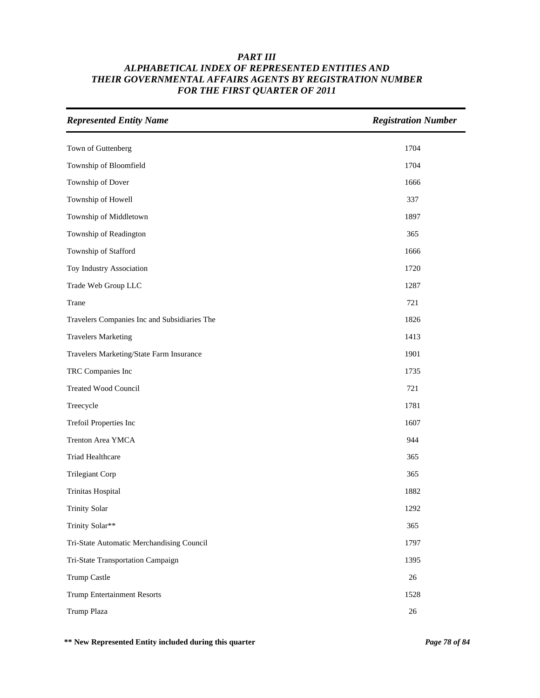| <b>Represented Entity Name</b>               | <b>Registration Number</b> |
|----------------------------------------------|----------------------------|
| Town of Guttenberg                           | 1704                       |
| Township of Bloomfield                       | 1704                       |
| Township of Dover                            | 1666                       |
| Township of Howell                           | 337                        |
| Township of Middletown                       | 1897                       |
| Township of Readington                       | 365                        |
| Township of Stafford                         | 1666                       |
| Toy Industry Association                     | 1720                       |
| Trade Web Group LLC                          | 1287                       |
| Trane                                        | 721                        |
| Travelers Companies Inc and Subsidiaries The | 1826                       |
| <b>Travelers Marketing</b>                   | 1413                       |
| Travelers Marketing/State Farm Insurance     | 1901                       |
| TRC Companies Inc                            | 1735                       |
| <b>Treated Wood Council</b>                  | 721                        |
| Treecycle                                    | 1781                       |
| Trefoil Properties Inc                       | 1607                       |
| Trenton Area YMCA                            | 944                        |
| Triad Healthcare                             | 365                        |
| <b>Trilegiant Corp</b>                       | 365                        |
| Trinitas Hospital                            | 1882                       |
| <b>Trinity Solar</b>                         | 1292                       |
| Trinity Solar**                              | 365                        |
| Tri-State Automatic Merchandising Council    | 1797                       |
| Tri-State Transportation Campaign            | 1395                       |
| Trump Castle                                 | 26                         |
| <b>Trump Entertainment Resorts</b>           | 1528                       |
| Trump Plaza                                  | $26\,$                     |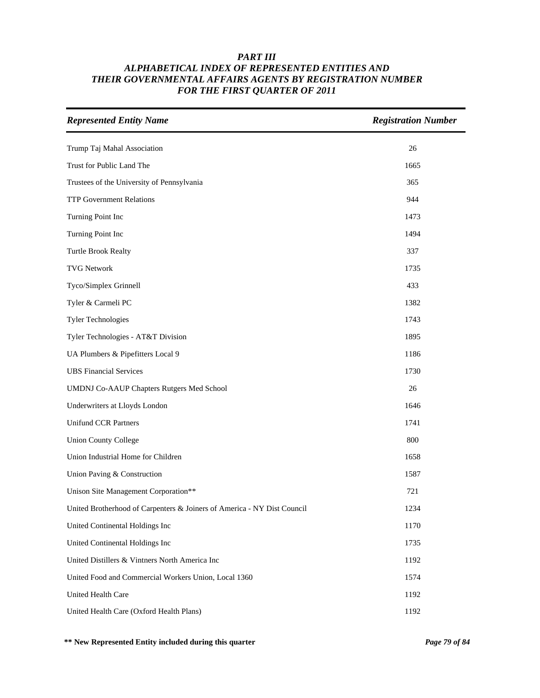| <b>Represented Entity Name</b>                                          | <b>Registration Number</b> |
|-------------------------------------------------------------------------|----------------------------|
| Trump Taj Mahal Association                                             | 26                         |
| Trust for Public Land The                                               | 1665                       |
| Trustees of the University of Pennsylvania                              | 365                        |
| <b>TTP Government Relations</b>                                         | 944                        |
| Turning Point Inc                                                       | 1473                       |
| Turning Point Inc                                                       | 1494                       |
| <b>Turtle Brook Realty</b>                                              | 337                        |
| <b>TVG Network</b>                                                      | 1735                       |
| Tyco/Simplex Grinnell                                                   | 433                        |
| Tyler & Carmeli PC                                                      | 1382                       |
| <b>Tyler Technologies</b>                                               | 1743                       |
| Tyler Technologies - AT&T Division                                      | 1895                       |
| UA Plumbers & Pipefitters Local 9                                       | 1186                       |
| <b>UBS</b> Financial Services                                           | 1730                       |
| UMDNJ Co-AAUP Chapters Rutgers Med School                               | 26                         |
| Underwriters at Lloyds London                                           | 1646                       |
| <b>Unifund CCR Partners</b>                                             | 1741                       |
| <b>Union County College</b>                                             | 800                        |
| Union Industrial Home for Children                                      | 1658                       |
| Union Paving & Construction                                             | 1587                       |
| Unison Site Management Corporation**                                    | 721                        |
| United Brotherhood of Carpenters & Joiners of America - NY Dist Council | 1234                       |
| United Continental Holdings Inc                                         | 1170                       |
| United Continental Holdings Inc                                         | 1735                       |
| United Distillers & Vintners North America Inc                          | 1192                       |
| United Food and Commercial Workers Union, Local 1360                    | 1574                       |
| United Health Care                                                      | 1192                       |
| United Health Care (Oxford Health Plans)                                | 1192                       |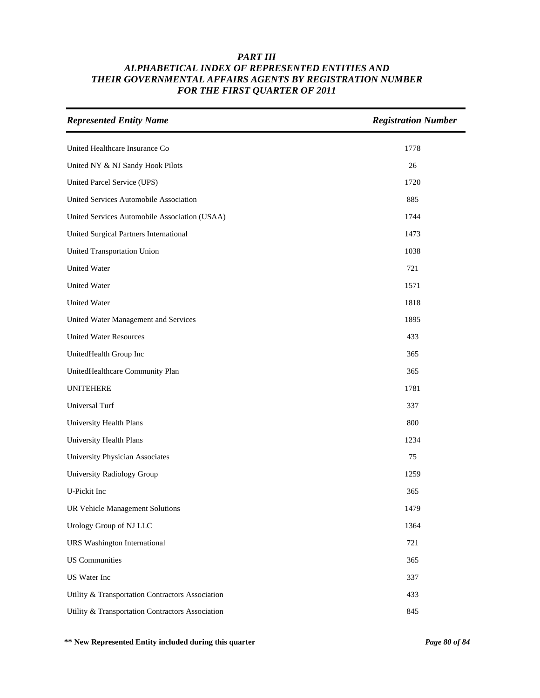| <b>Represented Entity Name</b>                   | <b>Registration Number</b> |
|--------------------------------------------------|----------------------------|
| United Healthcare Insurance Co                   | 1778                       |
| United NY & NJ Sandy Hook Pilots                 | 26                         |
| United Parcel Service (UPS)                      | 1720                       |
| United Services Automobile Association           | 885                        |
| United Services Automobile Association (USAA)    | 1744                       |
| United Surgical Partners International           | 1473                       |
| United Transportation Union                      | 1038                       |
| <b>United Water</b>                              | 721                        |
| United Water                                     | 1571                       |
| United Water                                     | 1818                       |
| United Water Management and Services             | 1895                       |
| <b>United Water Resources</b>                    | 433                        |
| UnitedHealth Group Inc                           | 365                        |
| UnitedHealthcare Community Plan                  | 365                        |
| <b>UNITEHERE</b>                                 | 1781                       |
| Universal Turf                                   | 337                        |
| University Health Plans                          | 800                        |
| University Health Plans                          | 1234                       |
| University Physician Associates                  | 75                         |
| University Radiology Group                       | 1259                       |
| U-Pickit Inc                                     | 365                        |
| UR Vehicle Management Solutions                  | 1479                       |
| Urology Group of NJ LLC                          | 1364                       |
| <b>URS</b> Washington International              | 721                        |
| <b>US Communities</b>                            | 365                        |
| US Water Inc                                     | 337                        |
| Utility & Transportation Contractors Association | 433                        |
| Utility & Transportation Contractors Association | 845                        |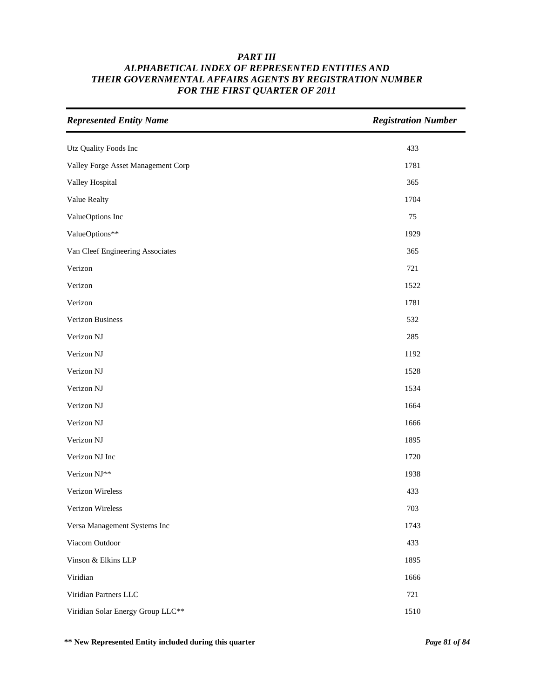| <b>Represented Entity Name</b>     | <b>Registration Number</b> |
|------------------------------------|----------------------------|
| Utz Quality Foods Inc              | 433                        |
| Valley Forge Asset Management Corp | 1781                       |
| Valley Hospital                    | 365                        |
| Value Realty                       | 1704                       |
| ValueOptions Inc                   | 75                         |
| ValueOptions**                     | 1929                       |
| Van Cleef Engineering Associates   | 365                        |
| Verizon                            | 721                        |
| Verizon                            | 1522                       |
| Verizon                            | 1781                       |
| Verizon Business                   | 532                        |
| Verizon NJ                         | 285                        |
| Verizon NJ                         | 1192                       |
| Verizon NJ                         | 1528                       |
| Verizon NJ                         | 1534                       |
| Verizon NJ                         | 1664                       |
| Verizon NJ                         | 1666                       |
| Verizon NJ                         | 1895                       |
| Verizon NJ Inc                     | 1720                       |
| Verizon NJ**                       | 1938                       |
| Verizon Wireless                   | 433                        |
| Verizon Wireless                   | 703                        |
| Versa Management Systems Inc       | 1743                       |
| Viacom Outdoor                     | 433                        |
| Vinson & Elkins LLP                | 1895                       |
| Viridian                           | 1666                       |
| Viridian Partners LLC              | 721                        |
| Viridian Solar Energy Group LLC**  | 1510                       |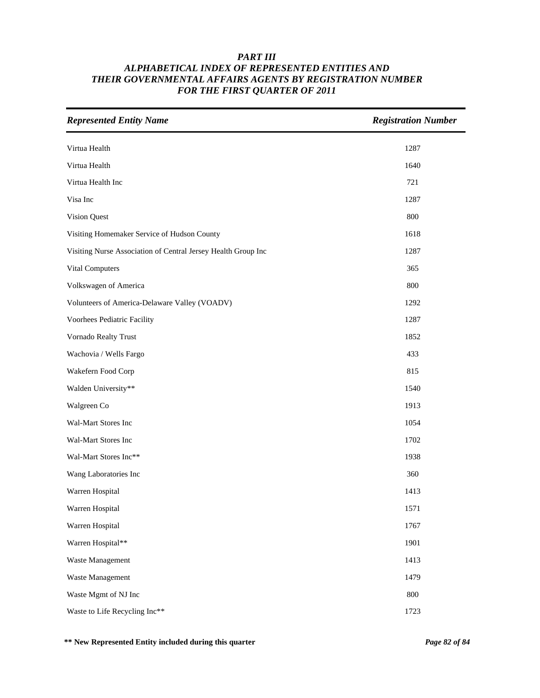| <b>Represented Entity Name</b>                                | <b>Registration Number</b> |
|---------------------------------------------------------------|----------------------------|
| Virtua Health                                                 | 1287                       |
| Virtua Health                                                 | 1640                       |
| Virtua Health Inc                                             | 721                        |
| Visa Inc                                                      | 1287                       |
| Vision Quest                                                  | 800                        |
| Visiting Homemaker Service of Hudson County                   | 1618                       |
| Visiting Nurse Association of Central Jersey Health Group Inc | 1287                       |
| Vital Computers                                               | 365                        |
| Volkswagen of America                                         | 800                        |
| Volunteers of America-Delaware Valley (VOADV)                 | 1292                       |
| Voorhees Pediatric Facility                                   | 1287                       |
| Vornado Realty Trust                                          | 1852                       |
| Wachovia / Wells Fargo                                        | 433                        |
| Wakefern Food Corp                                            | 815                        |
| Walden University**                                           | 1540                       |
| Walgreen Co                                                   | 1913                       |
| Wal-Mart Stores Inc                                           | 1054                       |
| Wal-Mart Stores Inc                                           | 1702                       |
| Wal-Mart Stores Inc**                                         | 1938                       |
| Wang Laboratories Inc                                         | 360                        |
| Warren Hospital                                               | 1413                       |
| Warren Hospital                                               | 1571                       |
| Warren Hospital                                               | 1767                       |
| Warren Hospital**                                             | 1901                       |
| Waste Management                                              | 1413                       |
| Waste Management                                              | 1479                       |
| Waste Mgmt of NJ Inc                                          | 800                        |
| Waste to Life Recycling Inc**                                 | 1723                       |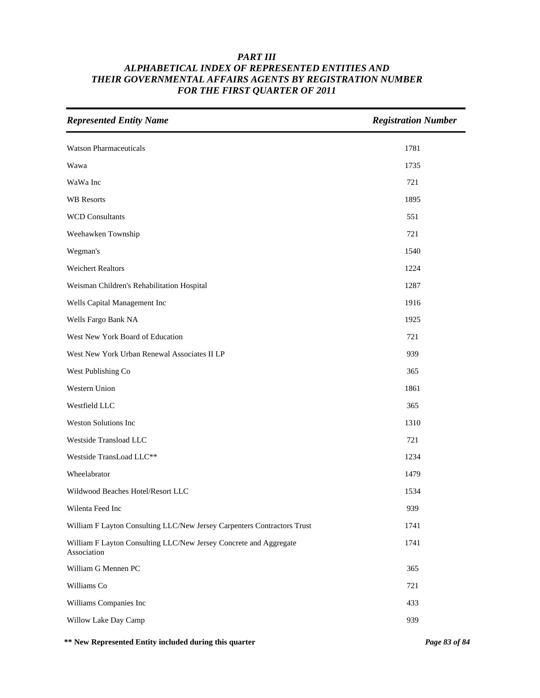| <b>Represented Entity Name</b>                                                   | <b>Registration Number</b> |
|----------------------------------------------------------------------------------|----------------------------|
| <b>Watson Pharmaceuticals</b>                                                    | 1781                       |
| Wawa                                                                             | 1735                       |
| WaWa Inc                                                                         | 721                        |
| <b>WB</b> Resorts                                                                | 1895                       |
| <b>WCD Consultants</b>                                                           | 551                        |
| Weehawken Township                                                               | 721                        |
| Wegman's                                                                         | 1540                       |
| <b>Weichert Realtors</b>                                                         | 1224                       |
| Weisman Children's Rehabilitation Hospital                                       | 1287                       |
| Wells Capital Management Inc                                                     | 1916                       |
| Wells Fargo Bank NA                                                              | 1925                       |
| West New York Board of Education                                                 | 721                        |
| West New York Urban Renewal Associates II LP                                     | 939                        |
| West Publishing Co                                                               | 365                        |
| Western Union                                                                    | 1861                       |
| Westfield LLC                                                                    | 365                        |
| Weston Solutions Inc                                                             | 1310                       |
| Westside Transload LLC                                                           | 721                        |
| Westside TransLoad LLC**                                                         | 1234                       |
| Wheelabrator                                                                     | 1479                       |
| Wildwood Beaches Hotel/Resort LLC                                                | 1534                       |
| Wilenta Feed Inc                                                                 | 939                        |
| William F Layton Consulting LLC/New Jersey Carpenters Contractors Trust          | 1741                       |
| William F Layton Consulting LLC/New Jersey Concrete and Aggregate<br>Association | 1741                       |
| William G Mennen PC                                                              | 365                        |
| Williams Co                                                                      | 721                        |
| Williams Companies Inc                                                           | 433                        |
| Willow Lake Day Camp                                                             | 939                        |

**\*\* New Represented Entity included during this quarter** *Page 83 of 84*